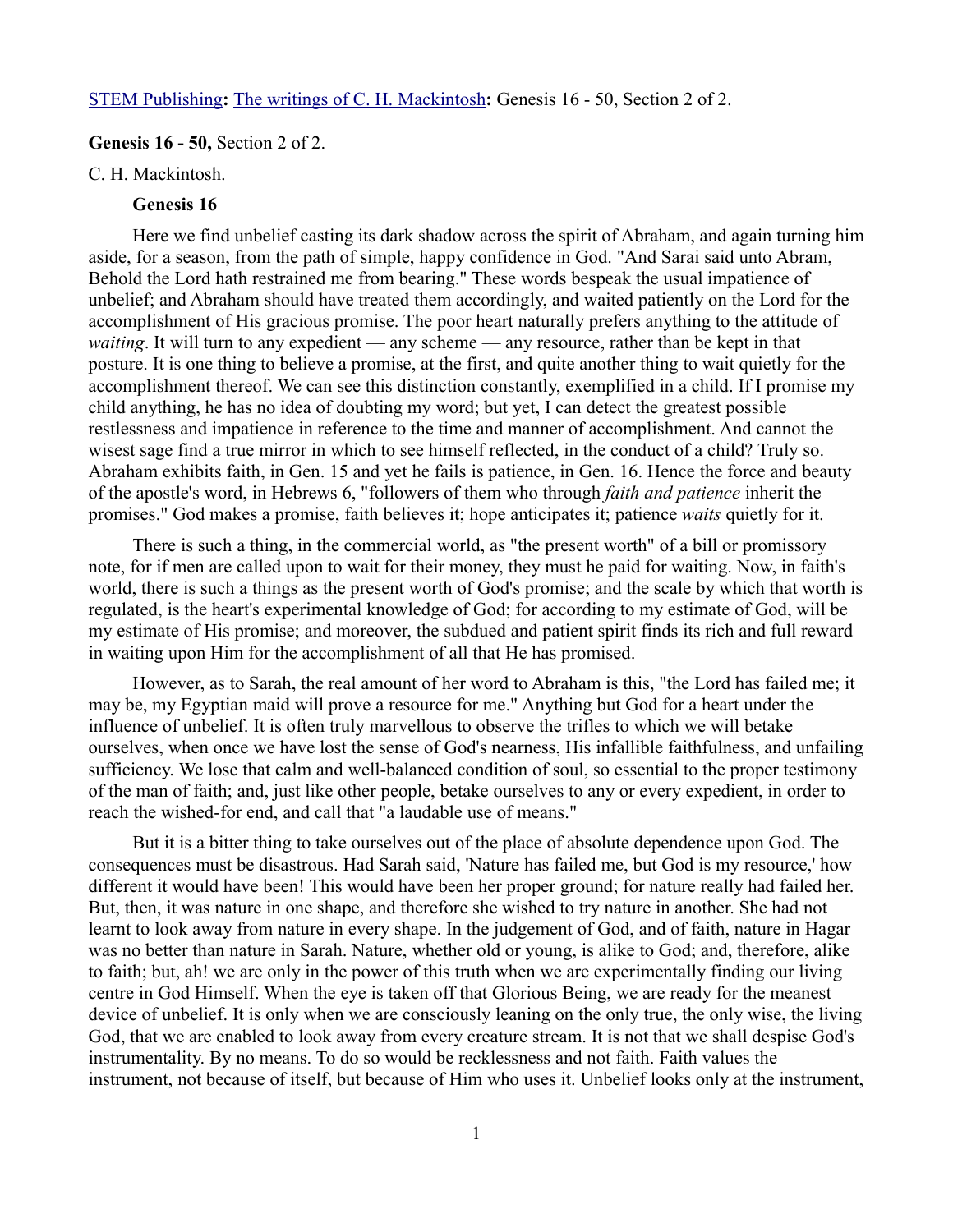## [STEM Publishing](http://www.stempublishing.com/)**:** [The writings of C. H. Mackintosh](http://www.stempublishing.com/authors/mackintosh/index.html)**:** Genesis 16 - 50, Section 2 of 2.

## **Genesis 16 - 50,** Section 2 of 2.

C. H. Mackintosh.

# **Genesis 16**

Here we find unbelief casting its dark shadow across the spirit of Abraham, and again turning him aside, for a season, from the path of simple, happy confidence in God. "And Sarai said unto Abram, Behold the Lord hath restrained me from bearing." These words bespeak the usual impatience of unbelief; and Abraham should have treated them accordingly, and waited patiently on the Lord for the accomplishment of His gracious promise. The poor heart naturally prefers anything to the attitude of *waiting*. It will turn to any expedient — any scheme — any resource, rather than be kept in that posture. It is one thing to believe a promise, at the first, and quite another thing to wait quietly for the accomplishment thereof. We can see this distinction constantly, exemplified in a child. If I promise my child anything, he has no idea of doubting my word; but yet, I can detect the greatest possible restlessness and impatience in reference to the time and manner of accomplishment. And cannot the wisest sage find a true mirror in which to see himself reflected, in the conduct of a child? Truly so. Abraham exhibits faith, in Gen. 15 and yet he fails is patience, in Gen. 16. Hence the force and beauty of the apostle's word, in Hebrews 6, "followers of them who through *faith and patience* inherit the promises." God makes a promise, faith believes it; hope anticipates it; patience *waits* quietly for it.

There is such a thing, in the commercial world, as "the present worth" of a bill or promissory note, for if men are called upon to wait for their money, they must he paid for waiting. Now, in faith's world, there is such a things as the present worth of God's promise; and the scale by which that worth is regulated, is the heart's experimental knowledge of God; for according to my estimate of God, will be my estimate of His promise; and moreover, the subdued and patient spirit finds its rich and full reward in waiting upon Him for the accomplishment of all that He has promised.

However, as to Sarah, the real amount of her word to Abraham is this, "the Lord has failed me; it may be, my Egyptian maid will prove a resource for me." Anything but God for a heart under the influence of unbelief. It is often truly marvellous to observe the trifles to which we will betake ourselves, when once we have lost the sense of God's nearness, His infallible faithfulness, and unfailing sufficiency. We lose that calm and well-balanced condition of soul, so essential to the proper testimony of the man of faith; and, just like other people, betake ourselves to any or every expedient, in order to reach the wished-for end, and call that "a laudable use of means."

But it is a bitter thing to take ourselves out of the place of absolute dependence upon God. The consequences must be disastrous. Had Sarah said, 'Nature has failed me, but God is my resource,' how different it would have been! This would have been her proper ground; for nature really had failed her. But, then, it was nature in one shape, and therefore she wished to try nature in another. She had not learnt to look away from nature in every shape. In the judgement of God, and of faith, nature in Hagar was no better than nature in Sarah. Nature, whether old or young, is alike to God; and, therefore, alike to faith; but, ah! we are only in the power of this truth when we are experimentally finding our living centre in God Himself. When the eye is taken off that Glorious Being, we are ready for the meanest device of unbelief. It is only when we are consciously leaning on the only true, the only wise, the living God, that we are enabled to look away from every creature stream. It is not that we shall despise God's instrumentality. By no means. To do so would be recklessness and not faith. Faith values the instrument, not because of itself, but because of Him who uses it. Unbelief looks only at the instrument,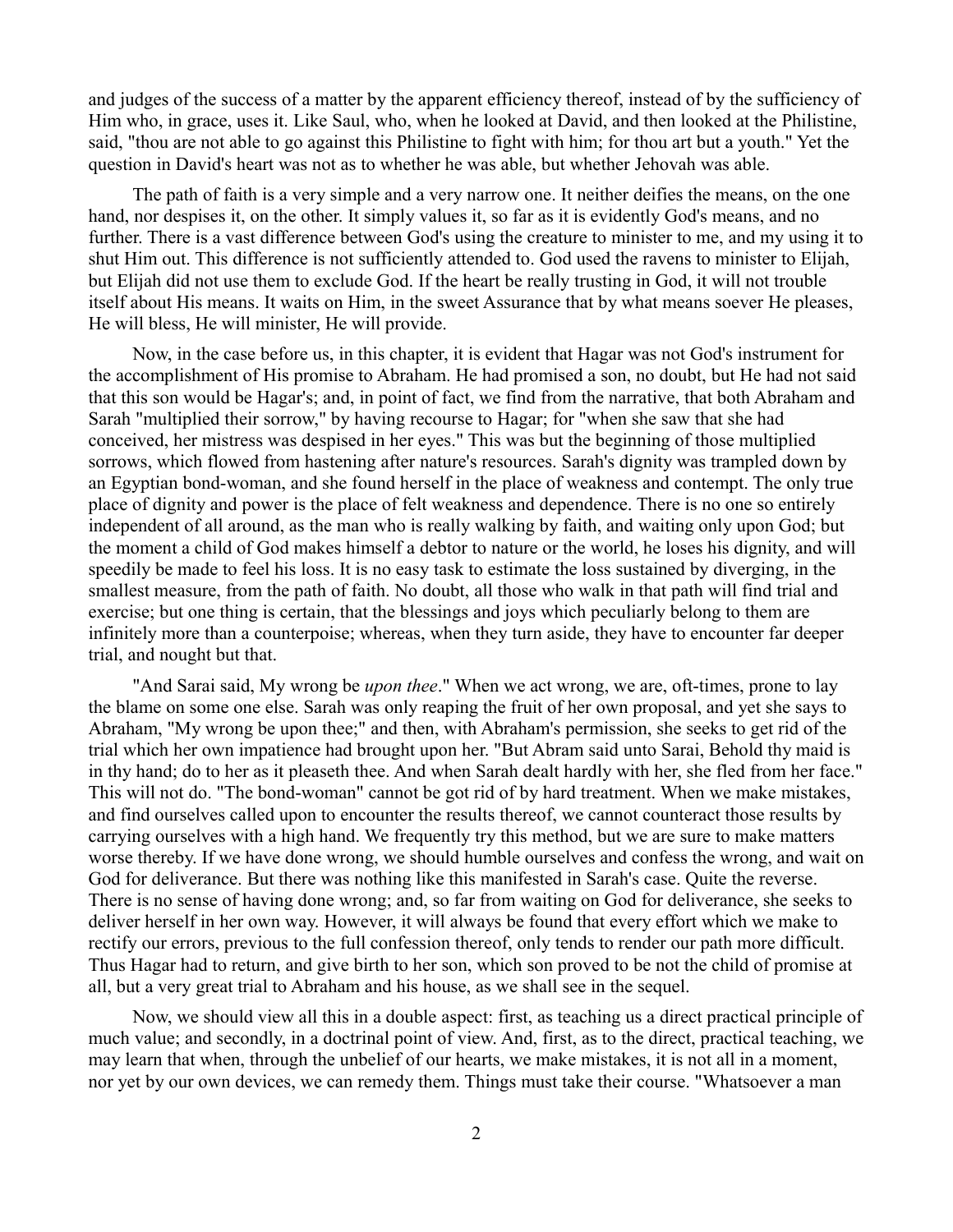and judges of the success of a matter by the apparent efficiency thereof, instead of by the sufficiency of Him who, in grace, uses it. Like Saul, who, when he looked at David, and then looked at the Philistine, said, "thou are not able to go against this Philistine to fight with him; for thou art but a youth." Yet the question in David's heart was not as to whether he was able, but whether Jehovah was able.

The path of faith is a very simple and a very narrow one. It neither deifies the means, on the one hand, nor despises it, on the other. It simply values it, so far as it is evidently God's means, and no further. There is a vast difference between God's using the creature to minister to me, and my using it to shut Him out. This difference is not sufficiently attended to. God used the ravens to minister to Elijah, but Elijah did not use them to exclude God. If the heart be really trusting in God, it will not trouble itself about His means. It waits on Him, in the sweet Assurance that by what means soever He pleases, He will bless, He will minister, He will provide.

Now, in the case before us, in this chapter, it is evident that Hagar was not God's instrument for the accomplishment of His promise to Abraham. He had promised a son, no doubt, but He had not said that this son would be Hagar's; and, in point of fact, we find from the narrative, that both Abraham and Sarah "multiplied their sorrow," by having recourse to Hagar; for "when she saw that she had conceived, her mistress was despised in her eyes." This was but the beginning of those multiplied sorrows, which flowed from hastening after nature's resources. Sarah's dignity was trampled down by an Egyptian bond-woman, and she found herself in the place of weakness and contempt. The only true place of dignity and power is the place of felt weakness and dependence. There is no one so entirely independent of all around, as the man who is really walking by faith, and waiting only upon God; but the moment a child of God makes himself a debtor to nature or the world, he loses his dignity, and will speedily be made to feel his loss. It is no easy task to estimate the loss sustained by diverging, in the smallest measure, from the path of faith. No doubt, all those who walk in that path will find trial and exercise; but one thing is certain, that the blessings and joys which peculiarly belong to them are infinitely more than a counterpoise; whereas, when they turn aside, they have to encounter far deeper trial, and nought but that.

"And Sarai said, My wrong be *upon thee*." When we act wrong, we are, oft-times, prone to lay the blame on some one else. Sarah was only reaping the fruit of her own proposal, and yet she says to Abraham, "My wrong be upon thee;" and then, with Abraham's permission, she seeks to get rid of the trial which her own impatience had brought upon her. "But Abram said unto Sarai, Behold thy maid is in thy hand; do to her as it pleaseth thee. And when Sarah dealt hardly with her, she fled from her face." This will not do. "The bond-woman" cannot be got rid of by hard treatment. When we make mistakes, and find ourselves called upon to encounter the results thereof, we cannot counteract those results by carrying ourselves with a high hand. We frequently try this method, but we are sure to make matters worse thereby. If we have done wrong, we should humble ourselves and confess the wrong, and wait on God for deliverance. But there was nothing like this manifested in Sarah's case. Quite the reverse. There is no sense of having done wrong; and, so far from waiting on God for deliverance, she seeks to deliver herself in her own way. However, it will always be found that every effort which we make to rectify our errors, previous to the full confession thereof, only tends to render our path more difficult. Thus Hagar had to return, and give birth to her son, which son proved to be not the child of promise at all, but a very great trial to Abraham and his house, as we shall see in the sequel.

Now, we should view all this in a double aspect: first, as teaching us a direct practical principle of much value; and secondly, in a doctrinal point of view. And, first, as to the direct, practical teaching, we may learn that when, through the unbelief of our hearts, we make mistakes, it is not all in a moment, nor yet by our own devices, we can remedy them. Things must take their course. "Whatsoever a man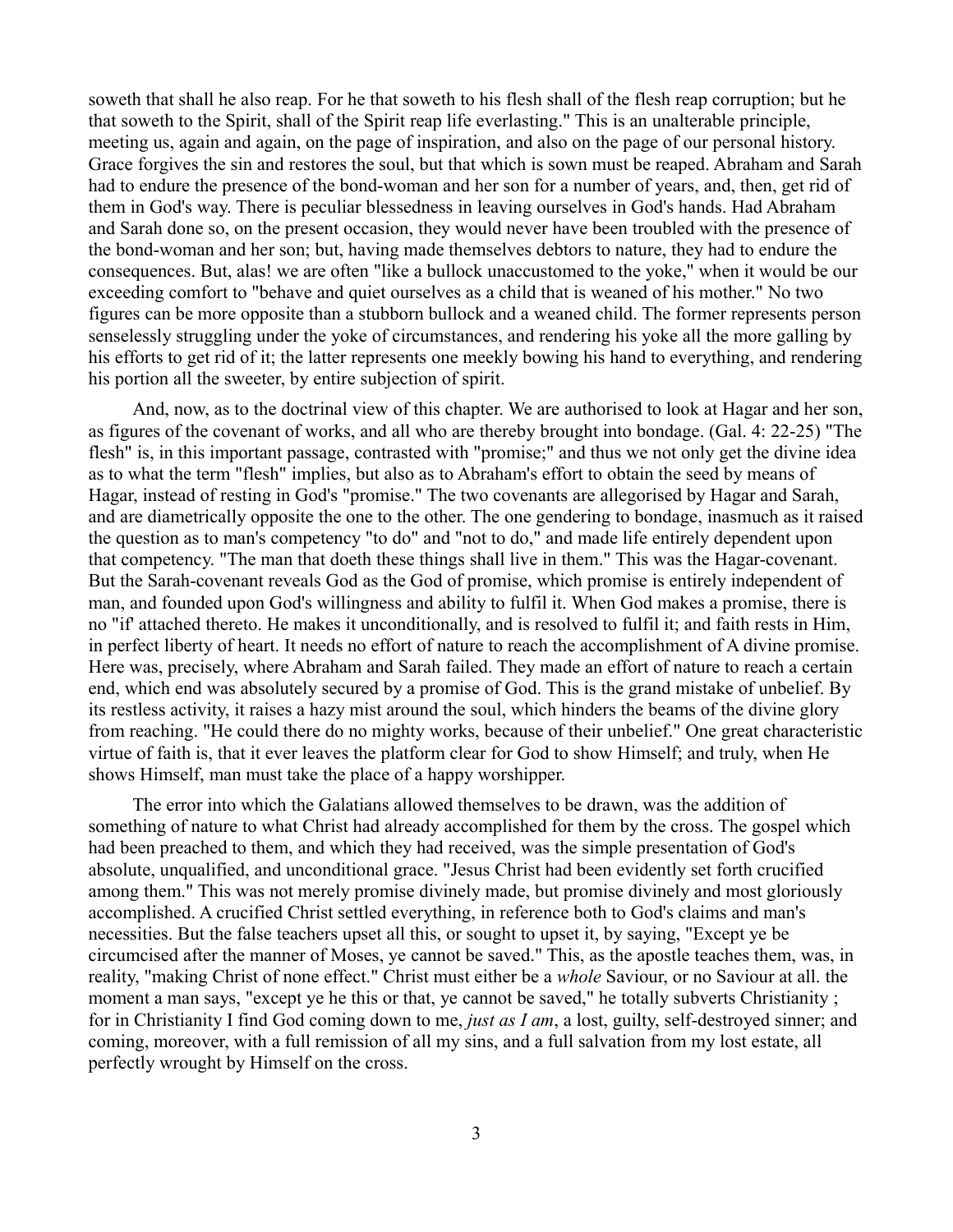soweth that shall he also reap. For he that soweth to his flesh shall of the flesh reap corruption; but he that soweth to the Spirit, shall of the Spirit reap life everlasting." This is an unalterable principle, meeting us, again and again, on the page of inspiration, and also on the page of our personal history. Grace forgives the sin and restores the soul, but that which is sown must be reaped. Abraham and Sarah had to endure the presence of the bond-woman and her son for a number of years, and, then, get rid of them in God's way. There is peculiar blessedness in leaving ourselves in God's hands. Had Abraham and Sarah done so, on the present occasion, they would never have been troubled with the presence of the bond-woman and her son; but, having made themselves debtors to nature, they had to endure the consequences. But, alas! we are often "like a bullock unaccustomed to the yoke," when it would be our exceeding comfort to "behave and quiet ourselves as a child that is weaned of his mother." No two figures can be more opposite than a stubborn bullock and a weaned child. The former represents person senselessly struggling under the yoke of circumstances, and rendering his yoke all the more galling by his efforts to get rid of it; the latter represents one meekly bowing his hand to everything, and rendering his portion all the sweeter, by entire subjection of spirit.

And, now, as to the doctrinal view of this chapter. We are authorised to look at Hagar and her son, as figures of the covenant of works, and all who are thereby brought into bondage. (Gal. 4: 22-25) "The flesh" is, in this important passage, contrasted with "promise;" and thus we not only get the divine idea as to what the term "flesh" implies, but also as to Abraham's effort to obtain the seed by means of Hagar, instead of resting in God's "promise." The two covenants are allegorised by Hagar and Sarah, and are diametrically opposite the one to the other. The one gendering to bondage, inasmuch as it raised the question as to man's competency "to do" and "not to do," and made life entirely dependent upon that competency. "The man that doeth these things shall live in them." This was the Hagar-covenant. But the Sarah-covenant reveals God as the God of promise, which promise is entirely independent of man, and founded upon God's willingness and ability to fulfil it. When God makes a promise, there is no "if' attached thereto. He makes it unconditionally, and is resolved to fulfil it; and faith rests in Him, in perfect liberty of heart. It needs no effort of nature to reach the accomplishment of A divine promise. Here was, precisely, where Abraham and Sarah failed. They made an effort of nature to reach a certain end, which end was absolutely secured by a promise of God. This is the grand mistake of unbelief. By its restless activity, it raises a hazy mist around the soul, which hinders the beams of the divine glory from reaching. "He could there do no mighty works, because of their unbelief." One great characteristic virtue of faith is, that it ever leaves the platform clear for God to show Himself; and truly, when He shows Himself, man must take the place of a happy worshipper.

The error into which the Galatians allowed themselves to be drawn, was the addition of something of nature to what Christ had already accomplished for them by the cross. The gospel which had been preached to them, and which they had received, was the simple presentation of God's absolute, unqualified, and unconditional grace. "Jesus Christ had been evidently set forth crucified among them." This was not merely promise divinely made, but promise divinely and most gloriously accomplished. A crucified Christ settled everything, in reference both to God's claims and man's necessities. But the false teachers upset all this, or sought to upset it, by saying, "Except ye be circumcised after the manner of Moses, ye cannot be saved." This, as the apostle teaches them, was, in reality, "making Christ of none effect." Christ must either be a *whole* Saviour, or no Saviour at all. the moment a man says, "except ye he this or that, ye cannot be saved," he totally subverts Christianity ; for in Christianity I find God coming down to me, *just as I am*, a lost, guilty, self-destroyed sinner; and coming, moreover, with a full remission of all my sins, and a full salvation from my lost estate, all perfectly wrought by Himself on the cross.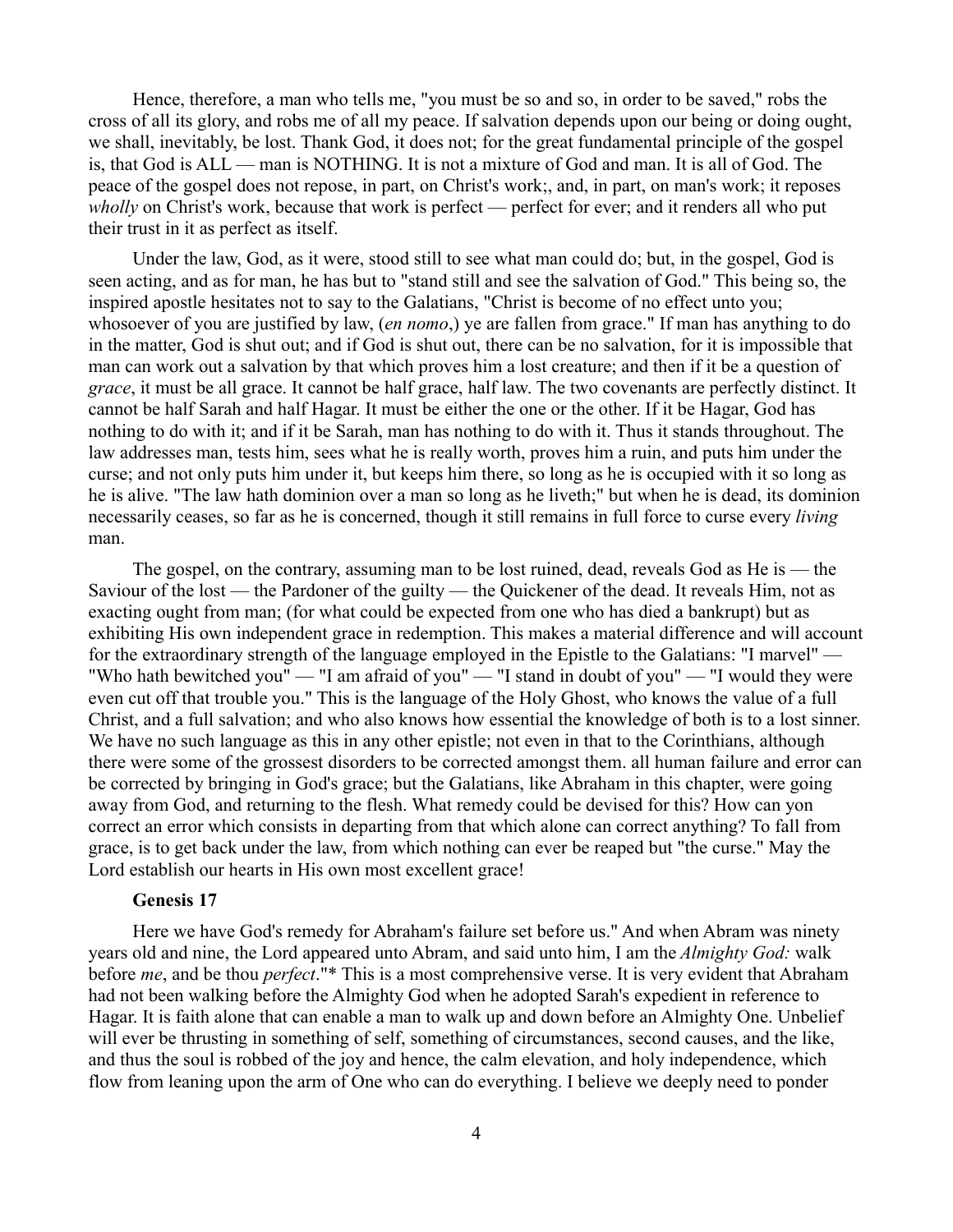Hence, therefore, a man who tells me, "you must be so and so, in order to be saved," robs the cross of all its glory, and robs me of all my peace. If salvation depends upon our being or doing ought, we shall, inevitably, be lost. Thank God, it does not; for the great fundamental principle of the gospel is, that God is ALL — man is NOTHING. It is not a mixture of God and man. It is all of God. The peace of the gospel does not repose, in part, on Christ's work;, and, in part, on man's work; it reposes *wholly* on Christ's work, because that work is perfect — perfect for ever; and it renders all who put their trust in it as perfect as itself.

Under the law, God, as it were, stood still to see what man could do; but, in the gospel, God is seen acting, and as for man, he has but to "stand still and see the salvation of God." This being so, the inspired apostle hesitates not to say to the Galatians, "Christ is become of no effect unto you; whosoever of you are justified by law, (*en nomo*,) ye are fallen from grace." If man has anything to do in the matter, God is shut out; and if God is shut out, there can be no salvation, for it is impossible that man can work out a salvation by that which proves him a lost creature; and then if it be a question of *grace*, it must be all grace. It cannot be half grace, half law. The two covenants are perfectly distinct. It cannot be half Sarah and half Hagar. It must be either the one or the other. If it be Hagar, God has nothing to do with it; and if it be Sarah, man has nothing to do with it. Thus it stands throughout. The law addresses man, tests him, sees what he is really worth, proves him a ruin, and puts him under the curse; and not only puts him under it, but keeps him there, so long as he is occupied with it so long as he is alive. "The law hath dominion over a man so long as he liveth;" but when he is dead, its dominion necessarily ceases, so far as he is concerned, though it still remains in full force to curse every *living* man.

The gospel, on the contrary, assuming man to be lost ruined, dead, reveals God as He is — the Saviour of the lost — the Pardoner of the guilty — the Quickener of the dead. It reveals Him, not as exacting ought from man; (for what could be expected from one who has died a bankrupt) but as exhibiting His own independent grace in redemption. This makes a material difference and will account for the extraordinary strength of the language employed in the Epistle to the Galatians: "I marvel" — "Who hath bewitched you" — "I am afraid of you" — "I stand in doubt of you" — "I would they were even cut off that trouble you." This is the language of the Holy Ghost, who knows the value of a full Christ, and a full salvation; and who also knows how essential the knowledge of both is to a lost sinner. We have no such language as this in any other epistle; not even in that to the Corinthians, although there were some of the grossest disorders to be corrected amongst them. all human failure and error can be corrected by bringing in God's grace; but the Galatians, like Abraham in this chapter, were going away from God, and returning to the flesh. What remedy could be devised for this? How can yon correct an error which consists in departing from that which alone can correct anything? To fall from grace, is to get back under the law, from which nothing can ever be reaped but "the curse." May the Lord establish our hearts in His own most excellent grace!

## **Genesis 17**

Here we have God's remedy for Abraham's failure set before us." And when Abram was ninety years old and nine, the Lord appeared unto Abram, and said unto him, I am the *Almighty God:* walk before *me*, and be thou *perfect*."\* This is a most comprehensive verse. It is very evident that Abraham had not been walking before the Almighty God when he adopted Sarah's expedient in reference to Hagar. It is faith alone that can enable a man to walk up and down before an Almighty One. Unbelief will ever be thrusting in something of self, something of circumstances, second causes, and the like, and thus the soul is robbed of the joy and hence, the calm elevation, and holy independence, which flow from leaning upon the arm of One who can do everything. I believe we deeply need to ponder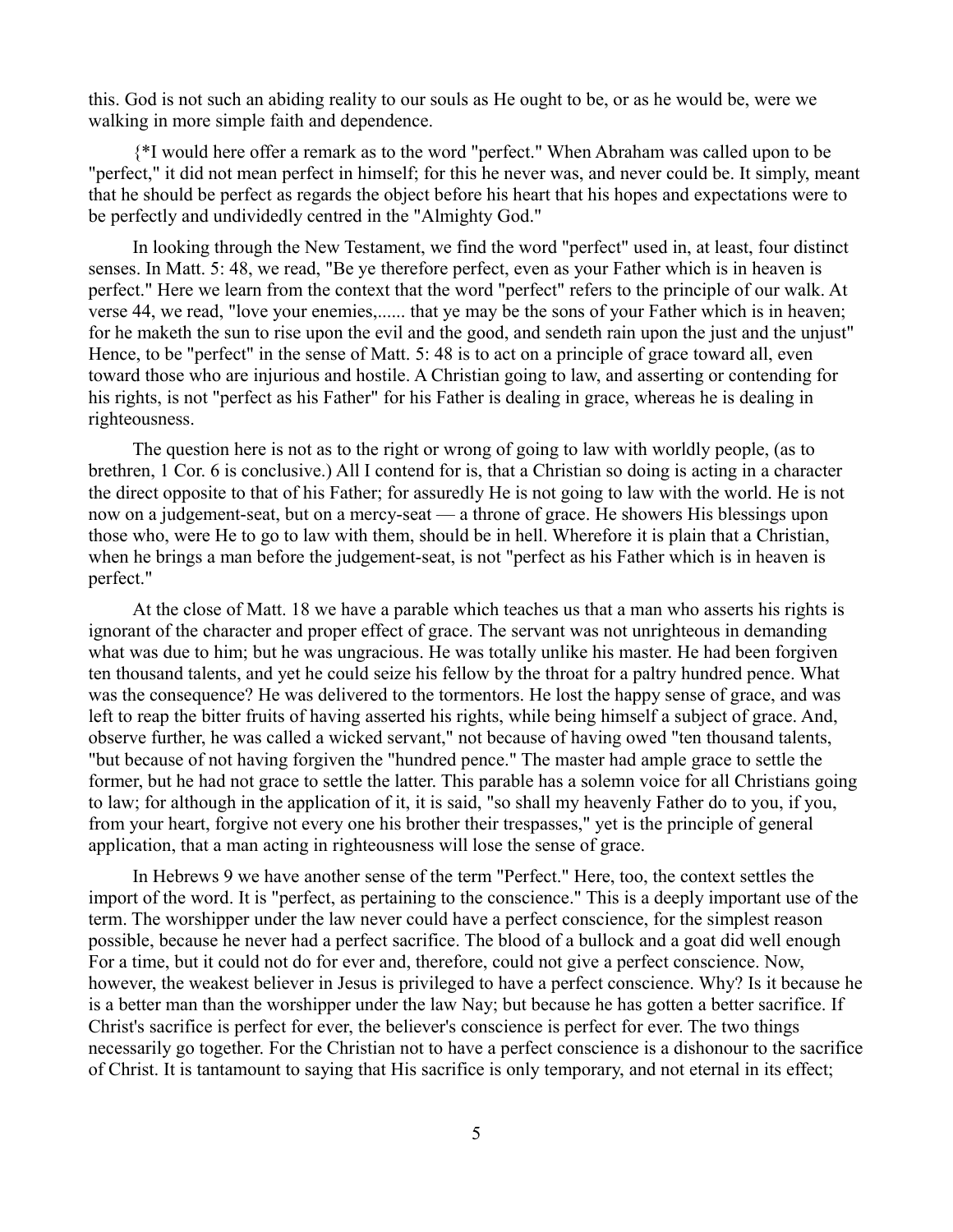this. God is not such an abiding reality to our souls as He ought to be, or as he would be, were we walking in more simple faith and dependence.

{\*I would here offer a remark as to the word "perfect." When Abraham was called upon to be "perfect," it did not mean perfect in himself; for this he never was, and never could be. It simply, meant that he should be perfect as regards the object before his heart that his hopes and expectations were to be perfectly and undividedly centred in the "Almighty God."

In looking through the New Testament, we find the word "perfect" used in, at least, four distinct senses. In Matt. 5: 48, we read, "Be ye therefore perfect, even as your Father which is in heaven is perfect." Here we learn from the context that the word "perfect" refers to the principle of our walk. At verse 44, we read, "love your enemies,...... that ye may be the sons of your Father which is in heaven; for he maketh the sun to rise upon the evil and the good, and sendeth rain upon the just and the unjust" Hence, to be "perfect" in the sense of Matt. 5: 48 is to act on a principle of grace toward all, even toward those who are injurious and hostile. A Christian going to law, and asserting or contending for his rights, is not "perfect as his Father" for his Father is dealing in grace, whereas he is dealing in righteousness.

The question here is not as to the right or wrong of going to law with worldly people, (as to brethren, 1 Cor. 6 is conclusive.) All I contend for is, that a Christian so doing is acting in a character the direct opposite to that of his Father; for assuredly He is not going to law with the world. He is not now on a judgement-seat, but on a mercy-seat — a throne of grace. He showers His blessings upon those who, were He to go to law with them, should be in hell. Wherefore it is plain that a Christian, when he brings a man before the judgement-seat, is not "perfect as his Father which is in heaven is perfect."

At the close of Matt. 18 we have a parable which teaches us that a man who asserts his rights is ignorant of the character and proper effect of grace. The servant was not unrighteous in demanding what was due to him; but he was ungracious. He was totally unlike his master. He had been forgiven ten thousand talents, and yet he could seize his fellow by the throat for a paltry hundred pence. What was the consequence? He was delivered to the tormentors. He lost the happy sense of grace, and was left to reap the bitter fruits of having asserted his rights, while being himself a subject of grace. And, observe further, he was called a wicked servant," not because of having owed "ten thousand talents, "but because of not having forgiven the "hundred pence." The master had ample grace to settle the former, but he had not grace to settle the latter. This parable has a solemn voice for all Christians going to law; for although in the application of it, it is said, "so shall my heavenly Father do to you, if you, from your heart, forgive not every one his brother their trespasses," yet is the principle of general application, that a man acting in righteousness will lose the sense of grace.

In Hebrews 9 we have another sense of the term "Perfect." Here, too, the context settles the import of the word. It is "perfect, as pertaining to the conscience." This is a deeply important use of the term. The worshipper under the law never could have a perfect conscience, for the simplest reason possible, because he never had a perfect sacrifice. The blood of a bullock and a goat did well enough For a time, but it could not do for ever and, therefore, could not give a perfect conscience. Now, however, the weakest believer in Jesus is privileged to have a perfect conscience. Why? Is it because he is a better man than the worshipper under the law Nay; but because he has gotten a better sacrifice. If Christ's sacrifice is perfect for ever, the believer's conscience is perfect for ever. The two things necessarily go together. For the Christian not to have a perfect conscience is a dishonour to the sacrifice of Christ. It is tantamount to saying that His sacrifice is only temporary, and not eternal in its effect;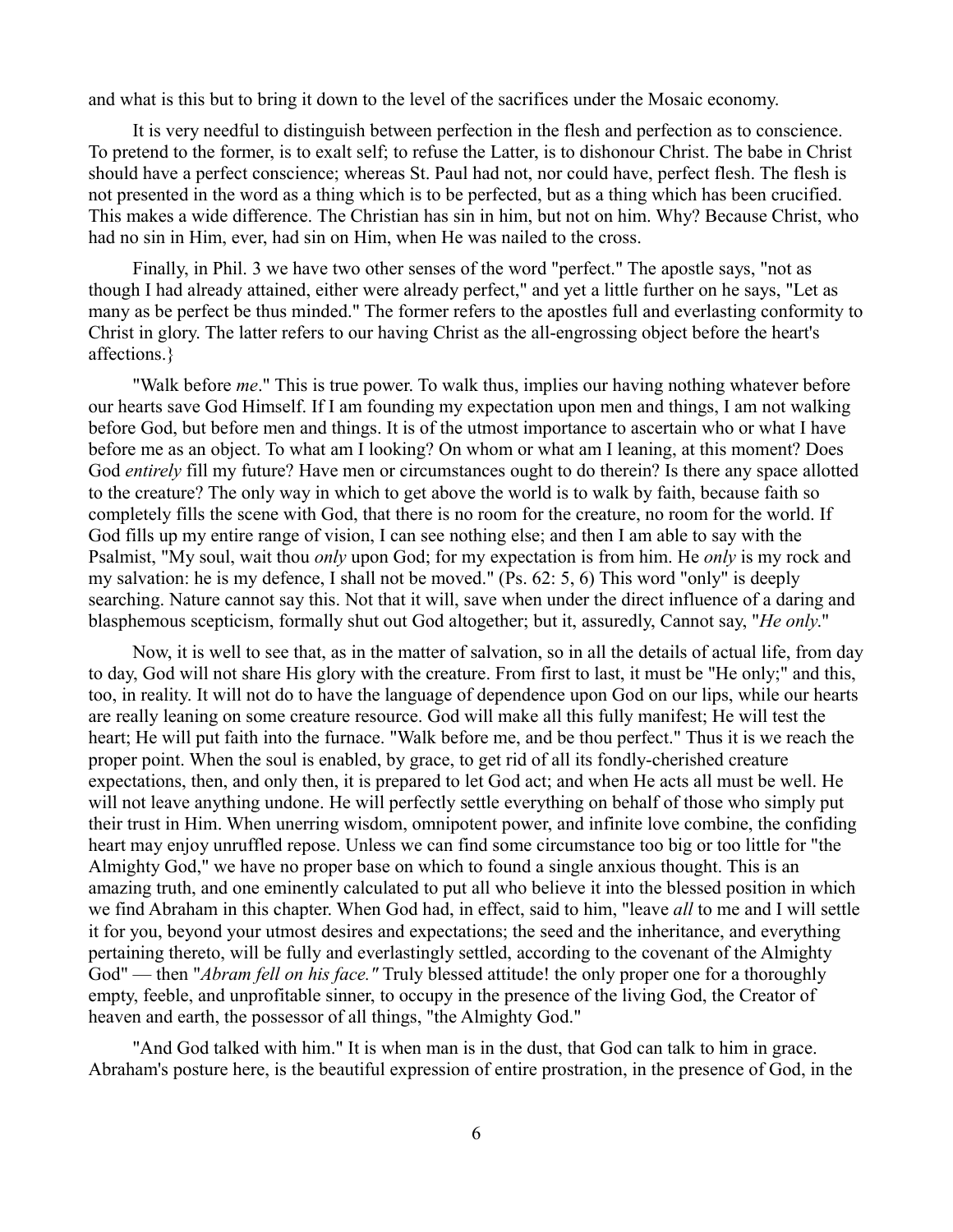and what is this but to bring it down to the level of the sacrifices under the Mosaic economy.

It is very needful to distinguish between perfection in the flesh and perfection as to conscience. To pretend to the former, is to exalt self; to refuse the Latter, is to dishonour Christ. The babe in Christ should have a perfect conscience; whereas St. Paul had not, nor could have, perfect flesh. The flesh is not presented in the word as a thing which is to be perfected, but as a thing which has been crucified. This makes a wide difference. The Christian has sin in him, but not on him. Why? Because Christ, who had no sin in Him, ever, had sin on Him, when He was nailed to the cross.

Finally, in Phil. 3 we have two other senses of the word "perfect." The apostle says, "not as though I had already attained, either were already perfect," and yet a little further on he says, "Let as many as be perfect be thus minded." The former refers to the apostles full and everlasting conformity to Christ in glory. The latter refers to our having Christ as the all-engrossing object before the heart's affections.}

"Walk before *me*." This is true power. To walk thus, implies our having nothing whatever before our hearts save God Himself. If I am founding my expectation upon men and things, I am not walking before God, but before men and things. It is of the utmost importance to ascertain who or what I have before me as an object. To what am I looking? On whom or what am I leaning, at this moment? Does God *entirely* fill my future? Have men or circumstances ought to do therein? Is there any space allotted to the creature? The only way in which to get above the world is to walk by faith, because faith so completely fills the scene with God, that there is no room for the creature, no room for the world. If God fills up my entire range of vision, I can see nothing else; and then I am able to say with the Psalmist, "My soul, wait thou *only* upon God; for my expectation is from him. He *only* is my rock and my salvation: he is my defence, I shall not be moved." (Ps. 62: 5, 6) This word "only" is deeply searching. Nature cannot say this. Not that it will, save when under the direct influence of a daring and blasphemous scepticism, formally shut out God altogether; but it, assuredly, Cannot say, "*He only*."

Now, it is well to see that, as in the matter of salvation, so in all the details of actual life, from day to day, God will not share His glory with the creature. From first to last, it must be "He only;" and this, too, in reality. It will not do to have the language of dependence upon God on our lips, while our hearts are really leaning on some creature resource. God will make all this fully manifest; He will test the heart; He will put faith into the furnace. "Walk before me, and be thou perfect." Thus it is we reach the proper point. When the soul is enabled, by grace, to get rid of all its fondly-cherished creature expectations, then, and only then, it is prepared to let God act; and when He acts all must be well. He will not leave anything undone. He will perfectly settle everything on behalf of those who simply put their trust in Him. When unerring wisdom, omnipotent power, and infinite love combine, the confiding heart may enjoy unruffled repose. Unless we can find some circumstance too big or too little for "the Almighty God," we have no proper base on which to found a single anxious thought. This is an amazing truth, and one eminently calculated to put all who believe it into the blessed position in which we find Abraham in this chapter. When God had, in effect, said to him, "leave *all* to me and I will settle it for you, beyond your utmost desires and expectations; the seed and the inheritance, and everything pertaining thereto, will be fully and everlastingly settled, according to the covenant of the Almighty God" — then "*Abram fell on his face."* Truly blessed attitude! the only proper one for a thoroughly empty, feeble, and unprofitable sinner, to occupy in the presence of the living God, the Creator of heaven and earth, the possessor of all things, "the Almighty God."

"And God talked with him." It is when man is in the dust, that God can talk to him in grace. Abraham's posture here, is the beautiful expression of entire prostration, in the presence of God, in the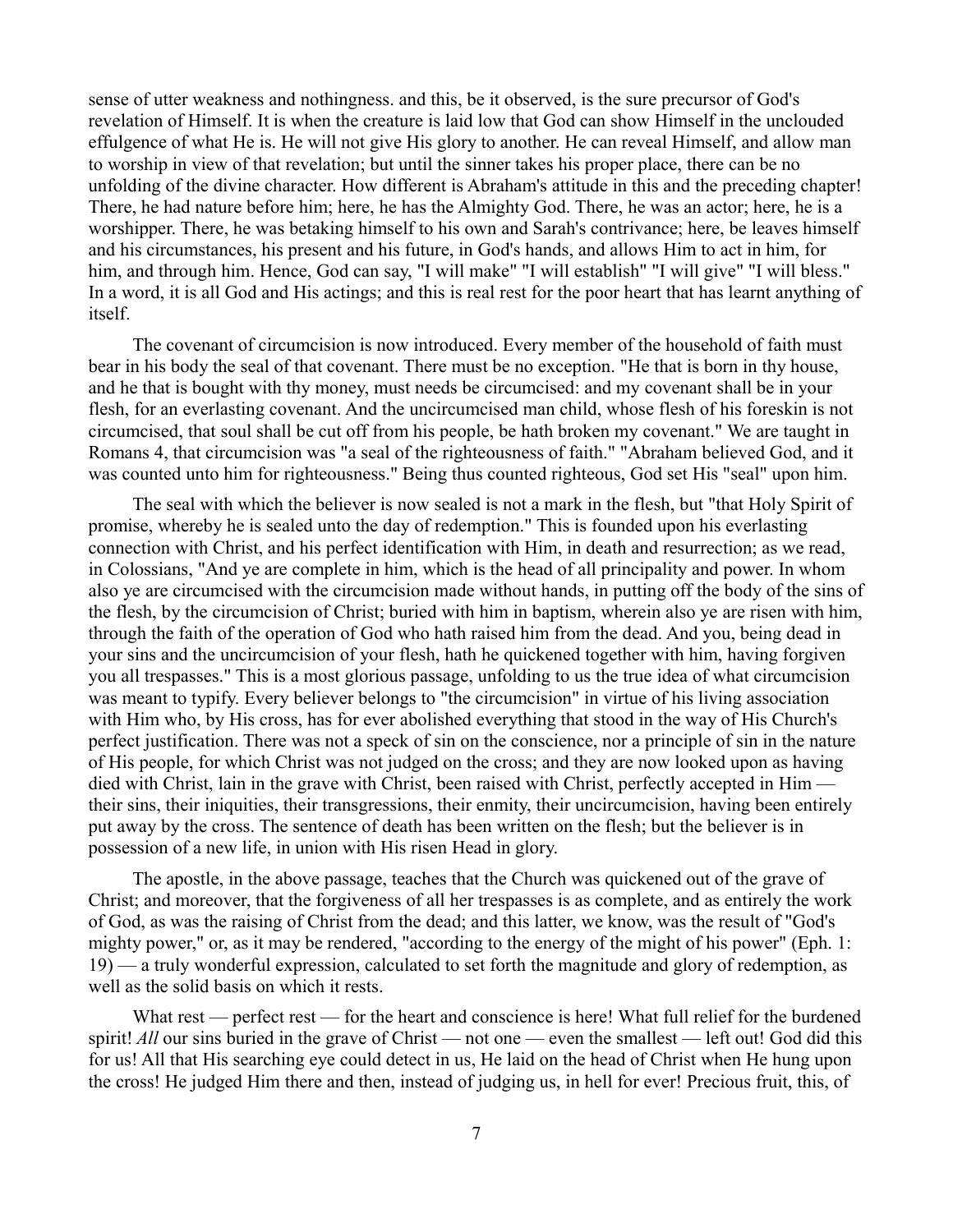sense of utter weakness and nothingness. and this, be it observed, is the sure precursor of God's revelation of Himself. It is when the creature is laid low that God can show Himself in the unclouded effulgence of what He is. He will not give His glory to another. He can reveal Himself, and allow man to worship in view of that revelation; but until the sinner takes his proper place, there can be no unfolding of the divine character. How different is Abraham's attitude in this and the preceding chapter! There, he had nature before him; here, he has the Almighty God. There, he was an actor; here, he is a worshipper. There, he was betaking himself to his own and Sarah's contrivance; here, be leaves himself and his circumstances, his present and his future, in God's hands, and allows Him to act in him, for him, and through him. Hence, God can say, "I will make" "I will establish" "I will give" "I will bless." In a word, it is all God and His actings; and this is real rest for the poor heart that has learnt anything of itself.

The covenant of circumcision is now introduced. Every member of the household of faith must bear in his body the seal of that covenant. There must be no exception. "He that is born in thy house, and he that is bought with thy money, must needs be circumcised: and my covenant shall be in your flesh, for an everlasting covenant. And the uncircumcised man child, whose flesh of his foreskin is not circumcised, that soul shall be cut off from his people, be hath broken my covenant." We are taught in Romans 4, that circumcision was "a seal of the righteousness of faith." "Abraham believed God, and it was counted unto him for righteousness." Being thus counted righteous, God set His "seal" upon him.

The seal with which the believer is now sealed is not a mark in the flesh, but "that Holy Spirit of promise, whereby he is sealed unto the day of redemption." This is founded upon his everlasting connection with Christ, and his perfect identification with Him, in death and resurrection; as we read, in Colossians, "And ye are complete in him, which is the head of all principality and power. In whom also ye are circumcised with the circumcision made without hands, in putting off the body of the sins of the flesh, by the circumcision of Christ; buried with him in baptism, wherein also ye are risen with him, through the faith of the operation of God who hath raised him from the dead. And you, being dead in your sins and the uncircumcision of your flesh, hath he quickened together with him, having forgiven you all trespasses." This is a most glorious passage, unfolding to us the true idea of what circumcision was meant to typify. Every believer belongs to "the circumcision" in virtue of his living association with Him who, by His cross, has for ever abolished everything that stood in the way of His Church's perfect justification. There was not a speck of sin on the conscience, nor a principle of sin in the nature of His people, for which Christ was not judged on the cross; and they are now looked upon as having died with Christ, lain in the grave with Christ, been raised with Christ, perfectly accepted in Him their sins, their iniquities, their transgressions, their enmity, their uncircumcision, having been entirely put away by the cross. The sentence of death has been written on the flesh; but the believer is in possession of a new life, in union with His risen Head in glory.

The apostle, in the above passage, teaches that the Church was quickened out of the grave of Christ; and moreover, that the forgiveness of all her trespasses is as complete, and as entirely the work of God, as was the raising of Christ from the dead; and this latter, we know, was the result of "God's mighty power," or, as it may be rendered, "according to the energy of the might of his power" (Eph. 1: 19) — a truly wonderful expression, calculated to set forth the magnitude and glory of redemption, as well as the solid basis on which it rests.

What rest — perfect rest — for the heart and conscience is here! What full relief for the burdened spirit! *All* our sins buried in the grave of Christ — not one — even the smallest — left out! God did this for us! All that His searching eye could detect in us, He laid on the head of Christ when He hung upon the cross! He judged Him there and then, instead of judging us, in hell for ever! Precious fruit, this, of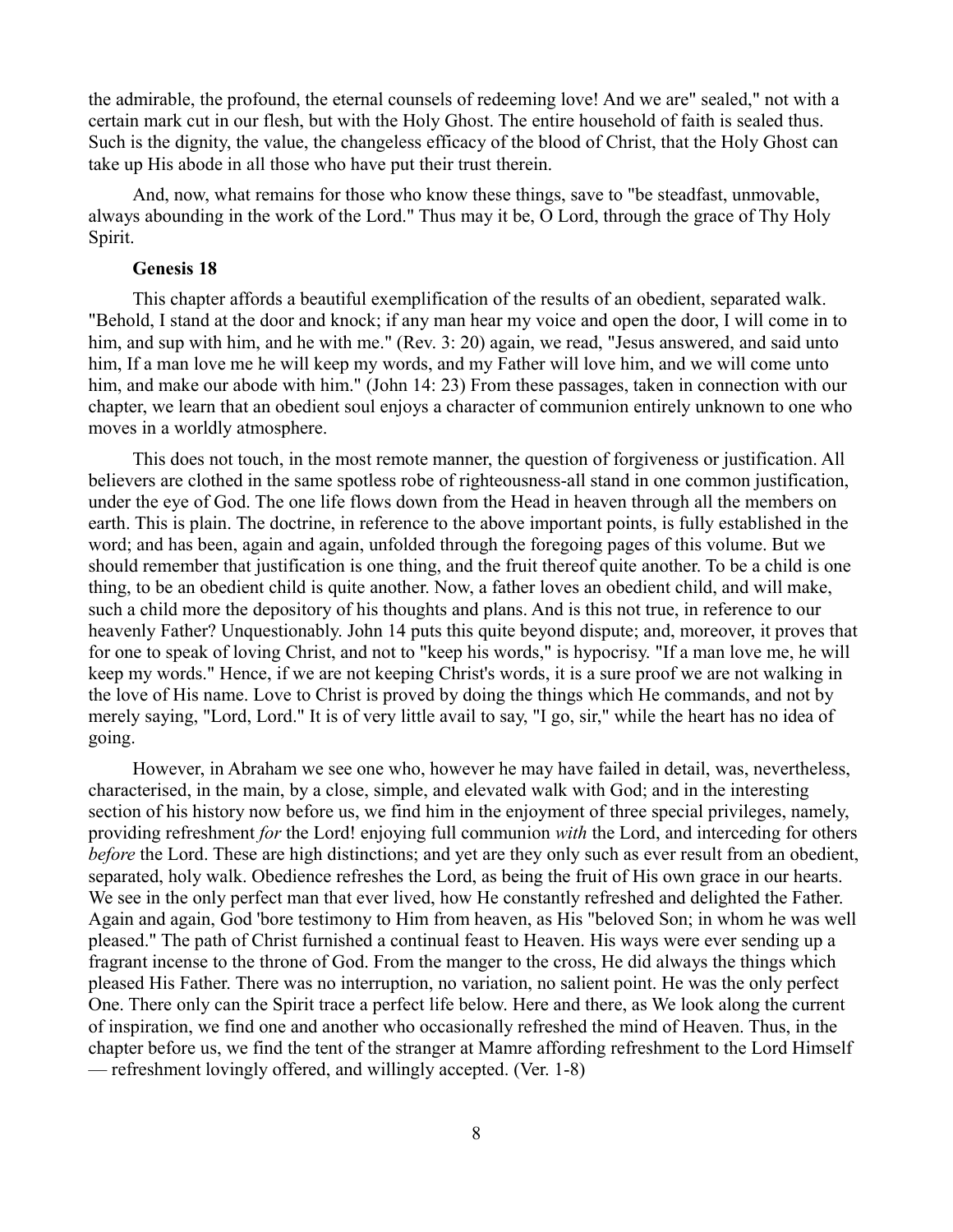the admirable, the profound, the eternal counsels of redeeming love! And we are" sealed," not with a certain mark cut in our flesh, but with the Holy Ghost. The entire household of faith is sealed thus. Such is the dignity, the value, the changeless efficacy of the blood of Christ, that the Holy Ghost can take up His abode in all those who have put their trust therein.

And, now, what remains for those who know these things, save to "be steadfast, unmovable, always abounding in the work of the Lord." Thus may it be, O Lord, through the grace of Thy Holy Spirit.

### **Genesis 18**

This chapter affords a beautiful exemplification of the results of an obedient, separated walk. "Behold, I stand at the door and knock; if any man hear my voice and open the door, I will come in to him, and sup with him, and he with me." (Rev. 3: 20) again, we read, "Jesus answered, and said unto him, If a man love me he will keep my words, and my Father will love him, and we will come unto him, and make our abode with him." (John 14: 23) From these passages, taken in connection with our chapter, we learn that an obedient soul enjoys a character of communion entirely unknown to one who moves in a worldly atmosphere.

This does not touch, in the most remote manner, the question of forgiveness or justification. All believers are clothed in the same spotless robe of righteousness-all stand in one common justification, under the eye of God. The one life flows down from the Head in heaven through all the members on earth. This is plain. The doctrine, in reference to the above important points, is fully established in the word; and has been, again and again, unfolded through the foregoing pages of this volume. But we should remember that justification is one thing, and the fruit thereof quite another. To be a child is one thing, to be an obedient child is quite another. Now, a father loves an obedient child, and will make, such a child more the depository of his thoughts and plans. And is this not true, in reference to our heavenly Father? Unquestionably. John 14 puts this quite beyond dispute; and, moreover, it proves that for one to speak of loving Christ, and not to "keep his words," is hypocrisy. "If a man love me, he will keep my words." Hence, if we are not keeping Christ's words, it is a sure proof we are not walking in the love of His name. Love to Christ is proved by doing the things which He commands, and not by merely saying, "Lord, Lord." It is of very little avail to say, "I go, sir," while the heart has no idea of going.

However, in Abraham we see one who, however he may have failed in detail, was, nevertheless, characterised, in the main, by a close, simple, and elevated walk with God; and in the interesting section of his history now before us, we find him in the enjoyment of three special privileges, namely, providing refreshment *for* the Lord! enjoying full communion *with* the Lord, and interceding for others *before* the Lord. These are high distinctions; and yet are they only such as ever result from an obedient, separated, holy walk. Obedience refreshes the Lord, as being the fruit of His own grace in our hearts. We see in the only perfect man that ever lived, how He constantly refreshed and delighted the Father. Again and again, God 'bore testimony to Him from heaven, as His "beloved Son; in whom he was well pleased." The path of Christ furnished a continual feast to Heaven. His ways were ever sending up a fragrant incense to the throne of God. From the manger to the cross, He did always the things which pleased His Father. There was no interruption, no variation, no salient point. He was the only perfect One. There only can the Spirit trace a perfect life below. Here and there, as We look along the current of inspiration, we find one and another who occasionally refreshed the mind of Heaven. Thus, in the chapter before us, we find the tent of the stranger at Mamre affording refreshment to the Lord Himself — refreshment lovingly offered, and willingly accepted. (Ver. 1-8)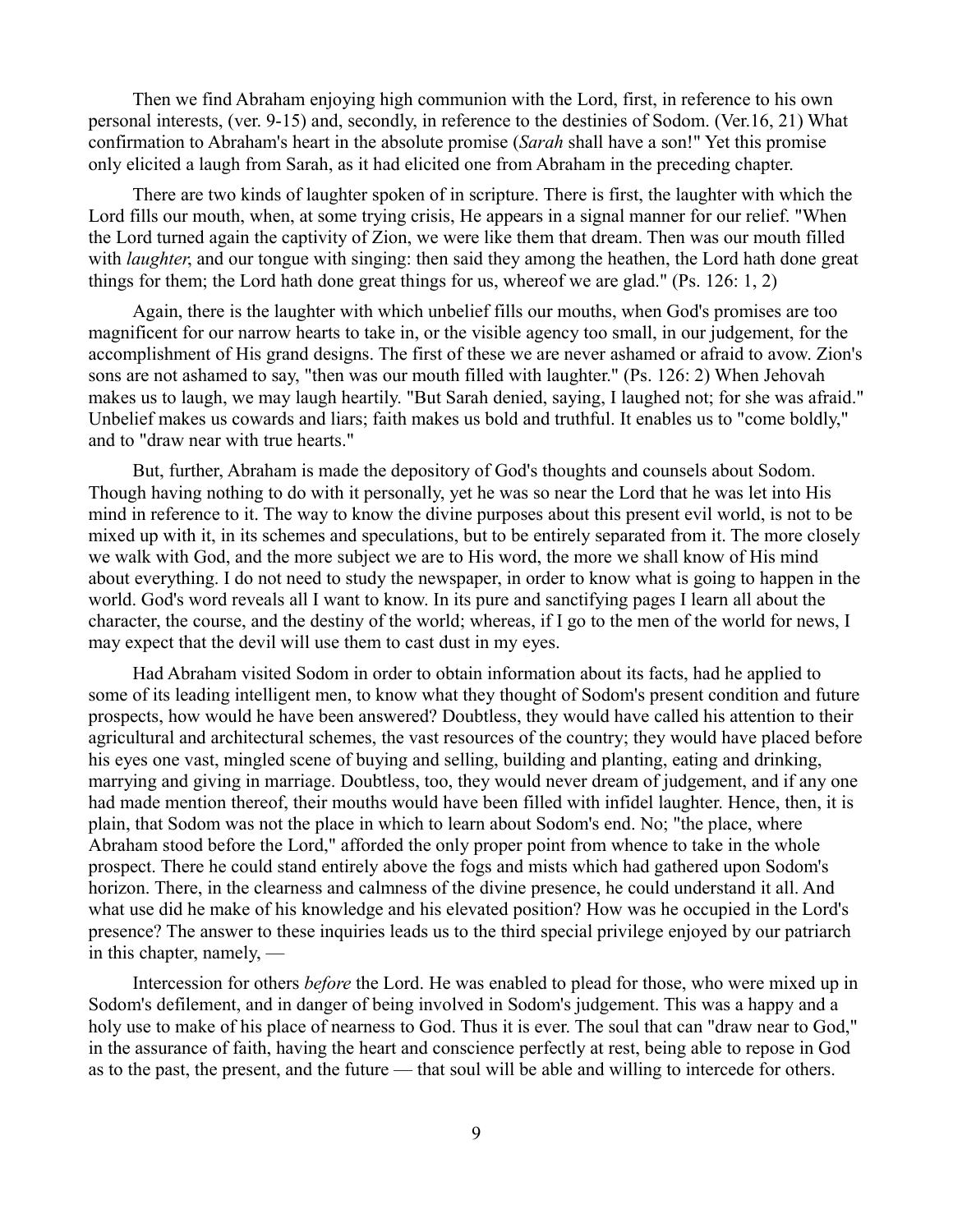Then we find Abraham enjoying high communion with the Lord, first, in reference to his own personal interests, (ver. 9-15) and, secondly, in reference to the destinies of Sodom. (Ver.16, 21) What confirmation to Abraham's heart in the absolute promise (*Sarah* shall have a son!" Yet this promise only elicited a laugh from Sarah, as it had elicited one from Abraham in the preceding chapter.

There are two kinds of laughter spoken of in scripture. There is first, the laughter with which the Lord fills our mouth, when, at some trying crisis, He appears in a signal manner for our relief. "When the Lord turned again the captivity of Zion, we were like them that dream. Then was our mouth filled with *laughter*, and our tongue with singing: then said they among the heathen, the Lord hath done great things for them; the Lord hath done great things for us, whereof we are glad." (Ps. 126: 1, 2)

Again, there is the laughter with which unbelief fills our mouths, when God's promises are too magnificent for our narrow hearts to take in, or the visible agency too small, in our judgement, for the accomplishment of His grand designs. The first of these we are never ashamed or afraid to avow. Zion's sons are not ashamed to say, "then was our mouth filled with laughter." (Ps. 126: 2) When Jehovah makes us to laugh, we may laugh heartily. "But Sarah denied, saying, I laughed not; for she was afraid." Unbelief makes us cowards and liars; faith makes us bold and truthful. It enables us to "come boldly," and to "draw near with true hearts."

But, further, Abraham is made the depository of God's thoughts and counsels about Sodom. Though having nothing to do with it personally, yet he was so near the Lord that he was let into His mind in reference to it. The way to know the divine purposes about this present evil world, is not to be mixed up with it, in its schemes and speculations, but to be entirely separated from it. The more closely we walk with God, and the more subject we are to His word, the more we shall know of His mind about everything. I do not need to study the newspaper, in order to know what is going to happen in the world. God's word reveals all I want to know. In its pure and sanctifying pages I learn all about the character, the course, and the destiny of the world; whereas, if I go to the men of the world for news, I may expect that the devil will use them to cast dust in my eyes.

Had Abraham visited Sodom in order to obtain information about its facts, had he applied to some of its leading intelligent men, to know what they thought of Sodom's present condition and future prospects, how would he have been answered? Doubtless, they would have called his attention to their agricultural and architectural schemes, the vast resources of the country; they would have placed before his eyes one vast, mingled scene of buying and selling, building and planting, eating and drinking, marrying and giving in marriage. Doubtless, too, they would never dream of judgement, and if any one had made mention thereof, their mouths would have been filled with infidel laughter. Hence, then, it is plain, that Sodom was not the place in which to learn about Sodom's end. No; "the place, where Abraham stood before the Lord," afforded the only proper point from whence to take in the whole prospect. There he could stand entirely above the fogs and mists which had gathered upon Sodom's horizon. There, in the clearness and calmness of the divine presence, he could understand it all. And what use did he make of his knowledge and his elevated position? How was he occupied in the Lord's presence? The answer to these inquiries leads us to the third special privilege enjoyed by our patriarch in this chapter, namely, —

Intercession for others *before* the Lord. He was enabled to plead for those, who were mixed up in Sodom's defilement, and in danger of being involved in Sodom's judgement. This was a happy and a holy use to make of his place of nearness to God. Thus it is ever. The soul that can "draw near to God," in the assurance of faith, having the heart and conscience perfectly at rest, being able to repose in God as to the past, the present, and the future — that soul will be able and willing to intercede for others.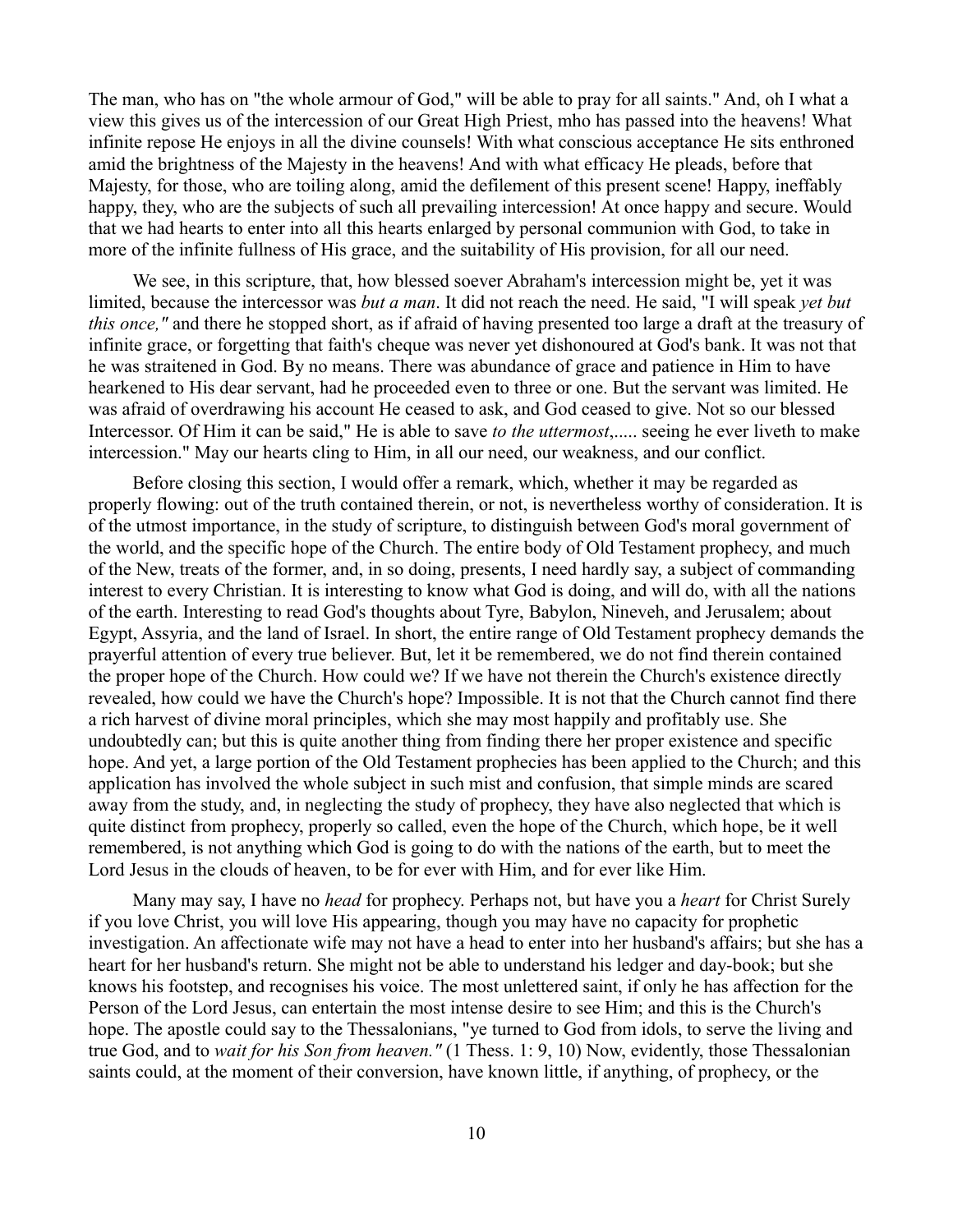The man, who has on "the whole armour of God," will be able to pray for all saints." And, oh I what a view this gives us of the intercession of our Great High Priest, mho has passed into the heavens! What infinite repose He enjoys in all the divine counsels! With what conscious acceptance He sits enthroned amid the brightness of the Majesty in the heavens! And with what efficacy He pleads, before that Majesty, for those, who are toiling along, amid the defilement of this present scene! Happy, ineffably happy, they, who are the subjects of such all prevailing intercession! At once happy and secure. Would that we had hearts to enter into all this hearts enlarged by personal communion with God, to take in more of the infinite fullness of His grace, and the suitability of His provision, for all our need.

We see, in this scripture, that, how blessed soever Abraham's intercession might be, yet it was limited, because the intercessor was *but a man*. It did not reach the need. He said, "I will speak *yet but this once,"* and there he stopped short, as if afraid of having presented too large a draft at the treasury of infinite grace, or forgetting that faith's cheque was never yet dishonoured at God's bank. It was not that he was straitened in God. By no means. There was abundance of grace and patience in Him to have hearkened to His dear servant, had he proceeded even to three or one. But the servant was limited. He was afraid of overdrawing his account He ceased to ask, and God ceased to give. Not so our blessed Intercessor. Of Him it can be said," He is able to save *to the uttermost*,..... seeing he ever liveth to make intercession." May our hearts cling to Him, in all our need, our weakness, and our conflict.

Before closing this section, I would offer a remark, which, whether it may be regarded as properly flowing: out of the truth contained therein, or not, is nevertheless worthy of consideration. It is of the utmost importance, in the study of scripture, to distinguish between God's moral government of the world, and the specific hope of the Church. The entire body of Old Testament prophecy, and much of the New, treats of the former, and, in so doing, presents, I need hardly say, a subject of commanding interest to every Christian. It is interesting to know what God is doing, and will do, with all the nations of the earth. Interesting to read God's thoughts about Tyre, Babylon, Nineveh, and Jerusalem; about Egypt, Assyria, and the land of Israel. In short, the entire range of Old Testament prophecy demands the prayerful attention of every true believer. But, let it be remembered, we do not find therein contained the proper hope of the Church. How could we? If we have not therein the Church's existence directly revealed, how could we have the Church's hope? Impossible. It is not that the Church cannot find there a rich harvest of divine moral principles, which she may most happily and profitably use. She undoubtedly can; but this is quite another thing from finding there her proper existence and specific hope. And yet, a large portion of the Old Testament prophecies has been applied to the Church; and this application has involved the whole subject in such mist and confusion, that simple minds are scared away from the study, and, in neglecting the study of prophecy, they have also neglected that which is quite distinct from prophecy, properly so called, even the hope of the Church, which hope, be it well remembered, is not anything which God is going to do with the nations of the earth, but to meet the Lord Jesus in the clouds of heaven, to be for ever with Him, and for ever like Him.

Many may say, I have no *head* for prophecy. Perhaps not, but have you a *heart* for Christ Surely if you love Christ, you will love His appearing, though you may have no capacity for prophetic investigation. An affectionate wife may not have a head to enter into her husband's affairs; but she has a heart for her husband's return. She might not be able to understand his ledger and day-book; but she knows his footstep, and recognises his voice. The most unlettered saint, if only he has affection for the Person of the Lord Jesus, can entertain the most intense desire to see Him; and this is the Church's hope. The apostle could say to the Thessalonians, "ye turned to God from idols, to serve the living and true God, and to *wait for his Son from heaven."* (1 Thess. 1: 9, 10) Now, evidently, those Thessalonian saints could, at the moment of their conversion, have known little, if anything, of prophecy, or the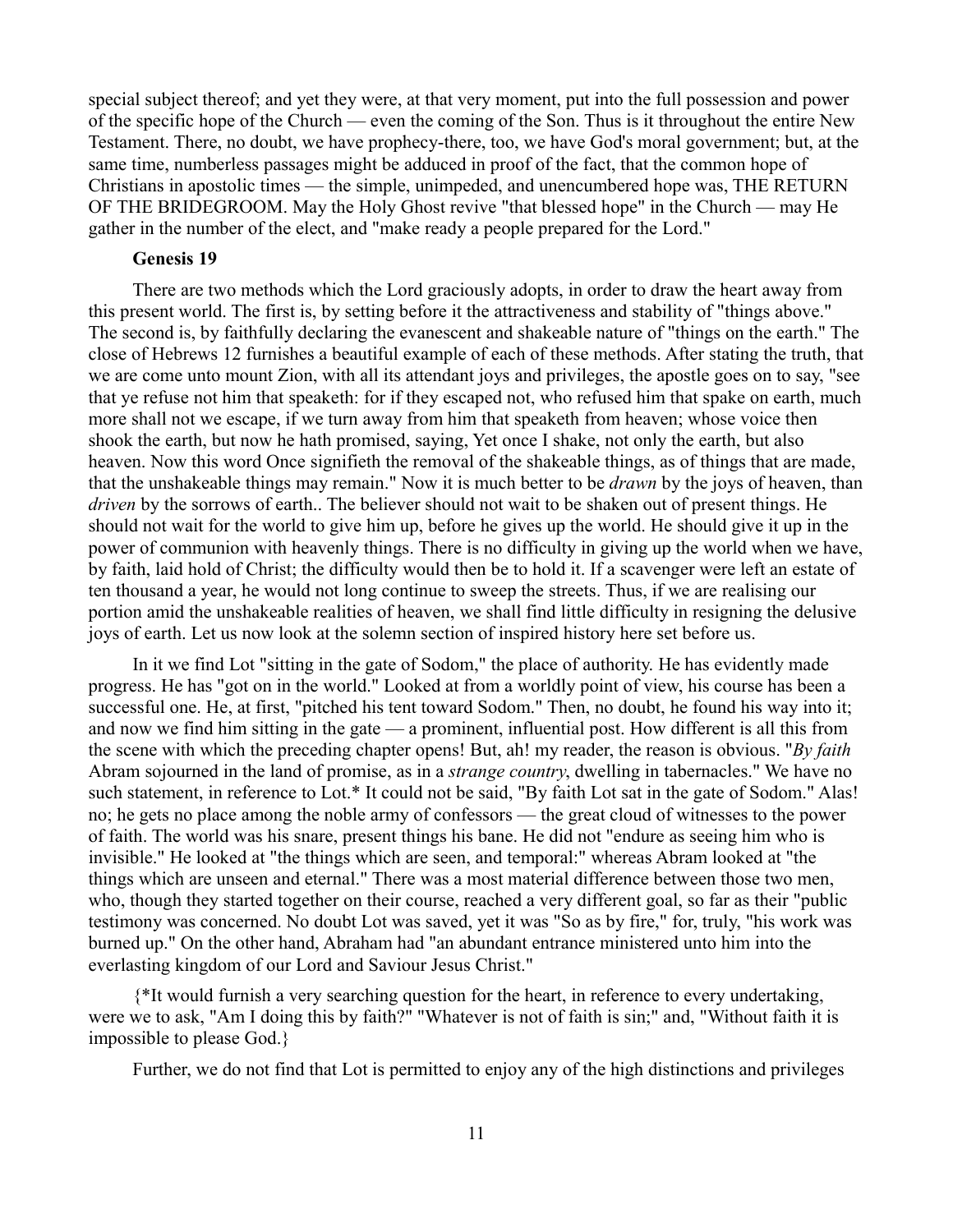special subject thereof; and yet they were, at that very moment, put into the full possession and power of the specific hope of the Church — even the coming of the Son. Thus is it throughout the entire New Testament. There, no doubt, we have prophecy-there, too, we have God's moral government; but, at the same time, numberless passages might be adduced in proof of the fact, that the common hope of Christians in apostolic times — the simple, unimpeded, and unencumbered hope was, THE RETURN OF THE BRIDEGROOM. May the Holy Ghost revive "that blessed hope" in the Church — may He gather in the number of the elect, and "make ready a people prepared for the Lord."

# **Genesis 19**

There are two methods which the Lord graciously adopts, in order to draw the heart away from this present world. The first is, by setting before it the attractiveness and stability of "things above." The second is, by faithfully declaring the evanescent and shakeable nature of "things on the earth." The close of Hebrews 12 furnishes a beautiful example of each of these methods. After stating the truth, that we are come unto mount Zion, with all its attendant joys and privileges, the apostle goes on to say, "see that ye refuse not him that speaketh: for if they escaped not, who refused him that spake on earth, much more shall not we escape, if we turn away from him that speaketh from heaven; whose voice then shook the earth, but now he hath promised, saying, Yet once I shake, not only the earth, but also heaven. Now this word Once signifieth the removal of the shakeable things, as of things that are made, that the unshakeable things may remain." Now it is much better to be *drawn* by the joys of heaven, than *driven* by the sorrows of earth.. The believer should not wait to be shaken out of present things. He should not wait for the world to give him up, before he gives up the world. He should give it up in the power of communion with heavenly things. There is no difficulty in giving up the world when we have, by faith, laid hold of Christ; the difficulty would then be to hold it. If a scavenger were left an estate of ten thousand a year, he would not long continue to sweep the streets. Thus, if we are realising our portion amid the unshakeable realities of heaven, we shall find little difficulty in resigning the delusive joys of earth. Let us now look at the solemn section of inspired history here set before us.

In it we find Lot "sitting in the gate of Sodom," the place of authority. He has evidently made progress. He has "got on in the world." Looked at from a worldly point of view, his course has been a successful one. He, at first, "pitched his tent toward Sodom." Then, no doubt, he found his way into it; and now we find him sitting in the gate — a prominent, influential post. How different is all this from the scene with which the preceding chapter opens! But, ah! my reader, the reason is obvious. "*By faith* Abram sojourned in the land of promise, as in a *strange country*, dwelling in tabernacles." We have no such statement, in reference to Lot.\* It could not be said, "By faith Lot sat in the gate of Sodom." Alas! no; he gets no place among the noble army of confessors — the great cloud of witnesses to the power of faith. The world was his snare, present things his bane. He did not "endure as seeing him who is invisible." He looked at "the things which are seen, and temporal:" whereas Abram looked at "the things which are unseen and eternal." There was a most material difference between those two men, who, though they started together on their course, reached a very different goal, so far as their "public testimony was concerned. No doubt Lot was saved, yet it was "So as by fire," for, truly, "his work was burned up." On the other hand, Abraham had "an abundant entrance ministered unto him into the everlasting kingdom of our Lord and Saviour Jesus Christ."

{\*It would furnish a very searching question for the heart, in reference to every undertaking, were we to ask, "Am I doing this by faith?" "Whatever is not of faith is sin;" and, "Without faith it is impossible to please God.}

Further, we do not find that Lot is permitted to enjoy any of the high distinctions and privileges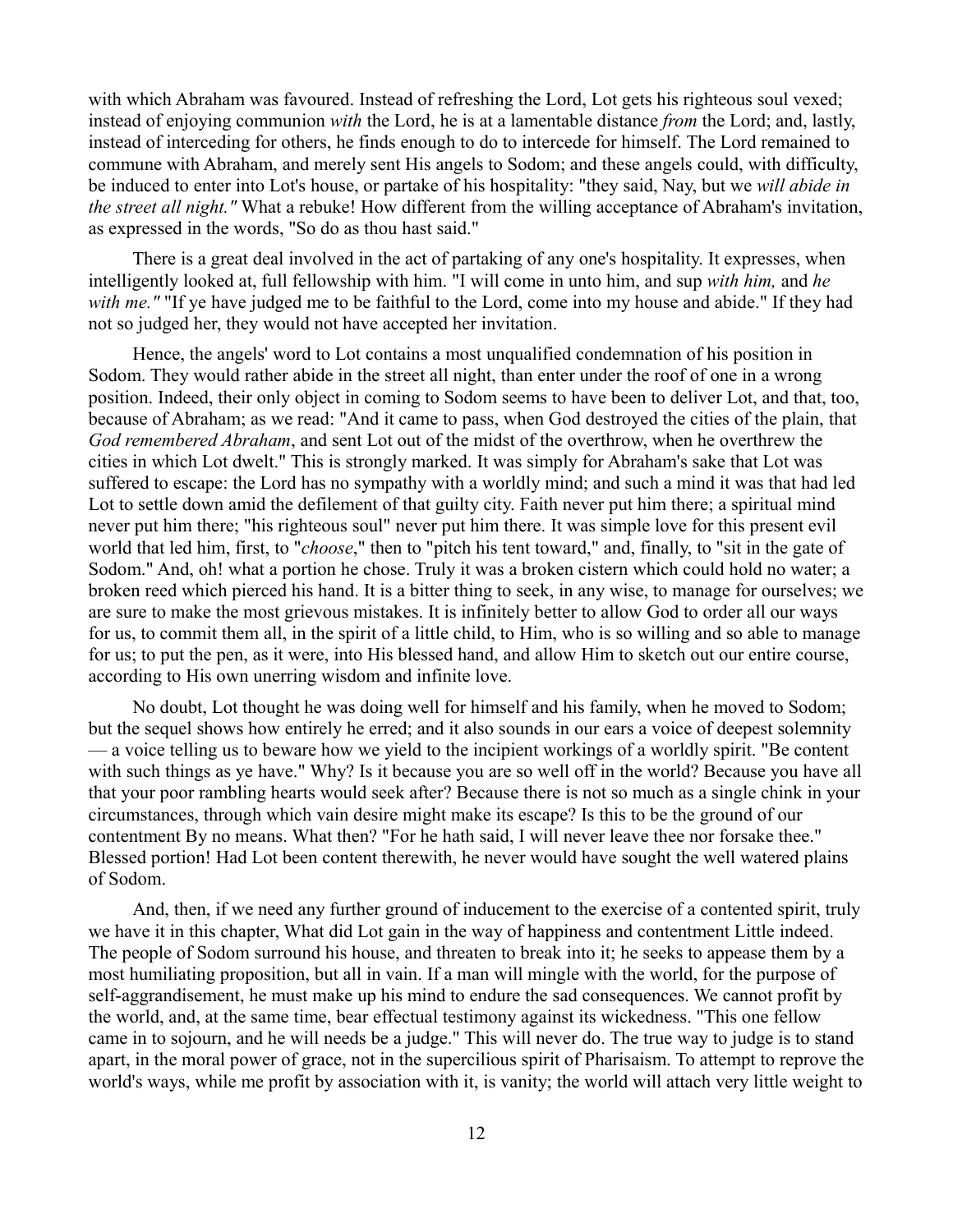with which Abraham was favoured. Instead of refreshing the Lord, Lot gets his righteous soul vexed; instead of enjoying communion *with* the Lord, he is at a lamentable distance *from* the Lord; and, lastly, instead of interceding for others, he finds enough to do to intercede for himself. The Lord remained to commune with Abraham, and merely sent His angels to Sodom; and these angels could, with difficulty, be induced to enter into Lot's house, or partake of his hospitality: "they said, Nay, but we *will abide in the street all night."* What a rebuke! How different from the willing acceptance of Abraham's invitation, as expressed in the words, "So do as thou hast said."

There is a great deal involved in the act of partaking of any one's hospitality. It expresses, when intelligently looked at, full fellowship with him. "I will come in unto him, and sup *with him,* and *he* with me." "If ye have judged me to be faithful to the Lord, come into my house and abide." If they had not so judged her, they would not have accepted her invitation.

Hence, the angels' word to Lot contains a most unqualified condemnation of his position in Sodom. They would rather abide in the street all night, than enter under the roof of one in a wrong position. Indeed, their only object in coming to Sodom seems to have been to deliver Lot, and that, too, because of Abraham; as we read: "And it came to pass, when God destroyed the cities of the plain, that *God remembered Abraham*, and sent Lot out of the midst of the overthrow, when he overthrew the cities in which Lot dwelt." This is strongly marked. It was simply for Abraham's sake that Lot was suffered to escape: the Lord has no sympathy with a worldly mind; and such a mind it was that had led Lot to settle down amid the defilement of that guilty city. Faith never put him there; a spiritual mind never put him there; "his righteous soul" never put him there. It was simple love for this present evil world that led him, first, to "*choose*," then to "pitch his tent toward," and, finally, to "sit in the gate of Sodom." And, oh! what a portion he chose. Truly it was a broken cistern which could hold no water; a broken reed which pierced his hand. It is a bitter thing to seek, in any wise, to manage for ourselves; we are sure to make the most grievous mistakes. It is infinitely better to allow God to order all our ways for us, to commit them all, in the spirit of a little child, to Him, who is so willing and so able to manage for us; to put the pen, as it were, into His blessed hand, and allow Him to sketch out our entire course, according to His own unerring wisdom and infinite love.

No doubt, Lot thought he was doing well for himself and his family, when he moved to Sodom; but the sequel shows how entirely he erred; and it also sounds in our ears a voice of deepest solemnity — a voice telling us to beware how we yield to the incipient workings of a worldly spirit. "Be content with such things as ye have." Why? Is it because you are so well off in the world? Because you have all that your poor rambling hearts would seek after? Because there is not so much as a single chink in your circumstances, through which vain desire might make its escape? Is this to be the ground of our contentment By no means. What then? "For he hath said, I will never leave thee nor forsake thee." Blessed portion! Had Lot been content therewith, he never would have sought the well watered plains of Sodom.

And, then, if we need any further ground of inducement to the exercise of a contented spirit, truly we have it in this chapter, What did Lot gain in the way of happiness and contentment Little indeed. The people of Sodom surround his house, and threaten to break into it; he seeks to appease them by a most humiliating proposition, but all in vain. If a man will mingle with the world, for the purpose of self-aggrandisement, he must make up his mind to endure the sad consequences. We cannot profit by the world, and, at the same time, bear effectual testimony against its wickedness. "This one fellow came in to sojourn, and he will needs be a judge." This will never do. The true way to judge is to stand apart, in the moral power of grace, not in the supercilious spirit of Pharisaism. To attempt to reprove the world's ways, while me profit by association with it, is vanity; the world will attach very little weight to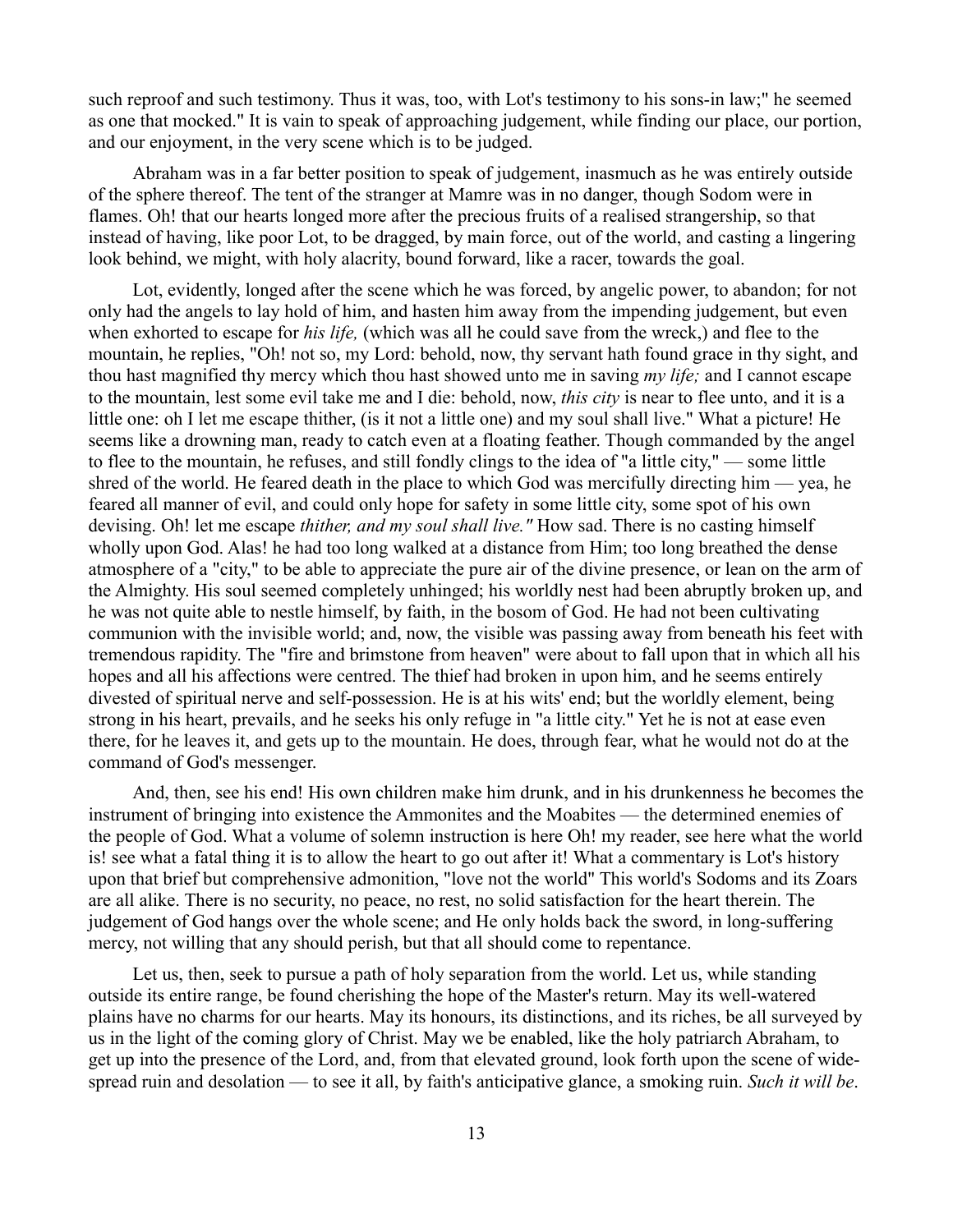such reproof and such testimony. Thus it was, too, with Lot's testimony to his sons-in law;" he seemed as one that mocked." It is vain to speak of approaching judgement, while finding our place, our portion, and our enjoyment, in the very scene which is to be judged.

Abraham was in a far better position to speak of judgement, inasmuch as he was entirely outside of the sphere thereof. The tent of the stranger at Mamre was in no danger, though Sodom were in flames. Oh! that our hearts longed more after the precious fruits of a realised strangership, so that instead of having, like poor Lot, to be dragged, by main force, out of the world, and casting a lingering look behind, we might, with holy alacrity, bound forward, like a racer, towards the goal.

Lot, evidently, longed after the scene which he was forced, by angelic power, to abandon; for not only had the angels to lay hold of him, and hasten him away from the impending judgement, but even when exhorted to escape for *his life,* (which was all he could save from the wreck,) and flee to the mountain, he replies, "Oh! not so, my Lord: behold, now, thy servant hath found grace in thy sight, and thou hast magnified thy mercy which thou hast showed unto me in saving *my life;* and I cannot escape to the mountain, lest some evil take me and I die: behold, now, *this city* is near to flee unto, and it is a little one: oh I let me escape thither, (is it not a little one) and my soul shall live." What a picture! He seems like a drowning man, ready to catch even at a floating feather. Though commanded by the angel to flee to the mountain, he refuses, and still fondly clings to the idea of "a little city," — some little shred of the world. He feared death in the place to which God was mercifully directing him — yea, he feared all manner of evil, and could only hope for safety in some little city, some spot of his own devising. Oh! let me escape *thither, and my soul shall live."* How sad. There is no casting himself wholly upon God. Alas! he had too long walked at a distance from Him; too long breathed the dense atmosphere of a "city," to be able to appreciate the pure air of the divine presence, or lean on the arm of the Almighty. His soul seemed completely unhinged; his worldly nest had been abruptly broken up, and he was not quite able to nestle himself, by faith, in the bosom of God. He had not been cultivating communion with the invisible world; and, now, the visible was passing away from beneath his feet with tremendous rapidity. The "fire and brimstone from heaven" were about to fall upon that in which all his hopes and all his affections were centred. The thief had broken in upon him, and he seems entirely divested of spiritual nerve and self-possession. He is at his wits' end; but the worldly element, being strong in his heart, prevails, and he seeks his only refuge in "a little city." Yet he is not at ease even there, for he leaves it, and gets up to the mountain. He does, through fear, what he would not do at the command of God's messenger.

And, then, see his end! His own children make him drunk, and in his drunkenness he becomes the instrument of bringing into existence the Ammonites and the Moabites — the determined enemies of the people of God. What a volume of solemn instruction is here Oh! my reader, see here what the world is! see what a fatal thing it is to allow the heart to go out after it! What a commentary is Lot's history upon that brief but comprehensive admonition, "love not the world" This world's Sodoms and its Zoars are all alike. There is no security, no peace, no rest, no solid satisfaction for the heart therein. The judgement of God hangs over the whole scene; and He only holds back the sword, in long-suffering mercy, not willing that any should perish, but that all should come to repentance.

Let us, then, seek to pursue a path of holy separation from the world. Let us, while standing outside its entire range, be found cherishing the hope of the Master's return. May its well-watered plains have no charms for our hearts. May its honours, its distinctions, and its riches, be all surveyed by us in the light of the coming glory of Christ. May we be enabled, like the holy patriarch Abraham, to get up into the presence of the Lord, and, from that elevated ground, look forth upon the scene of widespread ruin and desolation — to see it all, by faith's anticipative glance, a smoking ruin. *Such it will be*.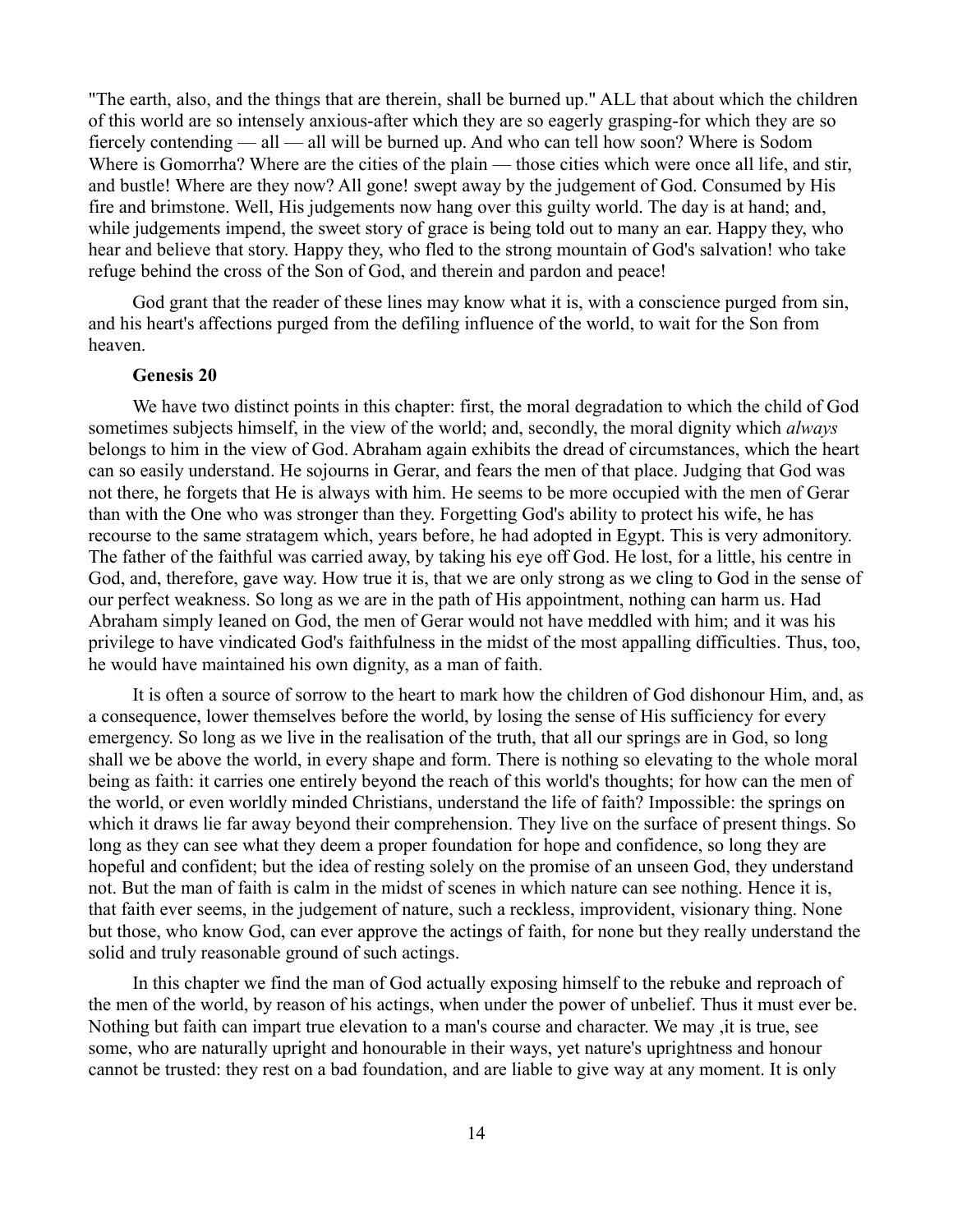"The earth, also, and the things that are therein, shall be burned up." ALL that about which the children of this world are so intensely anxious-after which they are so eagerly grasping-for which they are so fiercely contending — all — all will be burned up. And who can tell how soon? Where is Sodom Where is Gomorrha? Where are the cities of the plain — those cities which were once all life, and stir, and bustle! Where are they now? All gone! swept away by the judgement of God. Consumed by His fire and brimstone. Well, His judgements now hang over this guilty world. The day is at hand; and, while judgements impend, the sweet story of grace is being told out to many an ear. Happy they, who hear and believe that story. Happy they, who fled to the strong mountain of God's salvation! who take refuge behind the cross of the Son of God, and therein and pardon and peace!

God grant that the reader of these lines may know what it is, with a conscience purged from sin, and his heart's affections purged from the defiling influence of the world, to wait for the Son from heaven.

#### **Genesis 20**

We have two distinct points in this chapter: first, the moral degradation to which the child of God sometimes subjects himself, in the view of the world; and, secondly, the moral dignity which *always* belongs to him in the view of God. Abraham again exhibits the dread of circumstances, which the heart can so easily understand. He sojourns in Gerar, and fears the men of that place. Judging that God was not there, he forgets that He is always with him. He seems to be more occupied with the men of Gerar than with the One who was stronger than they. Forgetting God's ability to protect his wife, he has recourse to the same stratagem which, years before, he had adopted in Egypt. This is very admonitory. The father of the faithful was carried away, by taking his eye off God. He lost, for a little, his centre in God, and, therefore, gave way. How true it is, that we are only strong as we cling to God in the sense of our perfect weakness. So long as we are in the path of His appointment, nothing can harm us. Had Abraham simply leaned on God, the men of Gerar would not have meddled with him; and it was his privilege to have vindicated God's faithfulness in the midst of the most appalling difficulties. Thus, too, he would have maintained his own dignity, as a man of faith.

It is often a source of sorrow to the heart to mark how the children of God dishonour Him, and, as a consequence, lower themselves before the world, by losing the sense of His sufficiency for every emergency. So long as we live in the realisation of the truth, that all our springs are in God, so long shall we be above the world, in every shape and form. There is nothing so elevating to the whole moral being as faith: it carries one entirely beyond the reach of this world's thoughts; for how can the men of the world, or even worldly minded Christians, understand the life of faith? Impossible: the springs on which it draws lie far away beyond their comprehension. They live on the surface of present things. So long as they can see what they deem a proper foundation for hope and confidence, so long they are hopeful and confident; but the idea of resting solely on the promise of an unseen God, they understand not. But the man of faith is calm in the midst of scenes in which nature can see nothing. Hence it is, that faith ever seems, in the judgement of nature, such a reckless, improvident, visionary thing. None but those, who know God, can ever approve the actings of faith, for none but they really understand the solid and truly reasonable ground of such actings.

In this chapter we find the man of God actually exposing himself to the rebuke and reproach of the men of the world, by reason of his actings, when under the power of unbelief. Thus it must ever be. Nothing but faith can impart true elevation to a man's course and character. We may ,it is true, see some, who are naturally upright and honourable in their ways, yet nature's uprightness and honour cannot be trusted: they rest on a bad foundation, and are liable to give way at any moment. It is only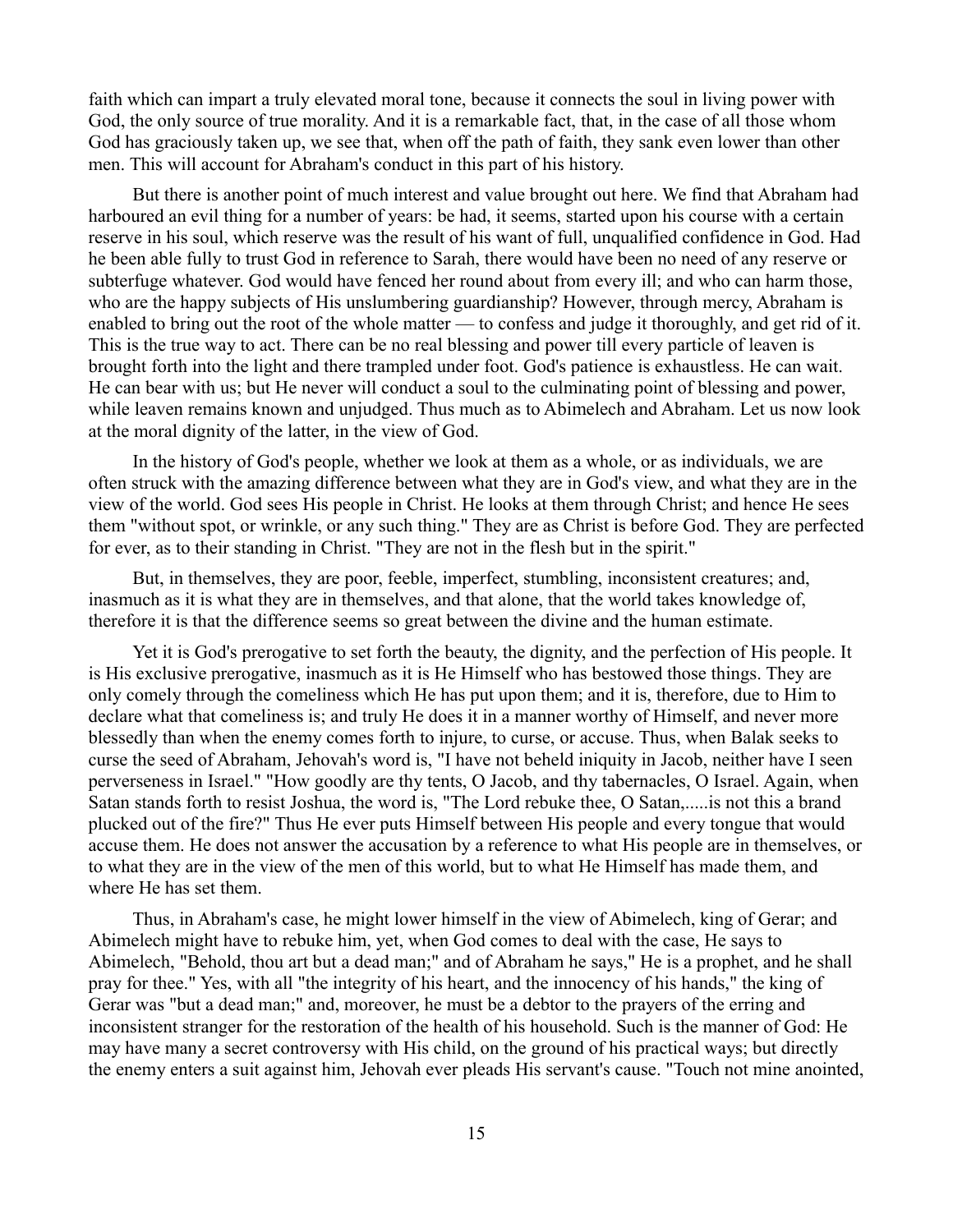faith which can impart a truly elevated moral tone, because it connects the soul in living power with God, the only source of true morality. And it is a remarkable fact, that, in the case of all those whom God has graciously taken up, we see that, when off the path of faith, they sank even lower than other men. This will account for Abraham's conduct in this part of his history.

But there is another point of much interest and value brought out here. We find that Abraham had harboured an evil thing for a number of years: be had, it seems, started upon his course with a certain reserve in his soul, which reserve was the result of his want of full, unqualified confidence in God. Had he been able fully to trust God in reference to Sarah, there would have been no need of any reserve or subterfuge whatever. God would have fenced her round about from every ill; and who can harm those, who are the happy subjects of His unslumbering guardianship? However, through mercy, Abraham is enabled to bring out the root of the whole matter — to confess and judge it thoroughly, and get rid of it. This is the true way to act. There can be no real blessing and power till every particle of leaven is brought forth into the light and there trampled under foot. God's patience is exhaustless. He can wait. He can bear with us; but He never will conduct a soul to the culminating point of blessing and power, while leaven remains known and unjudged. Thus much as to Abimelech and Abraham. Let us now look at the moral dignity of the latter, in the view of God.

In the history of God's people, whether we look at them as a whole, or as individuals, we are often struck with the amazing difference between what they are in God's view, and what they are in the view of the world. God sees His people in Christ. He looks at them through Christ; and hence He sees them "without spot, or wrinkle, or any such thing." They are as Christ is before God. They are perfected for ever, as to their standing in Christ. "They are not in the flesh but in the spirit."

But, in themselves, they are poor, feeble, imperfect, stumbling, inconsistent creatures; and, inasmuch as it is what they are in themselves, and that alone, that the world takes knowledge of, therefore it is that the difference seems so great between the divine and the human estimate.

Yet it is God's prerogative to set forth the beauty, the dignity, and the perfection of His people. It is His exclusive prerogative, inasmuch as it is He Himself who has bestowed those things. They are only comely through the comeliness which He has put upon them; and it is, therefore, due to Him to declare what that comeliness is; and truly He does it in a manner worthy of Himself, and never more blessedly than when the enemy comes forth to injure, to curse, or accuse. Thus, when Balak seeks to curse the seed of Abraham, Jehovah's word is, "I have not beheld iniquity in Jacob, neither have I seen perverseness in Israel." "How goodly are thy tents, O Jacob, and thy tabernacles, O Israel. Again, when Satan stands forth to resist Joshua, the word is, "The Lord rebuke thee, O Satan,.....is not this a brand plucked out of the fire?" Thus He ever puts Himself between His people and every tongue that would accuse them. He does not answer the accusation by a reference to what His people are in themselves, or to what they are in the view of the men of this world, but to what He Himself has made them, and where He has set them.

Thus, in Abraham's case, he might lower himself in the view of Abimelech, king of Gerar; and Abimelech might have to rebuke him, yet, when God comes to deal with the case, He says to Abimelech, "Behold, thou art but a dead man;" and of Abraham he says," He is a prophet, and he shall pray for thee." Yes, with all "the integrity of his heart, and the innocency of his hands," the king of Gerar was "but a dead man;" and, moreover, he must be a debtor to the prayers of the erring and inconsistent stranger for the restoration of the health of his household. Such is the manner of God: He may have many a secret controversy with His child, on the ground of his practical ways; but directly the enemy enters a suit against him, Jehovah ever pleads His servant's cause. "Touch not mine anointed,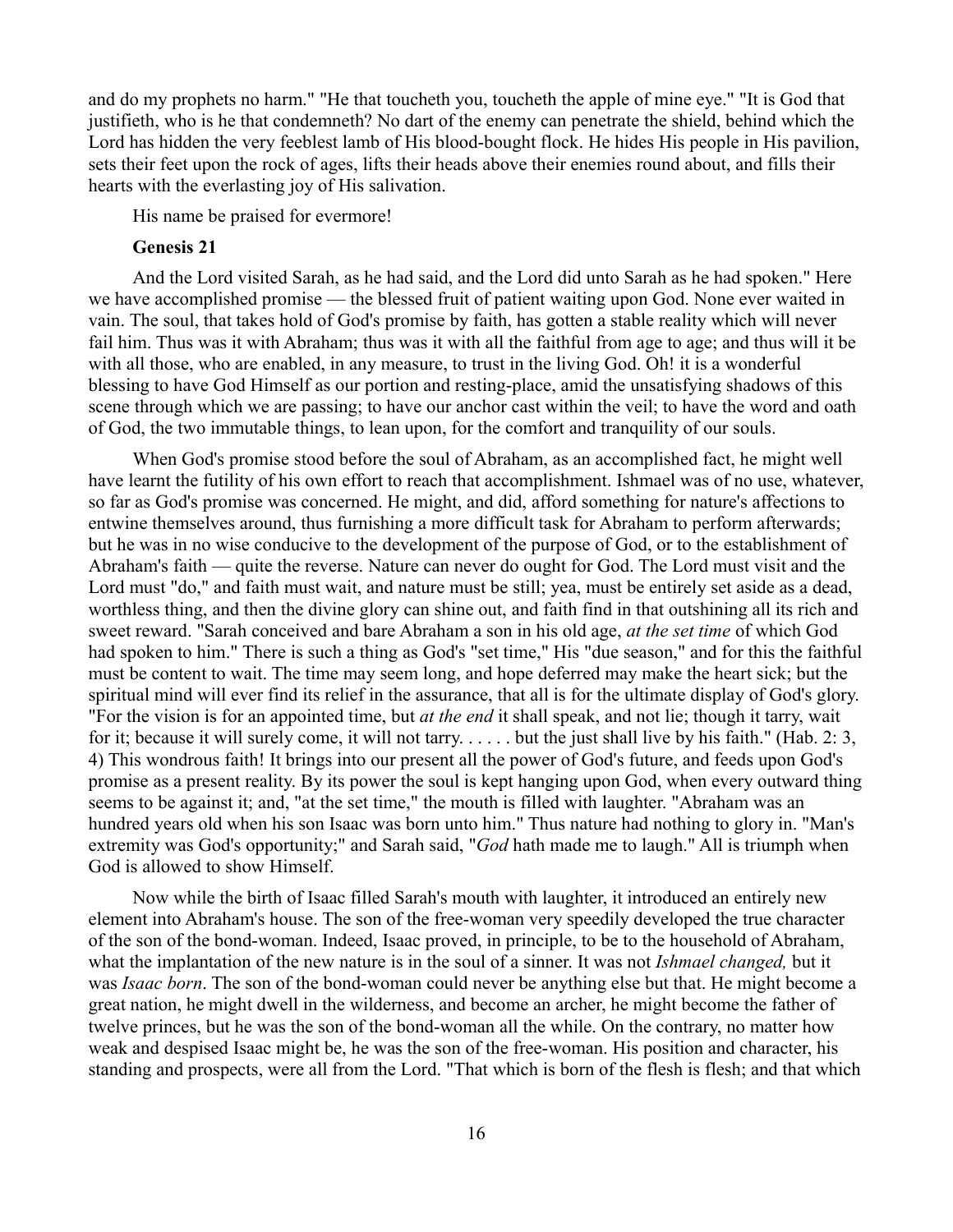and do my prophets no harm." "He that toucheth you, toucheth the apple of mine eye." "It is God that justifieth, who is he that condemneth? No dart of the enemy can penetrate the shield, behind which the Lord has hidden the very feeblest lamb of His blood-bought flock. He hides His people in His pavilion, sets their feet upon the rock of ages, lifts their heads above their enemies round about, and fills their hearts with the everlasting joy of His salivation.

His name be praised for evermore!

#### **Genesis 21**

And the Lord visited Sarah, as he had said, and the Lord did unto Sarah as he had spoken." Here we have accomplished promise — the blessed fruit of patient waiting upon God. None ever waited in vain. The soul, that takes hold of God's promise by faith, has gotten a stable reality which will never fail him. Thus was it with Abraham; thus was it with all the faithful from age to age; and thus will it be with all those, who are enabled, in any measure, to trust in the living God. Oh! it is a wonderful blessing to have God Himself as our portion and resting-place, amid the unsatisfying shadows of this scene through which we are passing; to have our anchor cast within the veil; to have the word and oath of God, the two immutable things, to lean upon, for the comfort and tranquility of our souls.

When God's promise stood before the soul of Abraham, as an accomplished fact, he might well have learnt the futility of his own effort to reach that accomplishment. Ishmael was of no use, whatever, so far as God's promise was concerned. He might, and did, afford something for nature's affections to entwine themselves around, thus furnishing a more difficult task for Abraham to perform afterwards; but he was in no wise conducive to the development of the purpose of God, or to the establishment of Abraham's faith — quite the reverse. Nature can never do ought for God. The Lord must visit and the Lord must "do," and faith must wait, and nature must be still; yea, must be entirely set aside as a dead, worthless thing, and then the divine glory can shine out, and faith find in that outshining all its rich and sweet reward. "Sarah conceived and bare Abraham a son in his old age, *at the set time* of which God had spoken to him." There is such a thing as God's "set time," His "due season," and for this the faithful must be content to wait. The time may seem long, and hope deferred may make the heart sick; but the spiritual mind will ever find its relief in the assurance, that all is for the ultimate display of God's glory. "For the vision is for an appointed time, but *at the end* it shall speak, and not lie; though it tarry, wait for it; because it will surely come, it will not tarry. . . . . . but the just shall live by his faith." (Hab. 2: 3, 4) This wondrous faith! It brings into our present all the power of God's future, and feeds upon God's promise as a present reality. By its power the soul is kept hanging upon God, when every outward thing seems to be against it; and, "at the set time," the mouth is filled with laughter. "Abraham was an hundred years old when his son Isaac was born unto him." Thus nature had nothing to glory in. "Man's extremity was God's opportunity;" and Sarah said, "*God* hath made me to laugh." All is triumph when God is allowed to show Himself.

Now while the birth of Isaac filled Sarah's mouth with laughter, it introduced an entirely new element into Abraham's house. The son of the free-woman very speedily developed the true character of the son of the bond-woman. Indeed, Isaac proved, in principle, to be to the household of Abraham, what the implantation of the new nature is in the soul of a sinner. It was not *Ishmael changed,* but it was *Isaac born*. The son of the bond-woman could never be anything else but that. He might become a great nation, he might dwell in the wilderness, and become an archer, he might become the father of twelve princes, but he was the son of the bond-woman all the while. On the contrary, no matter how weak and despised Isaac might be, he was the son of the free-woman. His position and character, his standing and prospects, were all from the Lord. "That which is born of the flesh is flesh; and that which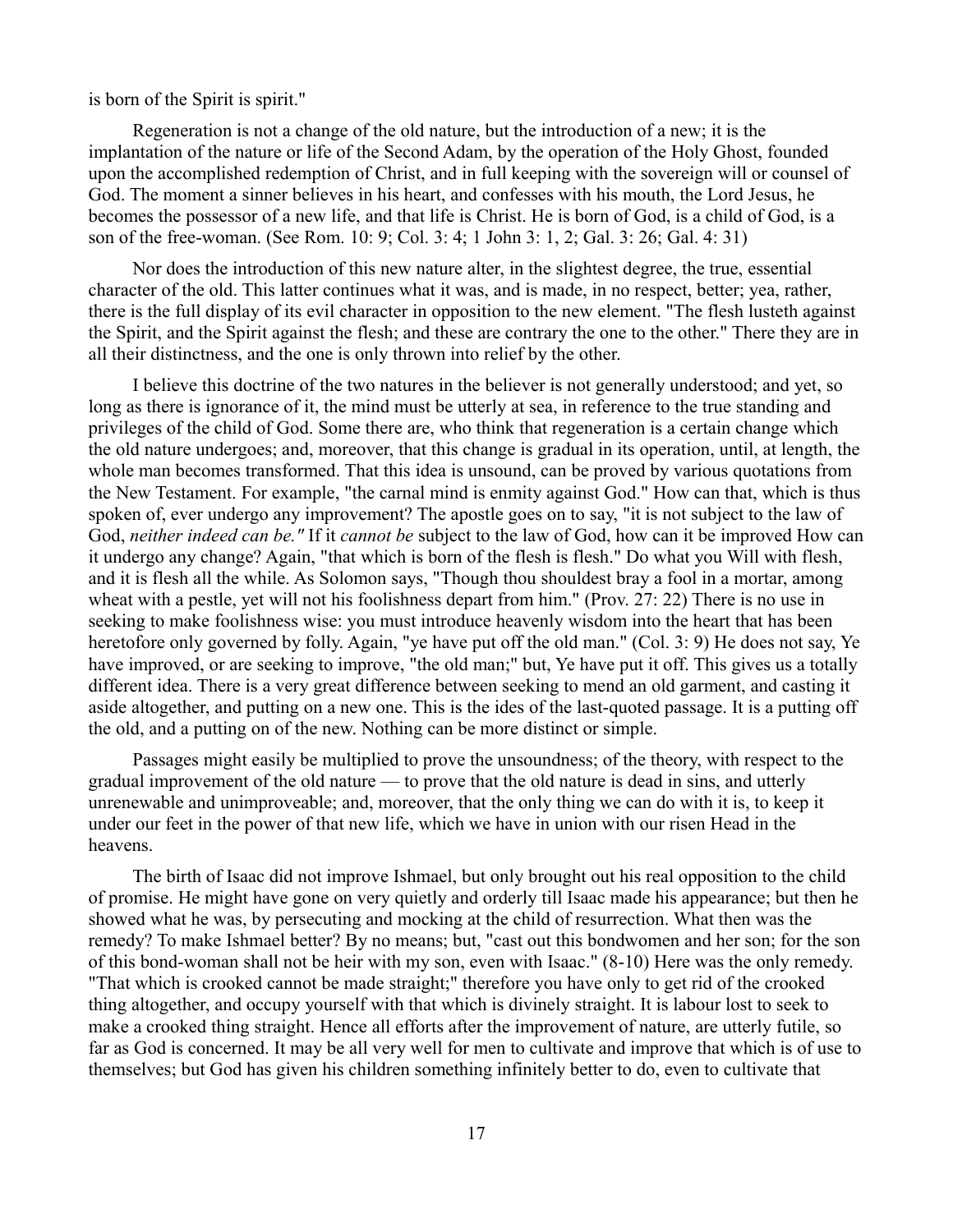is born of the Spirit is spirit."

Regeneration is not a change of the old nature, but the introduction of a new; it is the implantation of the nature or life of the Second Adam, by the operation of the Holy Ghost, founded upon the accomplished redemption of Christ, and in full keeping with the sovereign will or counsel of God. The moment a sinner believes in his heart, and confesses with his mouth, the Lord Jesus, he becomes the possessor of a new life, and that life is Christ. He is born of God, is a child of God, is a son of the free-woman. (See Rom. 10: 9; Col. 3: 4; 1 John 3: 1, 2; Gal. 3: 26; Gal. 4: 31)

Nor does the introduction of this new nature alter, in the slightest degree, the true, essential character of the old. This latter continues what it was, and is made, in no respect, better; yea, rather, there is the full display of its evil character in opposition to the new element. "The flesh lusteth against the Spirit, and the Spirit against the flesh; and these are contrary the one to the other." There they are in all their distinctness, and the one is only thrown into relief by the other.

I believe this doctrine of the two natures in the believer is not generally understood; and yet, so long as there is ignorance of it, the mind must be utterly at sea, in reference to the true standing and privileges of the child of God. Some there are, who think that regeneration is a certain change which the old nature undergoes; and, moreover, that this change is gradual in its operation, until, at length, the whole man becomes transformed. That this idea is unsound, can be proved by various quotations from the New Testament. For example, "the carnal mind is enmity against God." How can that, which is thus spoken of, ever undergo any improvement? The apostle goes on to say, "it is not subject to the law of God, *neither indeed can be."* If it *cannot be* subject to the law of God, how can it be improved How can it undergo any change? Again, "that which is born of the flesh is flesh." Do what you Will with flesh, and it is flesh all the while. As Solomon says, "Though thou shouldest bray a fool in a mortar, among wheat with a pestle, yet will not his foolishness depart from him." (Prov. 27: 22) There is no use in seeking to make foolishness wise: you must introduce heavenly wisdom into the heart that has been heretofore only governed by folly. Again, "ye have put off the old man." (Col. 3: 9) He does not say, Ye have improved, or are seeking to improve, "the old man;" but, Ye have put it off. This gives us a totally different idea. There is a very great difference between seeking to mend an old garment, and casting it aside altogether, and putting on a new one. This is the ides of the last-quoted passage. It is a putting off the old, and a putting on of the new. Nothing can be more distinct or simple.

Passages might easily be multiplied to prove the unsoundness; of the theory, with respect to the gradual improvement of the old nature — to prove that the old nature is dead in sins, and utterly unrenewable and unimproveable; and, moreover, that the only thing we can do with it is, to keep it under our feet in the power of that new life, which we have in union with our risen Head in the heavens.

The birth of Isaac did not improve Ishmael, but only brought out his real opposition to the child of promise. He might have gone on very quietly and orderly till Isaac made his appearance; but then he showed what he was, by persecuting and mocking at the child of resurrection. What then was the remedy? To make Ishmael better? By no means; but, "cast out this bondwomen and her son; for the son of this bond-woman shall not be heir with my son, even with Isaac." (8-10) Here was the only remedy. "That which is crooked cannot be made straight;" therefore you have only to get rid of the crooked thing altogether, and occupy yourself with that which is divinely straight. It is labour lost to seek to make a crooked thing straight. Hence all efforts after the improvement of nature, are utterly futile, so far as God is concerned. It may be all very well for men to cultivate and improve that which is of use to themselves; but God has given his children something infinitely better to do, even to cultivate that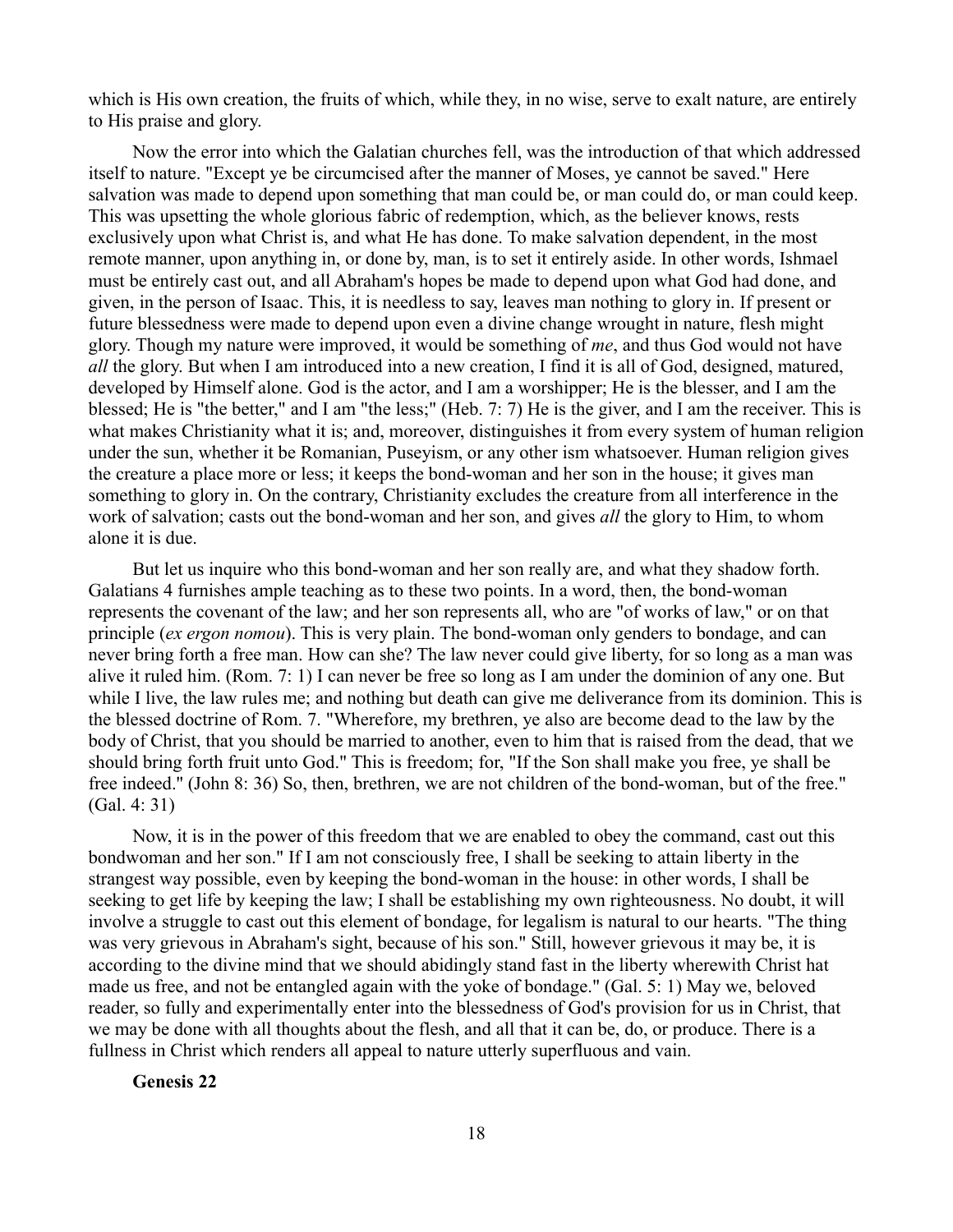which is His own creation, the fruits of which, while they, in no wise, serve to exalt nature, are entirely to His praise and glory.

Now the error into which the Galatian churches fell, was the introduction of that which addressed itself to nature. "Except ye be circumcised after the manner of Moses, ye cannot be saved." Here salvation was made to depend upon something that man could be, or man could do, or man could keep. This was upsetting the whole glorious fabric of redemption, which, as the believer knows, rests exclusively upon what Christ is, and what He has done. To make salvation dependent, in the most remote manner, upon anything in, or done by, man, is to set it entirely aside. In other words, Ishmael must be entirely cast out, and all Abraham's hopes be made to depend upon what God had done, and given, in the person of Isaac. This, it is needless to say, leaves man nothing to glory in. If present or future blessedness were made to depend upon even a divine change wrought in nature, flesh might glory. Though my nature were improved, it would be something of *me*, and thus God would not have *all* the glory. But when I am introduced into a new creation, I find it is all of God, designed, matured, developed by Himself alone. God is the actor, and I am a worshipper; He is the blesser, and I am the blessed; He is "the better," and I am "the less;" (Heb. 7: 7) He is the giver, and I am the receiver. This is what makes Christianity what it is; and, moreover, distinguishes it from every system of human religion under the sun, whether it be Romanian, Puseyism, or any other ism whatsoever. Human religion gives the creature a place more or less; it keeps the bond-woman and her son in the house; it gives man something to glory in. On the contrary, Christianity excludes the creature from all interference in the work of salvation; casts out the bond-woman and her son, and gives *all* the glory to Him, to whom alone it is due.

But let us inquire who this bond-woman and her son really are, and what they shadow forth. Galatians 4 furnishes ample teaching as to these two points. In a word, then, the bond-woman represents the covenant of the law; and her son represents all, who are "of works of law," or on that principle (*ex ergon nomou*). This is very plain. The bond-woman only genders to bondage, and can never bring forth a free man. How can she? The law never could give liberty, for so long as a man was alive it ruled him. (Rom. 7: 1) I can never be free so long as I am under the dominion of any one. But while I live, the law rules me; and nothing but death can give me deliverance from its dominion. This is the blessed doctrine of Rom. 7. "Wherefore, my brethren, ye also are become dead to the law by the body of Christ, that you should be married to another, even to him that is raised from the dead, that we should bring forth fruit unto God." This is freedom; for, "If the Son shall make you free, ye shall be free indeed.'' (John 8: 36) So, then, brethren, we are not children of the bond-woman, but of the free." (Gal. 4: 31)

Now, it is in the power of this freedom that we are enabled to obey the command, cast out this bondwoman and her son." If I am not consciously free, I shall be seeking to attain liberty in the strangest way possible, even by keeping the bond-woman in the house: in other words, I shall be seeking to get life by keeping the law; I shall be establishing my own righteousness. No doubt, it will involve a struggle to cast out this element of bondage, for legalism is natural to our hearts. "The thing was very grievous in Abraham's sight, because of his son." Still, however grievous it may be, it is according to the divine mind that we should abidingly stand fast in the liberty wherewith Christ hat made us free, and not be entangled again with the yoke of bondage." (Gal. 5: 1) May we, beloved reader, so fully and experimentally enter into the blessedness of God's provision for us in Christ, that we may be done with all thoughts about the flesh, and all that it can be, do, or produce. There is a fullness in Christ which renders all appeal to nature utterly superfluous and vain.

**Genesis 22**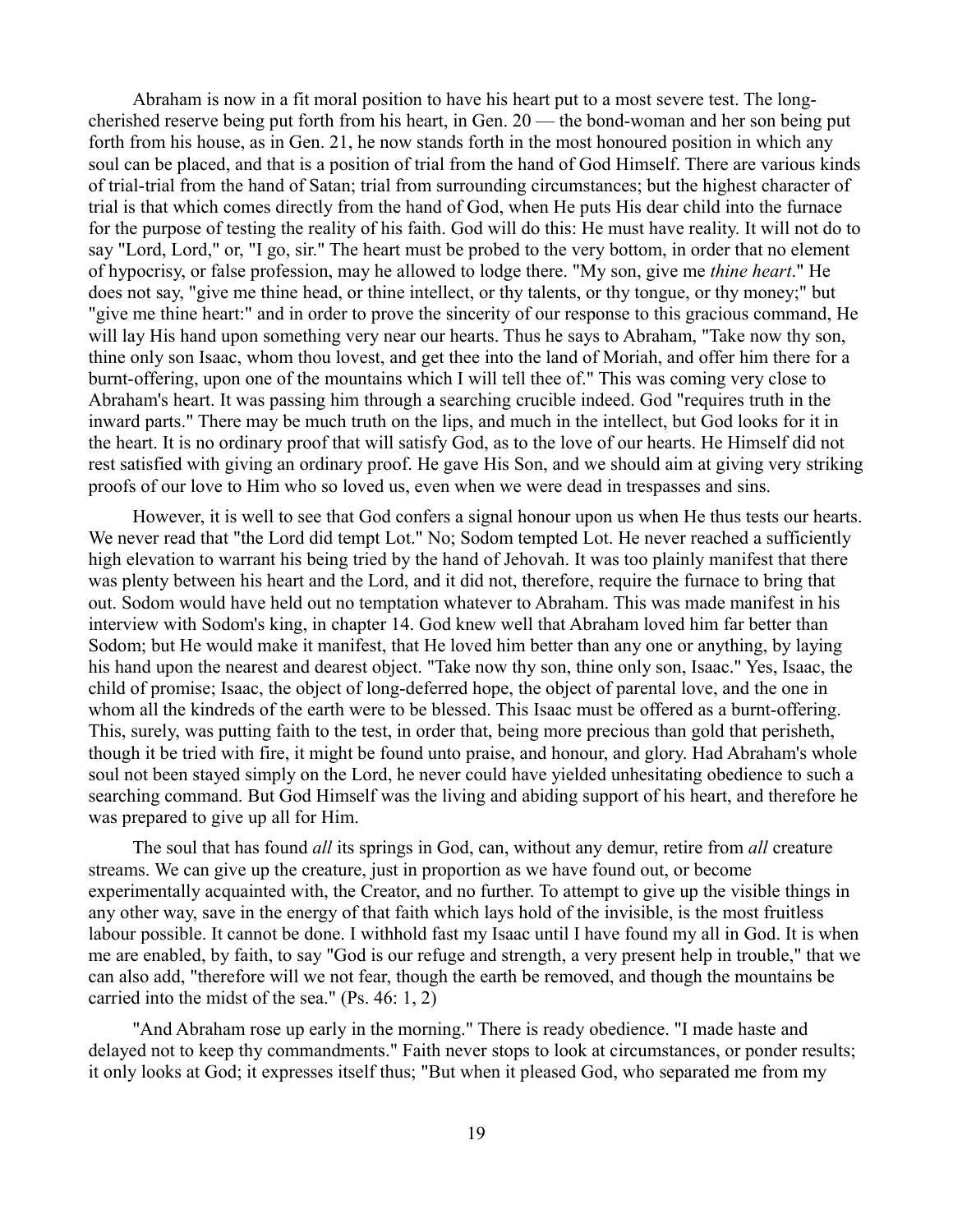Abraham is now in a fit moral position to have his heart put to a most severe test. The longcherished reserve being put forth from his heart, in Gen. 20 — the bond-woman and her son being put forth from his house, as in Gen. 21, he now stands forth in the most honoured position in which any soul can be placed, and that is a position of trial from the hand of God Himself. There are various kinds of trial-trial from the hand of Satan; trial from surrounding circumstances; but the highest character of trial is that which comes directly from the hand of God, when He puts His dear child into the furnace for the purpose of testing the reality of his faith. God will do this: He must have reality. It will not do to say "Lord, Lord," or, "I go, sir." The heart must be probed to the very bottom, in order that no element of hypocrisy, or false profession, may he allowed to lodge there. "My son, give me *thine heart*." He does not say, "give me thine head, or thine intellect, or thy talents, or thy tongue, or thy money;" but "give me thine heart:" and in order to prove the sincerity of our response to this gracious command, He will lay His hand upon something very near our hearts. Thus he says to Abraham, "Take now thy son, thine only son Isaac, whom thou lovest, and get thee into the land of Moriah, and offer him there for a burnt-offering, upon one of the mountains which I will tell thee of." This was coming very close to Abraham's heart. It was passing him through a searching crucible indeed. God "requires truth in the inward parts." There may be much truth on the lips, and much in the intellect, but God looks for it in the heart. It is no ordinary proof that will satisfy God, as to the love of our hearts. He Himself did not rest satisfied with giving an ordinary proof. He gave His Son, and we should aim at giving very striking proofs of our love to Him who so loved us, even when we were dead in trespasses and sins.

However, it is well to see that God confers a signal honour upon us when He thus tests our hearts. We never read that "the Lord did tempt Lot." No; Sodom tempted Lot. He never reached a sufficiently high elevation to warrant his being tried by the hand of Jehovah. It was too plainly manifest that there was plenty between his heart and the Lord, and it did not, therefore, require the furnace to bring that out. Sodom would have held out no temptation whatever to Abraham. This was made manifest in his interview with Sodom's king, in chapter 14. God knew well that Abraham loved him far better than Sodom; but He would make it manifest, that He loved him better than any one or anything, by laying his hand upon the nearest and dearest object. "Take now thy son, thine only son, Isaac." Yes, Isaac, the child of promise; Isaac, the object of long-deferred hope, the object of parental love, and the one in whom all the kindreds of the earth were to be blessed. This Isaac must be offered as a burnt-offering. This, surely, was putting faith to the test, in order that, being more precious than gold that perisheth, though it be tried with fire, it might be found unto praise, and honour, and glory. Had Abraham's whole soul not been stayed simply on the Lord, he never could have yielded unhesitating obedience to such a searching command. But God Himself was the living and abiding support of his heart, and therefore he was prepared to give up all for Him.

The soul that has found *all* its springs in God, can, without any demur, retire from *all* creature streams. We can give up the creature, just in proportion as we have found out, or become experimentally acquainted with, the Creator, and no further. To attempt to give up the visible things in any other way, save in the energy of that faith which lays hold of the invisible, is the most fruitless labour possible. It cannot be done. I withhold fast my Isaac until I have found my all in God. It is when me are enabled, by faith, to say "God is our refuge and strength, a very present help in trouble," that we can also add, "therefore will we not fear, though the earth be removed, and though the mountains be carried into the midst of the sea." (Ps. 46: 1, 2)

"And Abraham rose up early in the morning." There is ready obedience. "I made haste and delayed not to keep thy commandments." Faith never stops to look at circumstances, or ponder results; it only looks at God; it expresses itself thus; "But when it pleased God, who separated me from my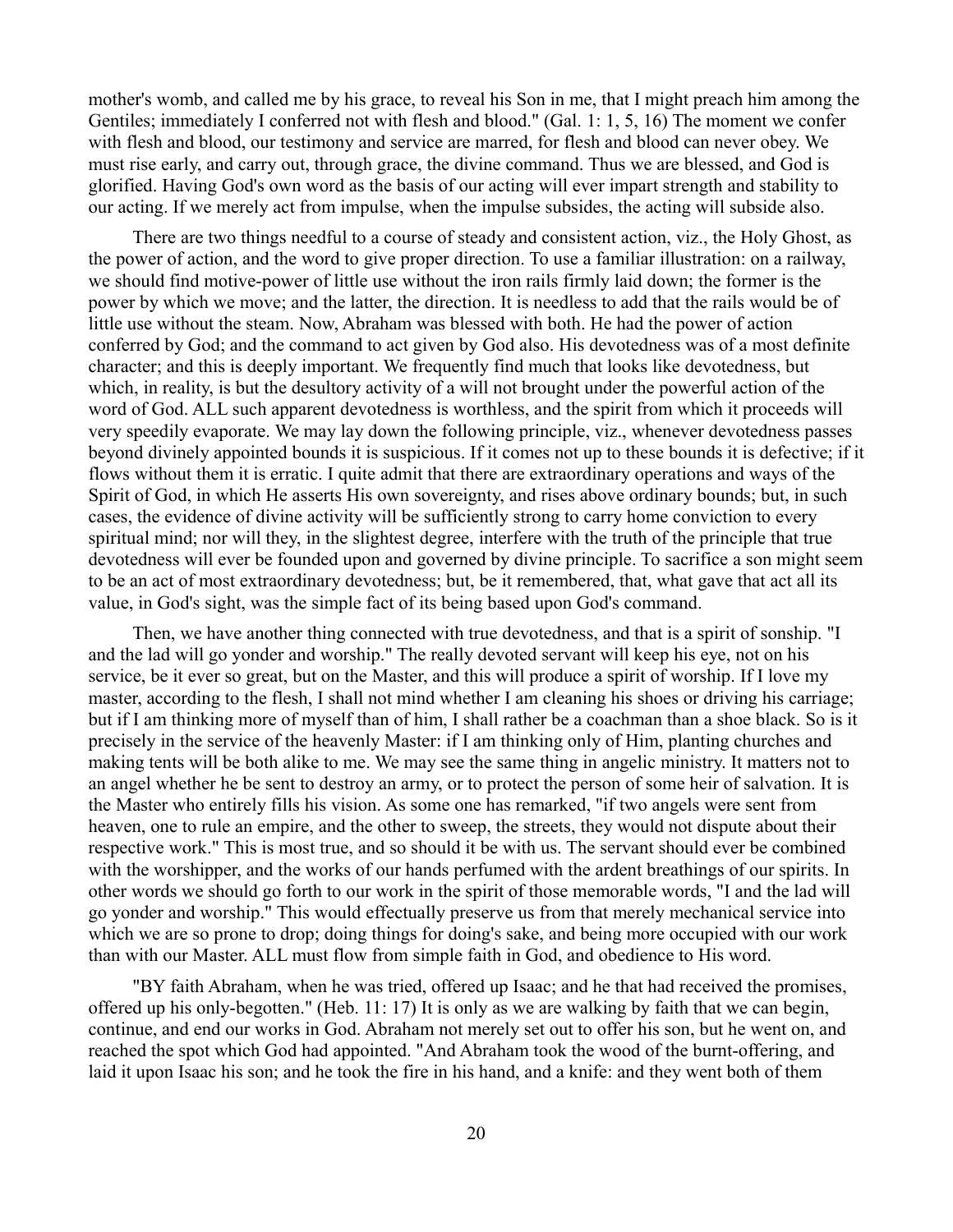mother's womb, and called me by his grace, to reveal his Son in me, that I might preach him among the Gentiles; immediately I conferred not with flesh and blood." (Gal. 1: 1, 5, 16) The moment we confer with flesh and blood, our testimony and service are marred, for flesh and blood can never obey. We must rise early, and carry out, through grace, the divine command. Thus we are blessed, and God is glorified. Having God's own word as the basis of our acting will ever impart strength and stability to our acting. If we merely act from impulse, when the impulse subsides, the acting will subside also.

There are two things needful to a course of steady and consistent action, viz., the Holy Ghost, as the power of action, and the word to give proper direction. To use a familiar illustration: on a railway, we should find motive-power of little use without the iron rails firmly laid down; the former is the power by which we move; and the latter, the direction. It is needless to add that the rails would be of little use without the steam. Now, Abraham was blessed with both. He had the power of action conferred by God; and the command to act given by God also. His devotedness was of a most definite character; and this is deeply important. We frequently find much that looks like devotedness, but which, in reality, is but the desultory activity of a will not brought under the powerful action of the word of God. ALL such apparent devotedness is worthless, and the spirit from which it proceeds will very speedily evaporate. We may lay down the following principle, viz., whenever devotedness passes beyond divinely appointed bounds it is suspicious. If it comes not up to these bounds it is defective; if it flows without them it is erratic. I quite admit that there are extraordinary operations and ways of the Spirit of God, in which He asserts His own sovereignty, and rises above ordinary bounds; but, in such cases, the evidence of divine activity will be sufficiently strong to carry home conviction to every spiritual mind; nor will they, in the slightest degree, interfere with the truth of the principle that true devotedness will ever be founded upon and governed by divine principle. To sacrifice a son might seem to be an act of most extraordinary devotedness; but, be it remembered, that, what gave that act all its value, in God's sight, was the simple fact of its being based upon God's command.

Then, we have another thing connected with true devotedness, and that is a spirit of sonship. "I and the lad will go yonder and worship." The really devoted servant will keep his eye, not on his service, be it ever so great, but on the Master, and this will produce a spirit of worship. If I love my master, according to the flesh, I shall not mind whether I am cleaning his shoes or driving his carriage; but if I am thinking more of myself than of him, I shall rather be a coachman than a shoe black. So is it precisely in the service of the heavenly Master: if I am thinking only of Him, planting churches and making tents will be both alike to me. We may see the same thing in angelic ministry. It matters not to an angel whether he be sent to destroy an army, or to protect the person of some heir of salvation. It is the Master who entirely fills his vision. As some one has remarked, "if two angels were sent from heaven, one to rule an empire, and the other to sweep, the streets, they would not dispute about their respective work." This is most true, and so should it be with us. The servant should ever be combined with the worshipper, and the works of our hands perfumed with the ardent breathings of our spirits. In other words we should go forth to our work in the spirit of those memorable words, "I and the lad will go yonder and worship." This would effectually preserve us from that merely mechanical service into which we are so prone to drop; doing things for doing's sake, and being more occupied with our work than with our Master. ALL must flow from simple faith in God, and obedience to His word.

"BY faith Abraham, when he was tried, offered up Isaac; and he that had received the promises, offered up his only-begotten." (Heb. 11: 17) It is only as we are walking by faith that we can begin, continue, and end our works in God. Abraham not merely set out to offer his son, but he went on, and reached the spot which God had appointed. "And Abraham took the wood of the burnt-offering, and laid it upon Isaac his son; and he took the fire in his hand, and a knife: and they went both of them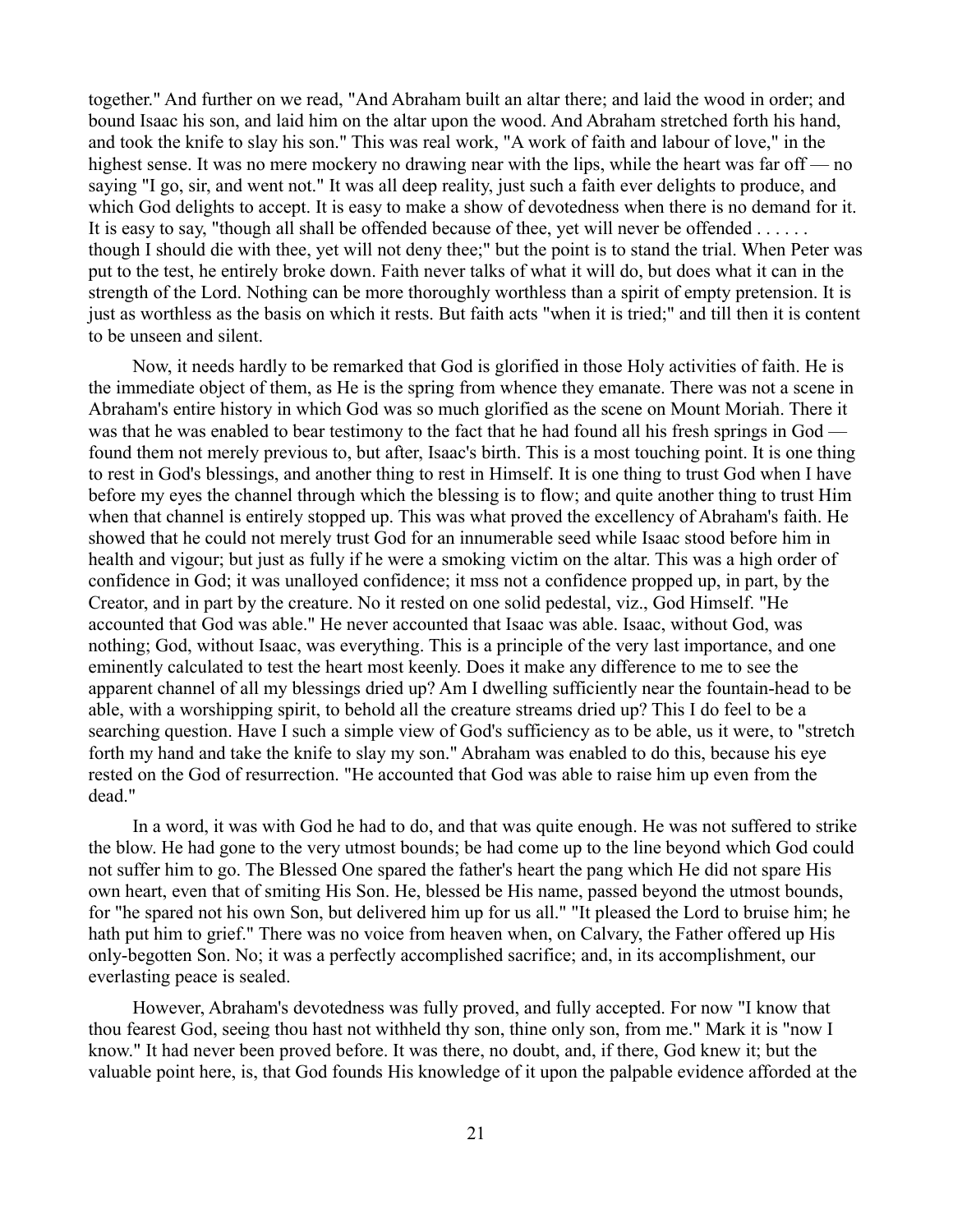together." And further on we read, "And Abraham built an altar there; and laid the wood in order; and bound Isaac his son, and laid him on the altar upon the wood. And Abraham stretched forth his hand, and took the knife to slay his son." This was real work, "A work of faith and labour of love," in the highest sense. It was no mere mockery no drawing near with the lips, while the heart was far off — no saying "I go, sir, and went not." It was all deep reality, just such a faith ever delights to produce, and which God delights to accept. It is easy to make a show of devotedness when there is no demand for it. It is easy to say, "though all shall be offended because of thee, yet will never be offended . . . . . . though I should die with thee, yet will not deny thee;" but the point is to stand the trial. When Peter was put to the test, he entirely broke down. Faith never talks of what it will do, but does what it can in the strength of the Lord. Nothing can be more thoroughly worthless than a spirit of empty pretension. It is just as worthless as the basis on which it rests. But faith acts "when it is tried;" and till then it is content to be unseen and silent.

Now, it needs hardly to be remarked that God is glorified in those Holy activities of faith. He is the immediate object of them, as He is the spring from whence they emanate. There was not a scene in Abraham's entire history in which God was so much glorified as the scene on Mount Moriah. There it was that he was enabled to bear testimony to the fact that he had found all his fresh springs in God found them not merely previous to, but after, Isaac's birth. This is a most touching point. It is one thing to rest in God's blessings, and another thing to rest in Himself. It is one thing to trust God when I have before my eyes the channel through which the blessing is to flow; and quite another thing to trust Him when that channel is entirely stopped up. This was what proved the excellency of Abraham's faith. He showed that he could not merely trust God for an innumerable seed while Isaac stood before him in health and vigour; but just as fully if he were a smoking victim on the altar. This was a high order of confidence in God; it was unalloyed confidence; it mss not a confidence propped up, in part, by the Creator, and in part by the creature. No it rested on one solid pedestal, viz., God Himself. "He accounted that God was able." He never accounted that Isaac was able. Isaac, without God, was nothing; God, without Isaac, was everything. This is a principle of the very last importance, and one eminently calculated to test the heart most keenly. Does it make any difference to me to see the apparent channel of all my blessings dried up? Am I dwelling sufficiently near the fountain-head to be able, with a worshipping spirit, to behold all the creature streams dried up? This I do feel to be a searching question. Have I such a simple view of God's sufficiency as to be able, us it were, to "stretch forth my hand and take the knife to slay my son." Abraham was enabled to do this, because his eye rested on the God of resurrection. "He accounted that God was able to raise him up even from the dead."

In a word, it was with God he had to do, and that was quite enough. He was not suffered to strike the blow. He had gone to the very utmost bounds; be had come up to the line beyond which God could not suffer him to go. The Blessed One spared the father's heart the pang which He did not spare His own heart, even that of smiting His Son. He, blessed be His name, passed beyond the utmost bounds, for "he spared not his own Son, but delivered him up for us all." "It pleased the Lord to bruise him; he hath put him to grief." There was no voice from heaven when, on Calvary, the Father offered up His only-begotten Son. No; it was a perfectly accomplished sacrifice; and, in its accomplishment, our everlasting peace is sealed.

However, Abraham's devotedness was fully proved, and fully accepted. For now "I know that thou fearest God, seeing thou hast not withheld thy son, thine only son, from me." Mark it is "now I know." It had never been proved before. It was there, no doubt, and, if there, God knew it; but the valuable point here, is, that God founds His knowledge of it upon the palpable evidence afforded at the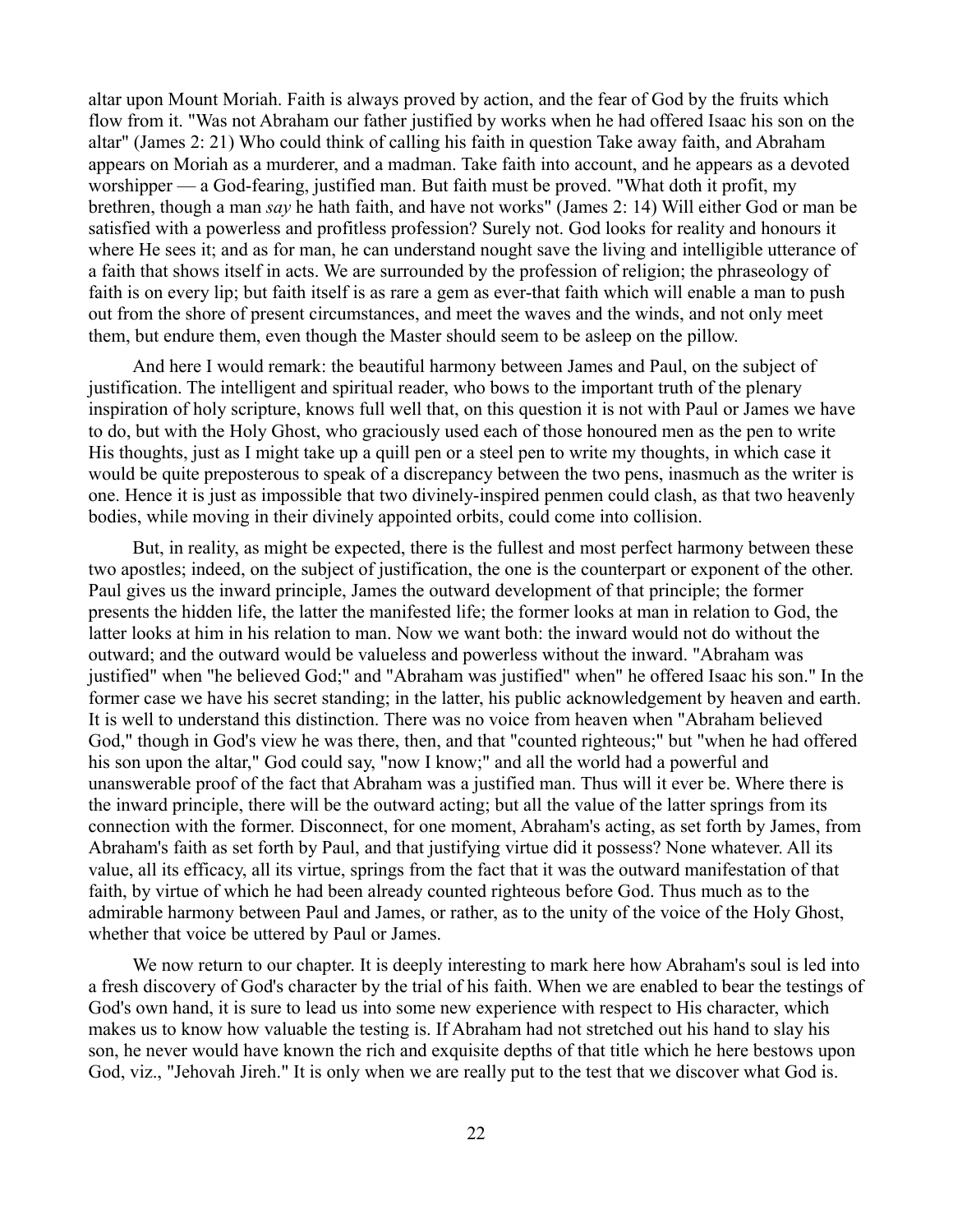altar upon Mount Moriah. Faith is always proved by action, and the fear of God by the fruits which flow from it. "Was not Abraham our father justified by works when he had offered Isaac his son on the altar" (James 2: 21) Who could think of calling his faith in question Take away faith, and Abraham appears on Moriah as a murderer, and a madman. Take faith into account, and he appears as a devoted worshipper — a God-fearing, justified man. But faith must be proved. "What doth it profit, my brethren, though a man *say* he hath faith, and have not works" (James 2: 14) Will either God or man be satisfied with a powerless and profitless profession? Surely not. God looks for reality and honours it where He sees it; and as for man, he can understand nought save the living and intelligible utterance of a faith that shows itself in acts. We are surrounded by the profession of religion; the phraseology of faith is on every lip; but faith itself is as rare a gem as ever-that faith which will enable a man to push out from the shore of present circumstances, and meet the waves and the winds, and not only meet them, but endure them, even though the Master should seem to be asleep on the pillow.

And here I would remark: the beautiful harmony between James and Paul, on the subject of justification. The intelligent and spiritual reader, who bows to the important truth of the plenary inspiration of holy scripture, knows full well that, on this question it is not with Paul or James we have to do, but with the Holy Ghost, who graciously used each of those honoured men as the pen to write His thoughts, just as I might take up a quill pen or a steel pen to write my thoughts, in which case it would be quite preposterous to speak of a discrepancy between the two pens, inasmuch as the writer is one. Hence it is just as impossible that two divinely-inspired penmen could clash, as that two heavenly bodies, while moving in their divinely appointed orbits, could come into collision.

But, in reality, as might be expected, there is the fullest and most perfect harmony between these two apostles; indeed, on the subject of justification, the one is the counterpart or exponent of the other. Paul gives us the inward principle, James the outward development of that principle; the former presents the hidden life, the latter the manifested life; the former looks at man in relation to God, the latter looks at him in his relation to man. Now we want both: the inward would not do without the outward; and the outward would be valueless and powerless without the inward. "Abraham was justified" when "he believed God;" and "Abraham was justified" when" he offered Isaac his son." In the former case we have his secret standing; in the latter, his public acknowledgement by heaven and earth. It is well to understand this distinction. There was no voice from heaven when "Abraham believed God," though in God's view he was there, then, and that "counted righteous;" but "when he had offered his son upon the altar," God could say, "now I know;" and all the world had a powerful and unanswerable proof of the fact that Abraham was a justified man. Thus will it ever be. Where there is the inward principle, there will be the outward acting; but all the value of the latter springs from its connection with the former. Disconnect, for one moment, Abraham's acting, as set forth by James, from Abraham's faith as set forth by Paul, and that justifying virtue did it possess? None whatever. All its value, all its efficacy, all its virtue, springs from the fact that it was the outward manifestation of that faith, by virtue of which he had been already counted righteous before God. Thus much as to the admirable harmony between Paul and James, or rather, as to the unity of the voice of the Holy Ghost, whether that voice be uttered by Paul or James.

We now return to our chapter. It is deeply interesting to mark here how Abraham's soul is led into a fresh discovery of God's character by the trial of his faith. When we are enabled to bear the testings of God's own hand, it is sure to lead us into some new experience with respect to His character, which makes us to know how valuable the testing is. If Abraham had not stretched out his hand to slay his son, he never would have known the rich and exquisite depths of that title which he here bestows upon God, viz., "Jehovah Jireh." It is only when we are really put to the test that we discover what God is.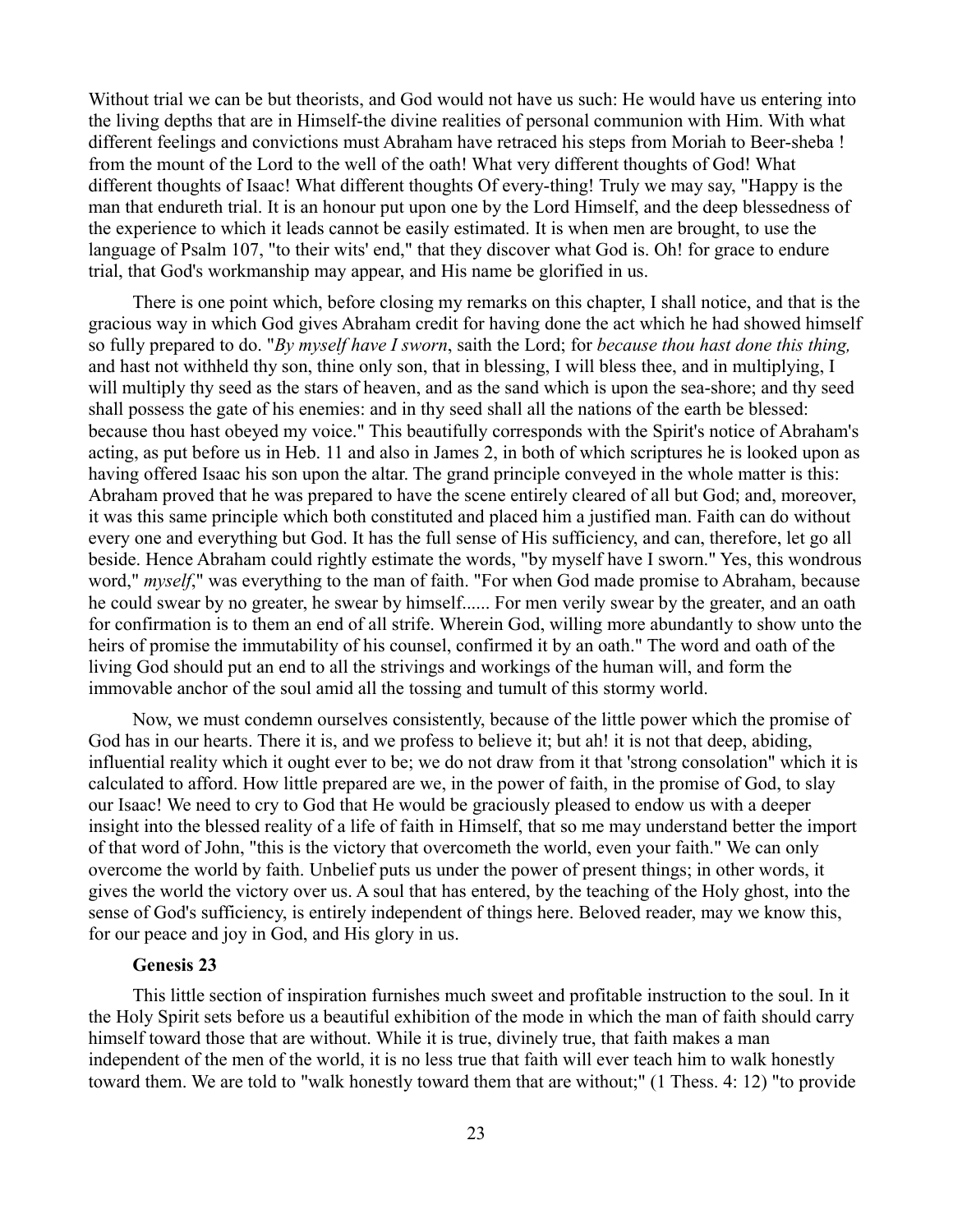Without trial we can be but theorists, and God would not have us such: He would have us entering into the living depths that are in Himself-the divine realities of personal communion with Him. With what different feelings and convictions must Abraham have retraced his steps from Moriah to Beer-sheba ! from the mount of the Lord to the well of the oath! What very different thoughts of God! What different thoughts of Isaac! What different thoughts Of every-thing! Truly we may say, "Happy is the man that endureth trial. It is an honour put upon one by the Lord Himself, and the deep blessedness of the experience to which it leads cannot be easily estimated. It is when men are brought, to use the language of Psalm 107, "to their wits' end," that they discover what God is. Oh! for grace to endure trial, that God's workmanship may appear, and His name be glorified in us.

There is one point which, before closing my remarks on this chapter, I shall notice, and that is the gracious way in which God gives Abraham credit for having done the act which he had showed himself so fully prepared to do. "*By myself have I sworn*, saith the Lord; for *because thou hast done this thing,* and hast not withheld thy son, thine only son, that in blessing, I will bless thee, and in multiplying, I will multiply thy seed as the stars of heaven, and as the sand which is upon the sea-shore; and thy seed shall possess the gate of his enemies: and in thy seed shall all the nations of the earth be blessed: because thou hast obeyed my voice." This beautifully corresponds with the Spirit's notice of Abraham's acting, as put before us in Heb. 11 and also in James 2, in both of which scriptures he is looked upon as having offered Isaac his son upon the altar. The grand principle conveyed in the whole matter is this: Abraham proved that he was prepared to have the scene entirely cleared of all but God; and, moreover, it was this same principle which both constituted and placed him a justified man. Faith can do without every one and everything but God. It has the full sense of His sufficiency, and can, therefore, let go all beside. Hence Abraham could rightly estimate the words, "by myself have I sworn." Yes, this wondrous word," *myself*," was everything to the man of faith. "For when God made promise to Abraham, because he could swear by no greater, he swear by himself...... For men verily swear by the greater, and an oath for confirmation is to them an end of all strife. Wherein God, willing more abundantly to show unto the heirs of promise the immutability of his counsel, confirmed it by an oath." The word and oath of the living God should put an end to all the strivings and workings of the human will, and form the immovable anchor of the soul amid all the tossing and tumult of this stormy world.

Now, we must condemn ourselves consistently, because of the little power which the promise of God has in our hearts. There it is, and we profess to believe it; but ah! it is not that deep, abiding, influential reality which it ought ever to be; we do not draw from it that 'strong consolation" which it is calculated to afford. How little prepared are we, in the power of faith, in the promise of God, to slay our Isaac! We need to cry to God that He would be graciously pleased to endow us with a deeper insight into the blessed reality of a life of faith in Himself, that so me may understand better the import of that word of John, "this is the victory that overcometh the world, even your faith." We can only overcome the world by faith. Unbelief puts us under the power of present things; in other words, it gives the world the victory over us. A soul that has entered, by the teaching of the Holy ghost, into the sense of God's sufficiency, is entirely independent of things here. Beloved reader, may we know this, for our peace and joy in God, and His glory in us.

## **Genesis 23**

This little section of inspiration furnishes much sweet and profitable instruction to the soul. In it the Holy Spirit sets before us a beautiful exhibition of the mode in which the man of faith should carry himself toward those that are without. While it is true, divinely true, that faith makes a man independent of the men of the world, it is no less true that faith will ever teach him to walk honestly toward them. We are told to "walk honestly toward them that are without;" (1 Thess. 4: 12) "to provide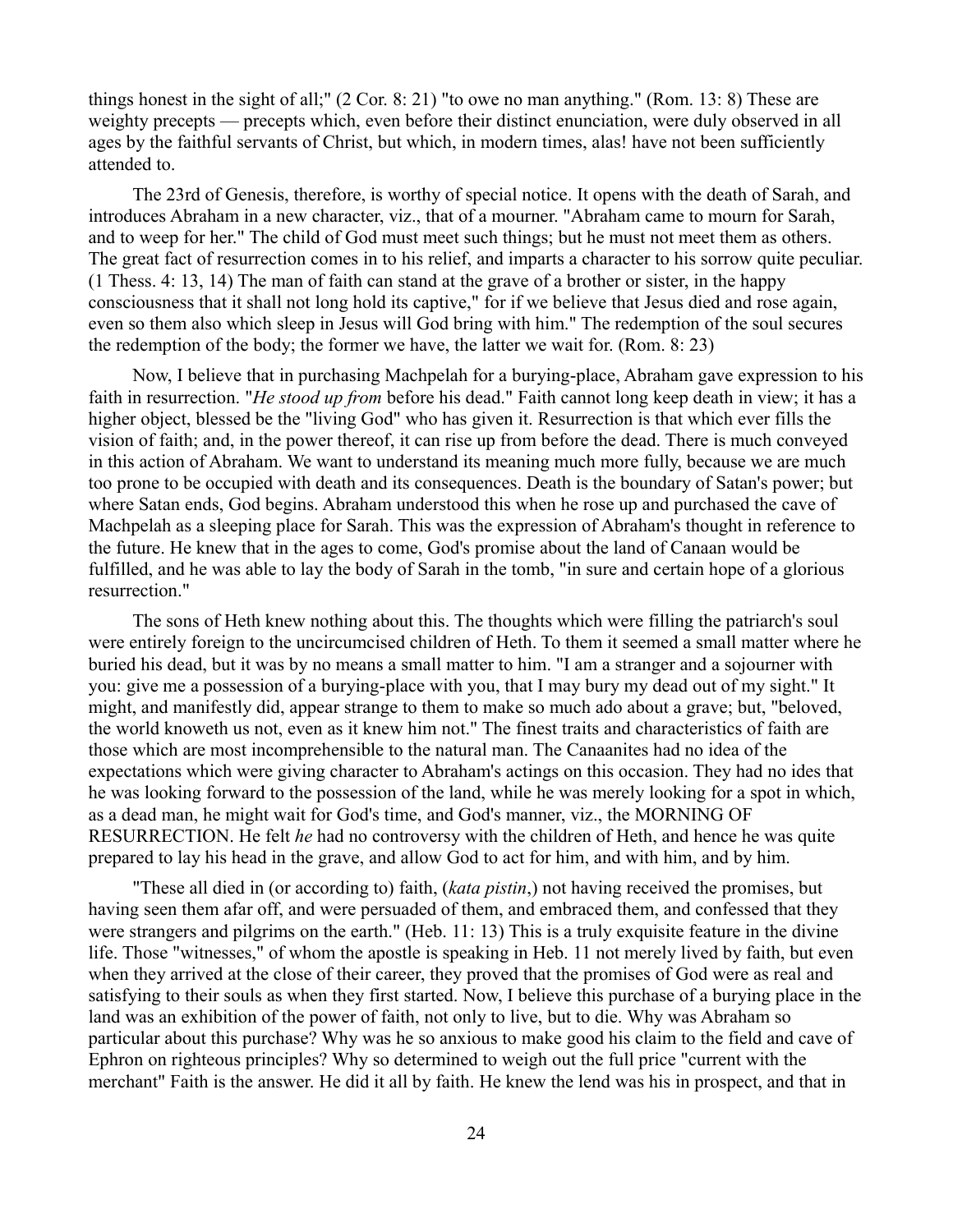things honest in the sight of all;" (2 Cor. 8: 21) "to owe no man anything." (Rom. 13: 8) These are weighty precepts — precepts which, even before their distinct enunciation, were duly observed in all ages by the faithful servants of Christ, but which, in modern times, alas! have not been sufficiently attended to.

The 23rd of Genesis, therefore, is worthy of special notice. It opens with the death of Sarah, and introduces Abraham in a new character, viz., that of a mourner. "Abraham came to mourn for Sarah, and to weep for her." The child of God must meet such things; but he must not meet them as others. The great fact of resurrection comes in to his relief, and imparts a character to his sorrow quite peculiar. (1 Thess. 4: 13, 14) The man of faith can stand at the grave of a brother or sister, in the happy consciousness that it shall not long hold its captive," for if we believe that Jesus died and rose again, even so them also which sleep in Jesus will God bring with him." The redemption of the soul secures the redemption of the body; the former we have, the latter we wait for. (Rom. 8: 23)

Now, I believe that in purchasing Machpelah for a burying-place, Abraham gave expression to his faith in resurrection. "*He stood up from* before his dead." Faith cannot long keep death in view; it has a higher object, blessed be the "living God" who has given it. Resurrection is that which ever fills the vision of faith; and, in the power thereof, it can rise up from before the dead. There is much conveyed in this action of Abraham. We want to understand its meaning much more fully, because we are much too prone to be occupied with death and its consequences. Death is the boundary of Satan's power; but where Satan ends, God begins. Abraham understood this when he rose up and purchased the cave of Machpelah as a sleeping place for Sarah. This was the expression of Abraham's thought in reference to the future. He knew that in the ages to come, God's promise about the land of Canaan would be fulfilled, and he was able to lay the body of Sarah in the tomb, "in sure and certain hope of a glorious resurrection."

The sons of Heth knew nothing about this. The thoughts which were filling the patriarch's soul were entirely foreign to the uncircumcised children of Heth. To them it seemed a small matter where he buried his dead, but it was by no means a small matter to him. "I am a stranger and a sojourner with you: give me a possession of a burying-place with you, that I may bury my dead out of my sight." It might, and manifestly did, appear strange to them to make so much ado about a grave; but, "beloved, the world knoweth us not, even as it knew him not." The finest traits and characteristics of faith are those which are most incomprehensible to the natural man. The Canaanites had no idea of the expectations which were giving character to Abraham's actings on this occasion. They had no ides that he was looking forward to the possession of the land, while he was merely looking for a spot in which, as a dead man, he might wait for God's time, and God's manner, viz., the MORNING OF RESURRECTION. He felt *he* had no controversy with the children of Heth, and hence he was quite prepared to lay his head in the grave, and allow God to act for him, and with him, and by him.

"These all died in (or according to) faith, (*kata pistin*,) not having received the promises, but having seen them afar off, and were persuaded of them, and embraced them, and confessed that they were strangers and pilgrims on the earth." (Heb. 11: 13) This is a truly exquisite feature in the divine life. Those "witnesses," of whom the apostle is speaking in Heb. 11 not merely lived by faith, but even when they arrived at the close of their career, they proved that the promises of God were as real and satisfying to their souls as when they first started. Now, I believe this purchase of a burying place in the land was an exhibition of the power of faith, not only to live, but to die. Why was Abraham so particular about this purchase? Why was he so anxious to make good his claim to the field and cave of Ephron on righteous principles? Why so determined to weigh out the full price "current with the merchant" Faith is the answer. He did it all by faith. He knew the lend was his in prospect, and that in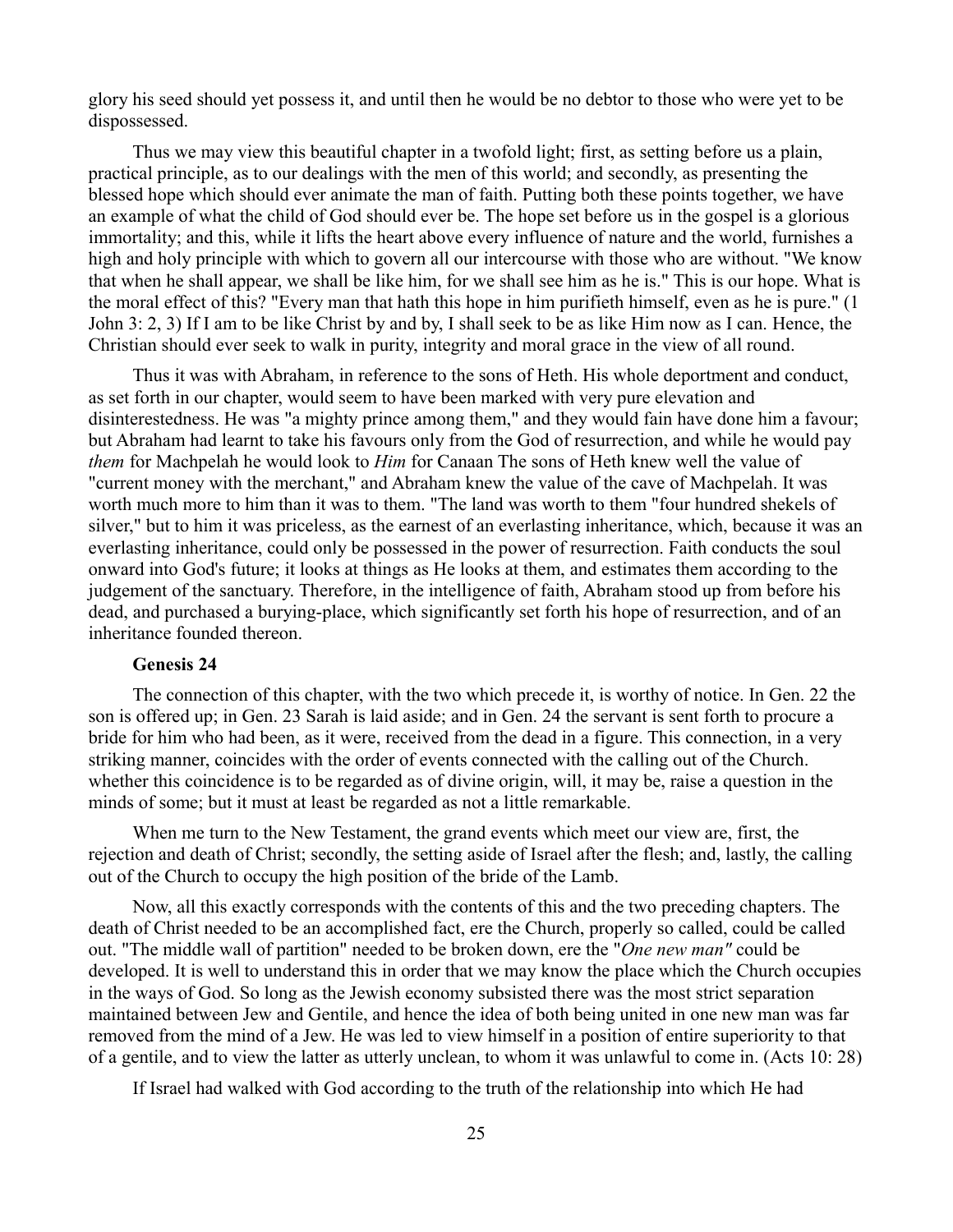glory his seed should yet possess it, and until then he would be no debtor to those who were yet to be dispossessed.

Thus we may view this beautiful chapter in a twofold light; first, as setting before us a plain, practical principle, as to our dealings with the men of this world; and secondly, as presenting the blessed hope which should ever animate the man of faith. Putting both these points together, we have an example of what the child of God should ever be. The hope set before us in the gospel is a glorious immortality; and this, while it lifts the heart above every influence of nature and the world, furnishes a high and holy principle with which to govern all our intercourse with those who are without. "We know that when he shall appear, we shall be like him, for we shall see him as he is." This is our hope. What is the moral effect of this? "Every man that hath this hope in him purifieth himself, even as he is pure." (1 John 3: 2, 3) If I am to be like Christ by and by, I shall seek to be as like Him now as I can. Hence, the Christian should ever seek to walk in purity, integrity and moral grace in the view of all round.

Thus it was with Abraham, in reference to the sons of Heth. His whole deportment and conduct, as set forth in our chapter, would seem to have been marked with very pure elevation and disinterestedness. He was "a mighty prince among them," and they would fain have done him a favour; but Abraham had learnt to take his favours only from the God of resurrection, and while he would pay *them* for Machpelah he would look to *Him* for Canaan The sons of Heth knew well the value of "current money with the merchant," and Abraham knew the value of the cave of Machpelah. It was worth much more to him than it was to them. "The land was worth to them "four hundred shekels of silver," but to him it was priceless, as the earnest of an everlasting inheritance, which, because it was an everlasting inheritance, could only be possessed in the power of resurrection. Faith conducts the soul onward into God's future; it looks at things as He looks at them, and estimates them according to the judgement of the sanctuary. Therefore, in the intelligence of faith, Abraham stood up from before his dead, and purchased a burying-place, which significantly set forth his hope of resurrection, and of an inheritance founded thereon.

# **Genesis 24**

The connection of this chapter, with the two which precede it, is worthy of notice. In Gen. 22 the son is offered up; in Gen. 23 Sarah is laid aside; and in Gen. 24 the servant is sent forth to procure a bride for him who had been, as it were, received from the dead in a figure. This connection, in a very striking manner, coincides with the order of events connected with the calling out of the Church. whether this coincidence is to be regarded as of divine origin, will, it may be, raise a question in the minds of some; but it must at least be regarded as not a little remarkable.

When me turn to the New Testament, the grand events which meet our view are, first, the rejection and death of Christ; secondly, the setting aside of Israel after the flesh; and, lastly, the calling out of the Church to occupy the high position of the bride of the Lamb.

Now, all this exactly corresponds with the contents of this and the two preceding chapters. The death of Christ needed to be an accomplished fact, ere the Church, properly so called, could be called out. "The middle wall of partition" needed to be broken down, ere the "*One new man"* could be developed. It is well to understand this in order that we may know the place which the Church occupies in the ways of God. So long as the Jewish economy subsisted there was the most strict separation maintained between Jew and Gentile, and hence the idea of both being united in one new man was far removed from the mind of a Jew. He was led to view himself in a position of entire superiority to that of a gentile, and to view the latter as utterly unclean, to whom it was unlawful to come in. (Acts 10: 28)

If Israel had walked with God according to the truth of the relationship into which He had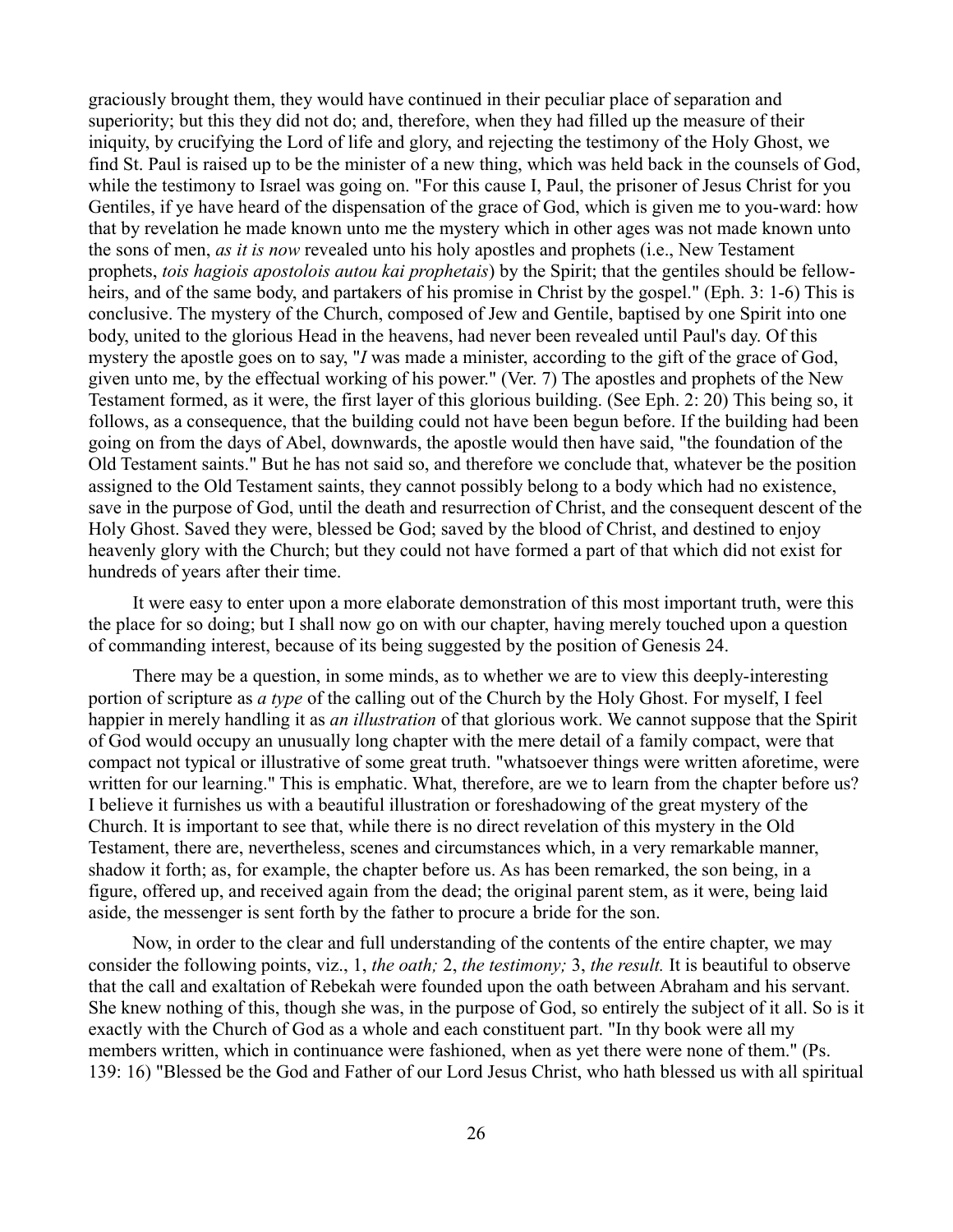graciously brought them, they would have continued in their peculiar place of separation and superiority; but this they did not do; and, therefore, when they had filled up the measure of their iniquity, by crucifying the Lord of life and glory, and rejecting the testimony of the Holy Ghost, we find St. Paul is raised up to be the minister of a new thing, which was held back in the counsels of God, while the testimony to Israel was going on. "For this cause I, Paul, the prisoner of Jesus Christ for you Gentiles, if ye have heard of the dispensation of the grace of God, which is given me to you-ward: how that by revelation he made known unto me the mystery which in other ages was not made known unto the sons of men, *as it is now* revealed unto his holy apostles and prophets (i.e., New Testament prophets, *tois hagiois apostolois autou kai prophetais*) by the Spirit; that the gentiles should be fellowheirs, and of the same body, and partakers of his promise in Christ by the gospel." (Eph. 3: 1-6) This is conclusive. The mystery of the Church, composed of Jew and Gentile, baptised by one Spirit into one body, united to the glorious Head in the heavens, had never been revealed until Paul's day. Of this mystery the apostle goes on to say, "*I* was made a minister, according to the gift of the grace of God, given unto me, by the effectual working of his power." (Ver. 7) The apostles and prophets of the New Testament formed, as it were, the first layer of this glorious building. (See Eph. 2: 20) This being so, it follows, as a consequence, that the building could not have been begun before. If the building had been going on from the days of Abel, downwards, the apostle would then have said, "the foundation of the Old Testament saints." But he has not said so, and therefore we conclude that, whatever be the position assigned to the Old Testament saints, they cannot possibly belong to a body which had no existence, save in the purpose of God, until the death and resurrection of Christ, and the consequent descent of the Holy Ghost. Saved they were, blessed be God; saved by the blood of Christ, and destined to enjoy heavenly glory with the Church; but they could not have formed a part of that which did not exist for hundreds of years after their time.

It were easy to enter upon a more elaborate demonstration of this most important truth, were this the place for so doing; but I shall now go on with our chapter, having merely touched upon a question of commanding interest, because of its being suggested by the position of Genesis 24.

There may be a question, in some minds, as to whether we are to view this deeply-interesting portion of scripture as *a type* of the calling out of the Church by the Holy Ghost. For myself, I feel happier in merely handling it as *an illustration* of that glorious work. We cannot suppose that the Spirit of God would occupy an unusually long chapter with the mere detail of a family compact, were that compact not typical or illustrative of some great truth. "whatsoever things were written aforetime, were written for our learning." This is emphatic. What, therefore, are we to learn from the chapter before us? I believe it furnishes us with a beautiful illustration or foreshadowing of the great mystery of the Church. It is important to see that, while there is no direct revelation of this mystery in the Old Testament, there are, nevertheless, scenes and circumstances which, in a very remarkable manner, shadow it forth; as, for example, the chapter before us. As has been remarked, the son being, in a figure, offered up, and received again from the dead; the original parent stem, as it were, being laid aside, the messenger is sent forth by the father to procure a bride for the son.

Now, in order to the clear and full understanding of the contents of the entire chapter, we may consider the following points, viz., 1, *the oath;* 2, *the testimony;* 3, *the result.* It is beautiful to observe that the call and exaltation of Rebekah were founded upon the oath between Abraham and his servant. She knew nothing of this, though she was, in the purpose of God, so entirely the subject of it all. So is it exactly with the Church of God as a whole and each constituent part. "In thy book were all my members written, which in continuance were fashioned, when as yet there were none of them." (Ps. 139: 16) "Blessed be the God and Father of our Lord Jesus Christ, who hath blessed us with all spiritual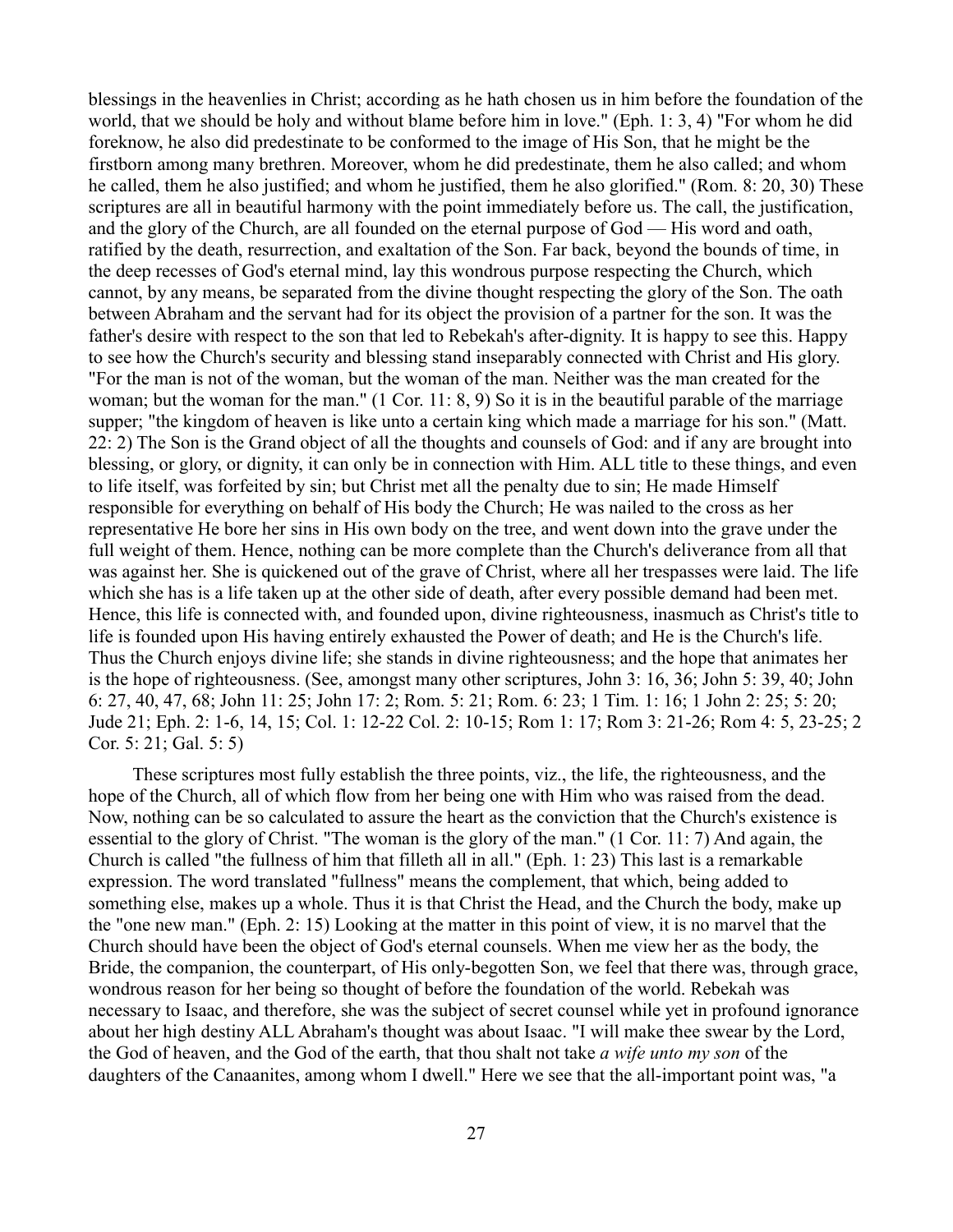blessings in the heavenlies in Christ; according as he hath chosen us in him before the foundation of the world, that we should be holy and without blame before him in love." (Eph. 1: 3, 4) "For whom he did foreknow, he also did predestinate to be conformed to the image of His Son, that he might be the firstborn among many brethren. Moreover, whom he did predestinate, them he also called; and whom he called, them he also justified; and whom he justified, them he also glorified." (Rom. 8: 20, 30) These scriptures are all in beautiful harmony with the point immediately before us. The call, the justification, and the glory of the Church, are all founded on the eternal purpose of God — His word and oath, ratified by the death, resurrection, and exaltation of the Son. Far back, beyond the bounds of time, in the deep recesses of God's eternal mind, lay this wondrous purpose respecting the Church, which cannot, by any means, be separated from the divine thought respecting the glory of the Son. The oath between Abraham and the servant had for its object the provision of a partner for the son. It was the father's desire with respect to the son that led to Rebekah's after-dignity. It is happy to see this. Happy to see how the Church's security and blessing stand inseparably connected with Christ and His glory. "For the man is not of the woman, but the woman of the man. Neither was the man created for the woman; but the woman for the man." (1 Cor. 11: 8, 9) So it is in the beautiful parable of the marriage supper; "the kingdom of heaven is like unto a certain king which made a marriage for his son." (Matt. 22: 2) The Son is the Grand object of all the thoughts and counsels of God: and if any are brought into blessing, or glory, or dignity, it can only be in connection with Him. ALL title to these things, and even to life itself, was forfeited by sin; but Christ met all the penalty due to sin; He made Himself responsible for everything on behalf of His body the Church; He was nailed to the cross as her representative He bore her sins in His own body on the tree, and went down into the grave under the full weight of them. Hence, nothing can be more complete than the Church's deliverance from all that was against her. She is quickened out of the grave of Christ, where all her trespasses were laid. The life which she has is a life taken up at the other side of death, after every possible demand had been met. Hence, this life is connected with, and founded upon, divine righteousness, inasmuch as Christ's title to life is founded upon His having entirely exhausted the Power of death; and He is the Church's life. Thus the Church enjoys divine life; she stands in divine righteousness; and the hope that animates her is the hope of righteousness. (See, amongst many other scriptures, John 3: 16, 36; John 5: 39, 40; John 6: 27, 40, 47, 68; John 11: 25; John 17: 2; Rom. 5: 21; Rom. 6: 23; 1 Tim. 1: 16; 1 John 2: 25; 5: 20; Jude 21; Eph. 2: 1-6, 14, 15; Col. 1: 12-22 Col. 2: 10-15; Rom 1: 17; Rom 3: 21-26; Rom 4: 5, 23-25; 2 Cor. 5: 21; Gal. 5: 5)

These scriptures most fully establish the three points, viz., the life, the righteousness, and the hope of the Church, all of which flow from her being one with Him who was raised from the dead. Now, nothing can be so calculated to assure the heart as the conviction that the Church's existence is essential to the glory of Christ. "The woman is the glory of the man." (1 Cor. 11: 7) And again, the Church is called "the fullness of him that filleth all in all." (Eph. 1: 23) This last is a remarkable expression. The word translated "fullness" means the complement, that which, being added to something else, makes up a whole. Thus it is that Christ the Head, and the Church the body, make up the "one new man." (Eph. 2: 15) Looking at the matter in this point of view, it is no marvel that the Church should have been the object of God's eternal counsels. When me view her as the body, the Bride, the companion, the counterpart, of His only-begotten Son, we feel that there was, through grace, wondrous reason for her being so thought of before the foundation of the world. Rebekah was necessary to Isaac, and therefore, she was the subject of secret counsel while yet in profound ignorance about her high destiny ALL Abraham's thought was about Isaac. "I will make thee swear by the Lord, the God of heaven, and the God of the earth, that thou shalt not take *a wife unto my son* of the daughters of the Canaanites, among whom I dwell." Here we see that the all-important point was, "a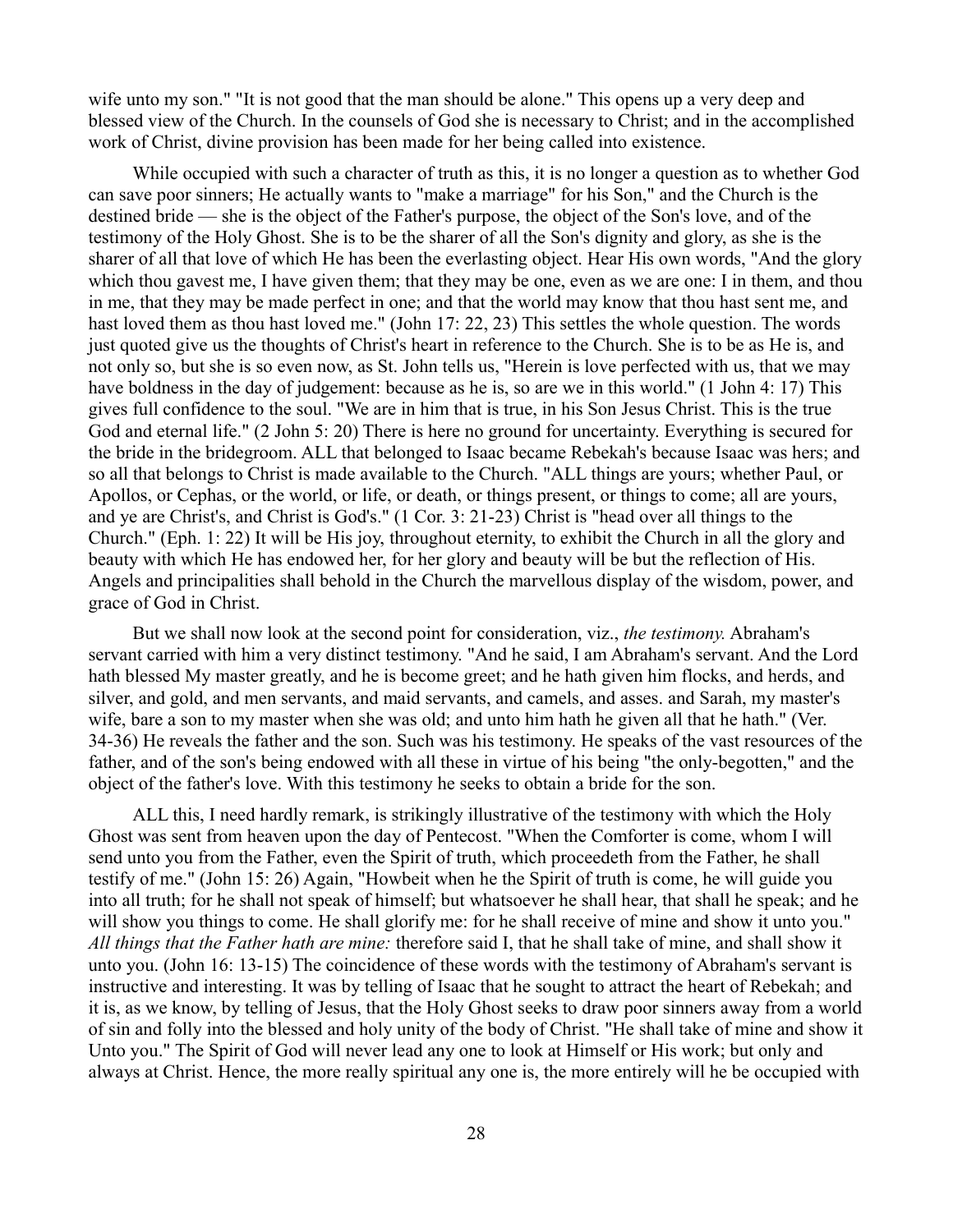wife unto my son." "It is not good that the man should be alone." This opens up a very deep and blessed view of the Church. In the counsels of God she is necessary to Christ; and in the accomplished work of Christ, divine provision has been made for her being called into existence.

While occupied with such a character of truth as this, it is no longer a question as to whether God can save poor sinners; He actually wants to "make a marriage" for his Son," and the Church is the destined bride — she is the object of the Father's purpose, the object of the Son's love, and of the testimony of the Holy Ghost. She is to be the sharer of all the Son's dignity and glory, as she is the sharer of all that love of which He has been the everlasting object. Hear His own words, "And the glory which thou gavest me, I have given them; that they may be one, even as we are one: I in them, and thou in me, that they may be made perfect in one; and that the world may know that thou hast sent me, and hast loved them as thou hast loved me." (John 17: 22, 23) This settles the whole question. The words just quoted give us the thoughts of Christ's heart in reference to the Church. She is to be as He is, and not only so, but she is so even now, as St. John tells us, "Herein is love perfected with us, that we may have boldness in the day of judgement: because as he is, so are we in this world." (1 John 4: 17) This gives full confidence to the soul. "We are in him that is true, in his Son Jesus Christ. This is the true God and eternal life." (2 John 5: 20) There is here no ground for uncertainty. Everything is secured for the bride in the bridegroom. ALL that belonged to Isaac became Rebekah's because Isaac was hers; and so all that belongs to Christ is made available to the Church. "ALL things are yours; whether Paul, or Apollos, or Cephas, or the world, or life, or death, or things present, or things to come; all are yours, and ye are Christ's, and Christ is God's." (1 Cor. 3: 21-23) Christ is "head over all things to the Church." (Eph. 1: 22) It will be His joy, throughout eternity, to exhibit the Church in all the glory and beauty with which He has endowed her, for her glory and beauty will be but the reflection of His. Angels and principalities shall behold in the Church the marvellous display of the wisdom, power, and grace of God in Christ.

But we shall now look at the second point for consideration, viz., *the testimony.* Abraham's servant carried with him a very distinct testimony. "And he said, I am Abraham's servant. And the Lord hath blessed My master greatly, and he is become greet; and he hath given him flocks, and herds, and silver, and gold, and men servants, and maid servants, and camels, and asses. and Sarah, my master's wife, bare a son to my master when she was old; and unto him hath he given all that he hath." (Ver. 34-36) He reveals the father and the son. Such was his testimony. He speaks of the vast resources of the father, and of the son's being endowed with all these in virtue of his being "the only-begotten," and the object of the father's love. With this testimony he seeks to obtain a bride for the son.

ALL this, I need hardly remark, is strikingly illustrative of the testimony with which the Holy Ghost was sent from heaven upon the day of Pentecost. "When the Comforter is come, whom I will send unto you from the Father, even the Spirit of truth, which proceedeth from the Father, he shall testify of me." (John 15: 26) Again, "Howbeit when he the Spirit of truth is come, he will guide you into all truth; for he shall not speak of himself; but whatsoever he shall hear, that shall he speak; and he will show you things to come. He shall glorify me: for he shall receive of mine and show it unto you." *All things that the Father hath are mine:* therefore said I, that he shall take of mine, and shall show it unto you. (John 16: 13-15) The coincidence of these words with the testimony of Abraham's servant is instructive and interesting. It was by telling of Isaac that he sought to attract the heart of Rebekah; and it is, as we know, by telling of Jesus, that the Holy Ghost seeks to draw poor sinners away from a world of sin and folly into the blessed and holy unity of the body of Christ. "He shall take of mine and show it Unto you." The Spirit of God will never lead any one to look at Himself or His work; but only and always at Christ. Hence, the more really spiritual any one is, the more entirely will he be occupied with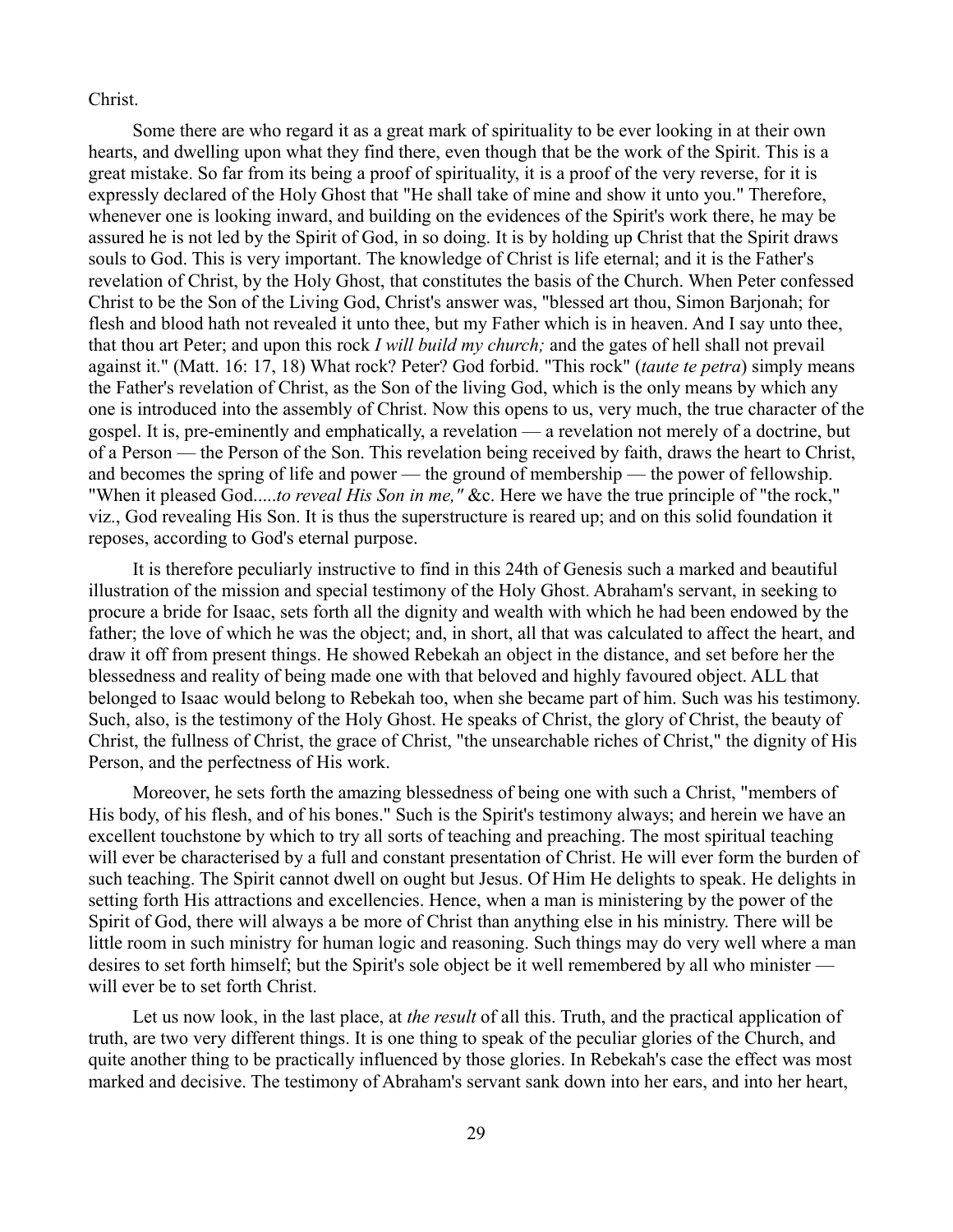### Christ.

Some there are who regard it as a great mark of spirituality to be ever looking in at their own hearts, and dwelling upon what they find there, even though that be the work of the Spirit. This is a great mistake. So far from its being a proof of spirituality, it is a proof of the very reverse, for it is expressly declared of the Holy Ghost that "He shall take of mine and show it unto you." Therefore, whenever one is looking inward, and building on the evidences of the Spirit's work there, he may be assured he is not led by the Spirit of God, in so doing. It is by holding up Christ that the Spirit draws souls to God. This is very important. The knowledge of Christ is life eternal; and it is the Father's revelation of Christ, by the Holy Ghost, that constitutes the basis of the Church. When Peter confessed Christ to be the Son of the Living God, Christ's answer was, "blessed art thou, Simon Barjonah; for flesh and blood hath not revealed it unto thee, but my Father which is in heaven. And I say unto thee, that thou art Peter; and upon this rock *I will build my church;* and the gates of hell shall not prevail against it." (Matt. 16: 17, 18) What rock? Peter? God forbid. "This rock" (*taute te petra*) simply means the Father's revelation of Christ, as the Son of the living God, which is the only means by which any one is introduced into the assembly of Christ. Now this opens to us, very much, the true character of the gospel. It is, pre-eminently and emphatically, a revelation — a revelation not merely of a doctrine, but of a Person — the Person of the Son. This revelation being received by faith, draws the heart to Christ, and becomes the spring of life and power — the ground of membership — the power of fellowship. "When it pleased God.....*to reveal His Son in me,"* &c. Here we have the true principle of "the rock," viz., God revealing His Son. It is thus the superstructure is reared up; and on this solid foundation it reposes, according to God's eternal purpose.

It is therefore peculiarly instructive to find in this 24th of Genesis such a marked and beautiful illustration of the mission and special testimony of the Holy Ghost. Abraham's servant, in seeking to procure a bride for Isaac, sets forth all the dignity and wealth with which he had been endowed by the father; the love of which he was the object; and, in short, all that was calculated to affect the heart, and draw it off from present things. He showed Rebekah an object in the distance, and set before her the blessedness and reality of being made one with that beloved and highly favoured object. ALL that belonged to Isaac would belong to Rebekah too, when she became part of him. Such was his testimony. Such, also, is the testimony of the Holy Ghost. He speaks of Christ, the glory of Christ, the beauty of Christ, the fullness of Christ, the grace of Christ, "the unsearchable riches of Christ," the dignity of His Person, and the perfectness of His work.

Moreover, he sets forth the amazing blessedness of being one with such a Christ, "members of His body, of his flesh, and of his bones." Such is the Spirit's testimony always; and herein we have an excellent touchstone by which to try all sorts of teaching and preaching. The most spiritual teaching will ever be characterised by a full and constant presentation of Christ. He will ever form the burden of such teaching. The Spirit cannot dwell on ought but Jesus. Of Him He delights to speak. He delights in setting forth His attractions and excellencies. Hence, when a man is ministering by the power of the Spirit of God, there will always a be more of Christ than anything else in his ministry. There will be little room in such ministry for human logic and reasoning. Such things may do very well where a man desires to set forth himself; but the Spirit's sole object be it well remembered by all who minister will ever be to set forth Christ.

Let us now look, in the last place, at *the result* of all this. Truth, and the practical application of truth, are two very different things. It is one thing to speak of the peculiar glories of the Church, and quite another thing to be practically influenced by those glories. In Rebekah's case the effect was most marked and decisive. The testimony of Abraham's servant sank down into her ears, and into her heart,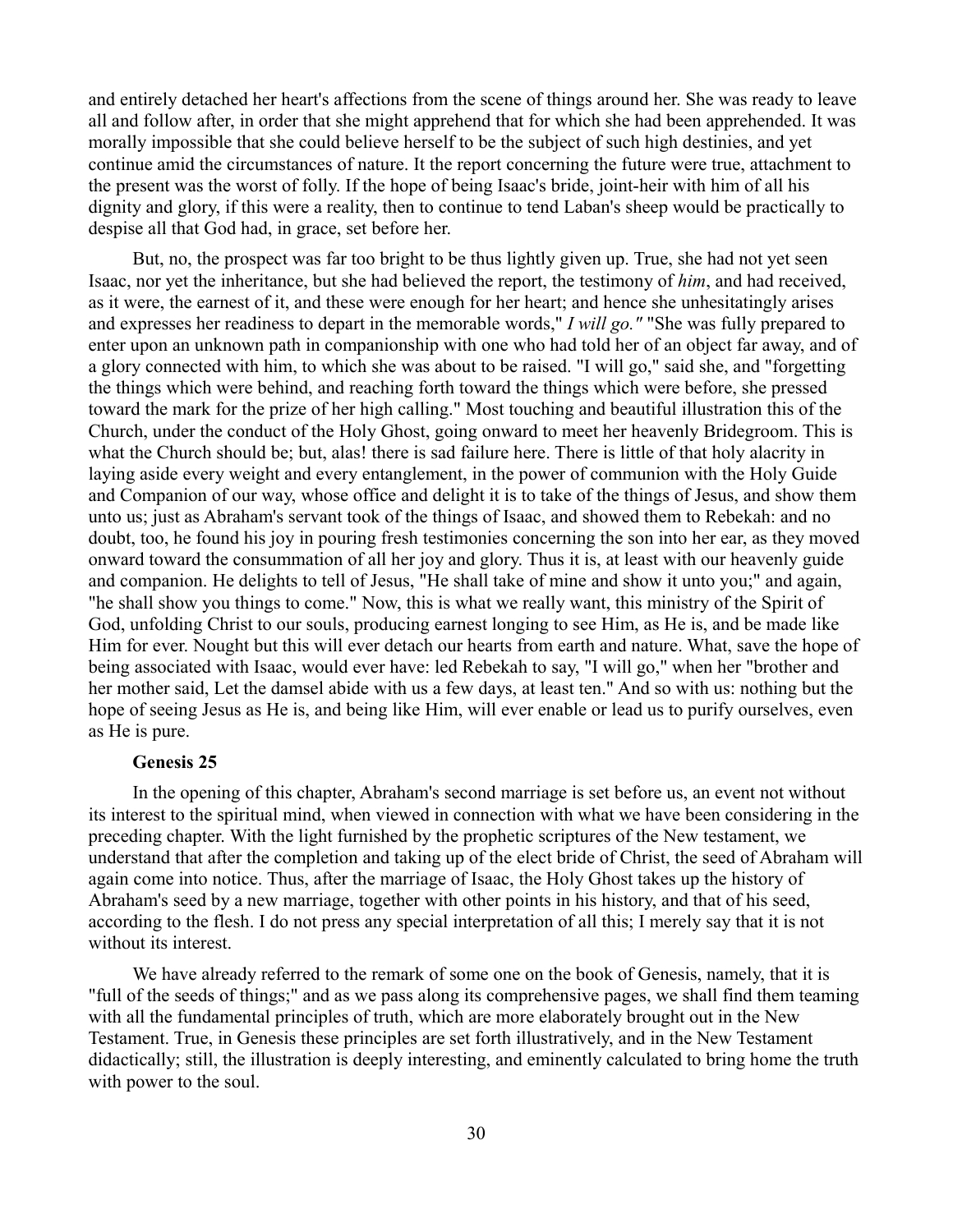and entirely detached her heart's affections from the scene of things around her. She was ready to leave all and follow after, in order that she might apprehend that for which she had been apprehended. It was morally impossible that she could believe herself to be the subject of such high destinies, and yet continue amid the circumstances of nature. It the report concerning the future were true, attachment to the present was the worst of folly. If the hope of being Isaac's bride, joint-heir with him of all his dignity and glory, if this were a reality, then to continue to tend Laban's sheep would be practically to despise all that God had, in grace, set before her.

But, no, the prospect was far too bright to be thus lightly given up. True, she had not yet seen Isaac, nor yet the inheritance, but she had believed the report, the testimony of *him*, and had received, as it were, the earnest of it, and these were enough for her heart; and hence she unhesitatingly arises and expresses her readiness to depart in the memorable words," *I will go."* "She was fully prepared to enter upon an unknown path in companionship with one who had told her of an object far away, and of a glory connected with him, to which she was about to be raised. "I will go," said she, and "forgetting the things which were behind, and reaching forth toward the things which were before, she pressed toward the mark for the prize of her high calling." Most touching and beautiful illustration this of the Church, under the conduct of the Holy Ghost, going onward to meet her heavenly Bridegroom. This is what the Church should be; but, alas! there is sad failure here. There is little of that holy alacrity in laying aside every weight and every entanglement, in the power of communion with the Holy Guide and Companion of our way, whose office and delight it is to take of the things of Jesus, and show them unto us; just as Abraham's servant took of the things of Isaac, and showed them to Rebekah: and no doubt, too, he found his joy in pouring fresh testimonies concerning the son into her ear, as they moved onward toward the consummation of all her joy and glory. Thus it is, at least with our heavenly guide and companion. He delights to tell of Jesus, "He shall take of mine and show it unto you;" and again, "he shall show you things to come." Now, this is what we really want, this ministry of the Spirit of God, unfolding Christ to our souls, producing earnest longing to see Him, as He is, and be made like Him for ever. Nought but this will ever detach our hearts from earth and nature. What, save the hope of being associated with Isaac, would ever have: led Rebekah to say, "I will go," when her "brother and her mother said, Let the damsel abide with us a few days, at least ten." And so with us: nothing but the hope of seeing Jesus as He is, and being like Him, will ever enable or lead us to purify ourselves, even as He is pure.

# **Genesis 25**

In the opening of this chapter, Abraham's second marriage is set before us, an event not without its interest to the spiritual mind, when viewed in connection with what we have been considering in the preceding chapter. With the light furnished by the prophetic scriptures of the New testament, we understand that after the completion and taking up of the elect bride of Christ, the seed of Abraham will again come into notice. Thus, after the marriage of Isaac, the Holy Ghost takes up the history of Abraham's seed by a new marriage, together with other points in his history, and that of his seed, according to the flesh. I do not press any special interpretation of all this; I merely say that it is not without its interest.

We have already referred to the remark of some one on the book of Genesis, namely, that it is "full of the seeds of things;" and as we pass along its comprehensive pages, we shall find them teaming with all the fundamental principles of truth, which are more elaborately brought out in the New Testament. True, in Genesis these principles are set forth illustratively, and in the New Testament didactically; still, the illustration is deeply interesting, and eminently calculated to bring home the truth with power to the soul.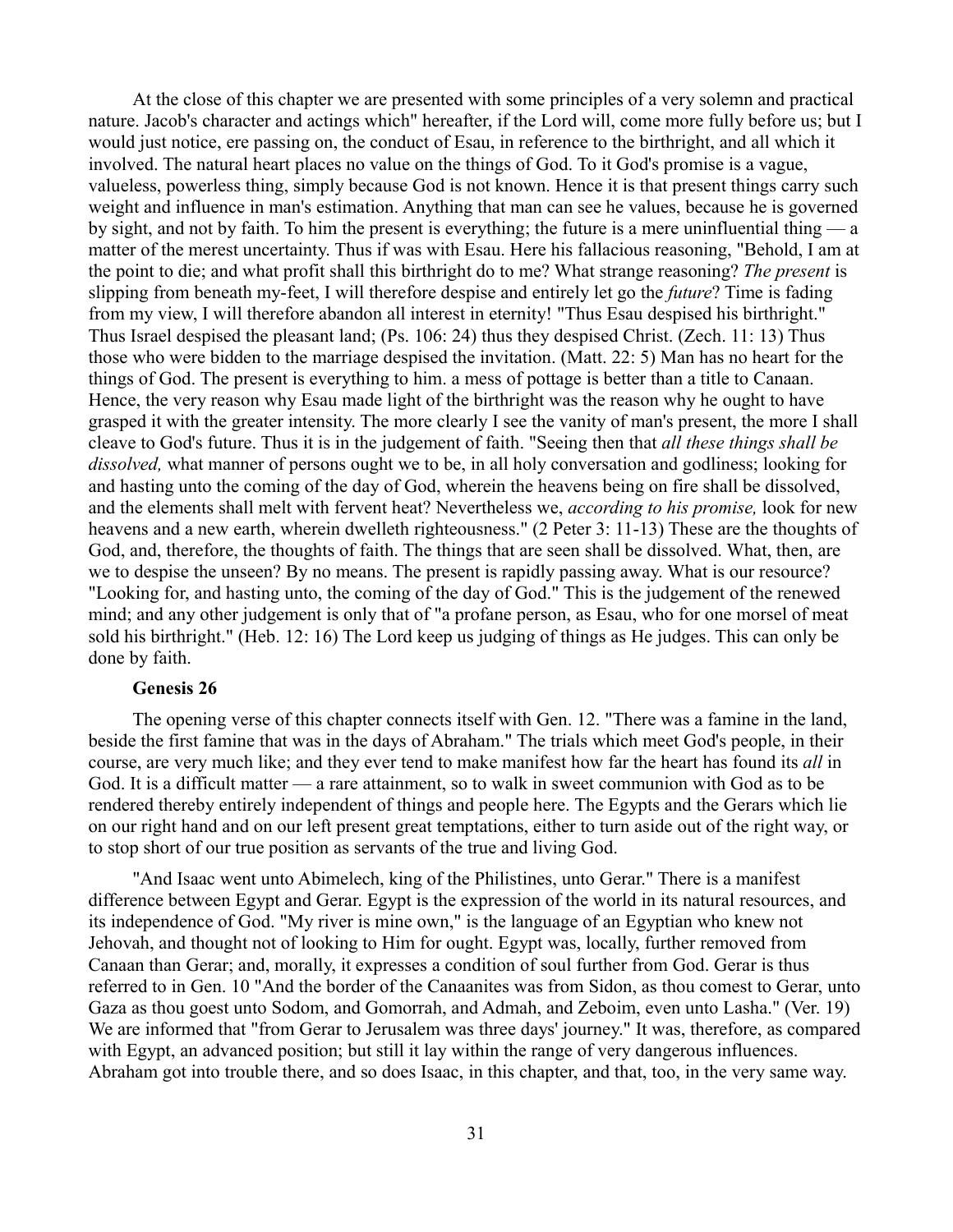At the close of this chapter we are presented with some principles of a very solemn and practical nature. Jacob's character and actings which" hereafter, if the Lord will, come more fully before us; but I would just notice, ere passing on, the conduct of Esau, in reference to the birthright, and all which it involved. The natural heart places no value on the things of God. To it God's promise is a vague, valueless, powerless thing, simply because God is not known. Hence it is that present things carry such weight and influence in man's estimation. Anything that man can see he values, because he is governed by sight, and not by faith. To him the present is everything; the future is a mere uninfluential thing — a matter of the merest uncertainty. Thus if was with Esau. Here his fallacious reasoning, "Behold, I am at the point to die; and what profit shall this birthright do to me? What strange reasoning? *The present* is slipping from beneath my-feet, I will therefore despise and entirely let go the *future*? Time is fading from my view, I will therefore abandon all interest in eternity! "Thus Esau despised his birthright." Thus Israel despised the pleasant land; (Ps. 106: 24) thus they despised Christ. (Zech. 11: 13) Thus those who were bidden to the marriage despised the invitation. (Matt. 22: 5) Man has no heart for the things of God. The present is everything to him. a mess of pottage is better than a title to Canaan. Hence, the very reason why Esau made light of the birthright was the reason why he ought to have grasped it with the greater intensity. The more clearly I see the vanity of man's present, the more I shall cleave to God's future. Thus it is in the judgement of faith. "Seeing then that *all these things shall be dissolved,* what manner of persons ought we to be, in all holy conversation and godliness; looking for and hasting unto the coming of the day of God, wherein the heavens being on fire shall be dissolved, and the elements shall melt with fervent heat? Nevertheless we, *according to his promise,* look for new heavens and a new earth, wherein dwelleth righteousness." (2 Peter 3: 11-13) These are the thoughts of God, and, therefore, the thoughts of faith. The things that are seen shall be dissolved. What, then, are we to despise the unseen? By no means. The present is rapidly passing away. What is our resource? "Looking for, and hasting unto, the coming of the day of God." This is the judgement of the renewed mind; and any other judgement is only that of "a profane person, as Esau, who for one morsel of meat sold his birthright." (Heb. 12: 16) The Lord keep us judging of things as He judges. This can only be done by faith.

# **Genesis 26**

The opening verse of this chapter connects itself with Gen. 12. "There was a famine in the land, beside the first famine that was in the days of Abraham." The trials which meet God's people, in their course, are very much like; and they ever tend to make manifest how far the heart has found its *all* in God. It is a difficult matter — a rare attainment, so to walk in sweet communion with God as to be rendered thereby entirely independent of things and people here. The Egypts and the Gerars which lie on our right hand and on our left present great temptations, either to turn aside out of the right way, or to stop short of our true position as servants of the true and living God.

"And Isaac went unto Abimelech, king of the Philistines, unto Gerar." There is a manifest difference between Egypt and Gerar. Egypt is the expression of the world in its natural resources, and its independence of God. "My river is mine own," is the language of an Egyptian who knew not Jehovah, and thought not of looking to Him for ought. Egypt was, locally, further removed from Canaan than Gerar; and, morally, it expresses a condition of soul further from God. Gerar is thus referred to in Gen. 10 "And the border of the Canaanites was from Sidon, as thou comest to Gerar, unto Gaza as thou goest unto Sodom, and Gomorrah, and Admah, and Zeboim, even unto Lasha." (Ver. 19) We are informed that "from Gerar to Jerusalem was three days' journey." It was, therefore, as compared with Egypt, an advanced position; but still it lay within the range of very dangerous influences. Abraham got into trouble there, and so does Isaac, in this chapter, and that, too, in the very same way.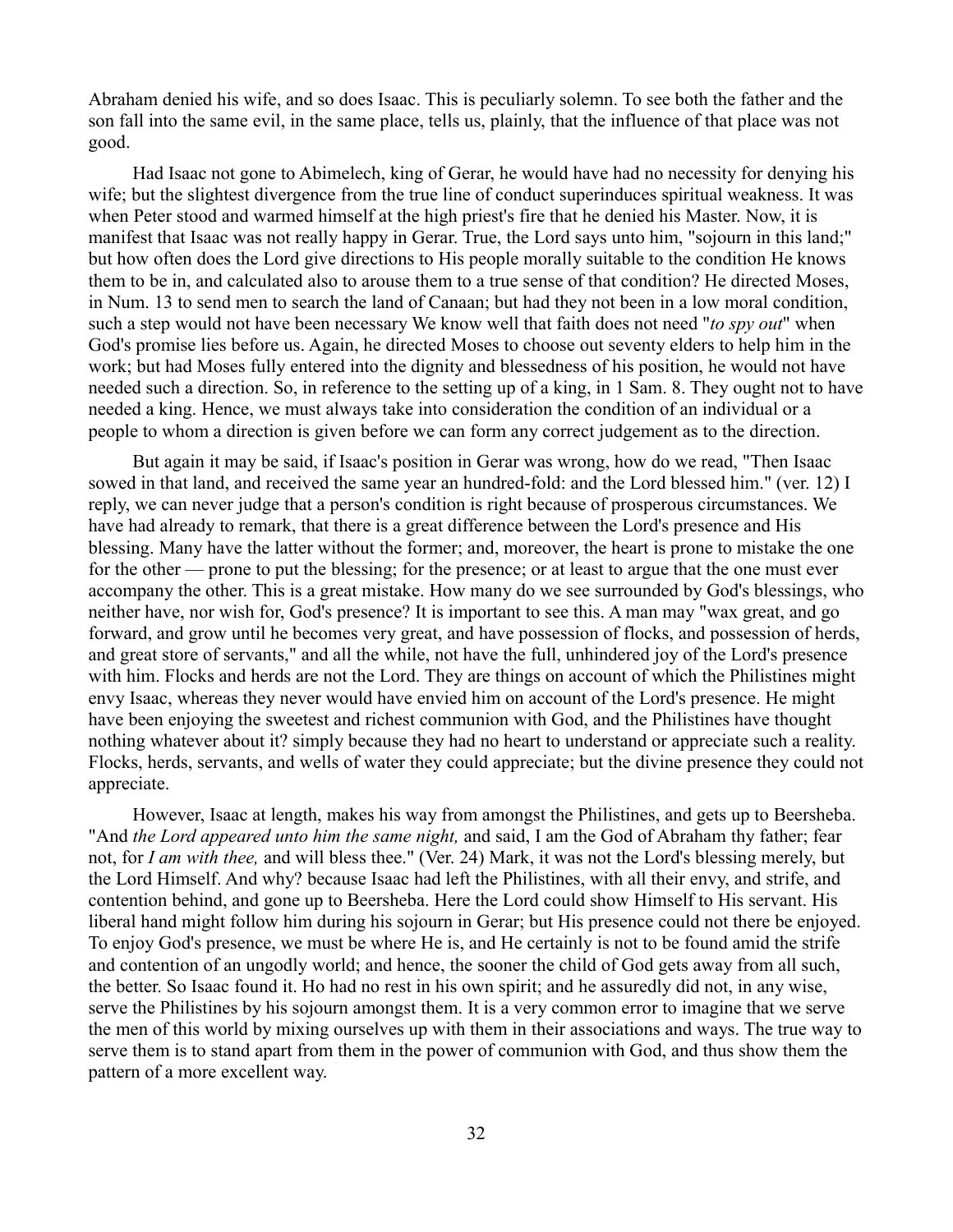Abraham denied his wife, and so does Isaac. This is peculiarly solemn. To see both the father and the son fall into the same evil, in the same place, tells us, plainly, that the influence of that place was not good.

Had Isaac not gone to Abimelech, king of Gerar, he would have had no necessity for denying his wife; but the slightest divergence from the true line of conduct superinduces spiritual weakness. It was when Peter stood and warmed himself at the high priest's fire that he denied his Master. Now, it is manifest that Isaac was not really happy in Gerar. True, the Lord says unto him, "sojourn in this land;" but how often does the Lord give directions to His people morally suitable to the condition He knows them to be in, and calculated also to arouse them to a true sense of that condition? He directed Moses, in Num. 13 to send men to search the land of Canaan; but had they not been in a low moral condition, such a step would not have been necessary We know well that faith does not need "*to spy out*" when God's promise lies before us. Again, he directed Moses to choose out seventy elders to help him in the work; but had Moses fully entered into the dignity and blessedness of his position, he would not have needed such a direction. So, in reference to the setting up of a king, in 1 Sam. 8. They ought not to have needed a king. Hence, we must always take into consideration the condition of an individual or a people to whom a direction is given before we can form any correct judgement as to the direction.

But again it may be said, if Isaac's position in Gerar was wrong, how do we read, "Then Isaac sowed in that land, and received the same year an hundred-fold: and the Lord blessed him." (ver. 12) I reply, we can never judge that a person's condition is right because of prosperous circumstances. We have had already to remark, that there is a great difference between the Lord's presence and His blessing. Many have the latter without the former; and, moreover, the heart is prone to mistake the one for the other — prone to put the blessing; for the presence; or at least to argue that the one must ever accompany the other. This is a great mistake. How many do we see surrounded by God's blessings, who neither have, nor wish for, God's presence? It is important to see this. A man may "wax great, and go forward, and grow until he becomes very great, and have possession of flocks, and possession of herds, and great store of servants," and all the while, not have the full, unhindered joy of the Lord's presence with him. Flocks and herds are not the Lord. They are things on account of which the Philistines might envy Isaac, whereas they never would have envied him on account of the Lord's presence. He might have been enjoying the sweetest and richest communion with God, and the Philistines have thought nothing whatever about it? simply because they had no heart to understand or appreciate such a reality. Flocks, herds, servants, and wells of water they could appreciate; but the divine presence they could not appreciate.

However, Isaac at length, makes his way from amongst the Philistines, and gets up to Beersheba. "And *the Lord appeared unto him the same night,* and said, I am the God of Abraham thy father; fear not, for *I am with thee,* and will bless thee." (Ver. 24) Mark, it was not the Lord's blessing merely, but the Lord Himself. And why? because Isaac had left the Philistines, with all their envy, and strife, and contention behind, and gone up to Beersheba. Here the Lord could show Himself to His servant. His liberal hand might follow him during his sojourn in Gerar; but His presence could not there be enjoyed. To enjoy God's presence, we must be where He is, and He certainly is not to be found amid the strife and contention of an ungodly world; and hence, the sooner the child of God gets away from all such, the better. So Isaac found it. Ho had no rest in his own spirit; and he assuredly did not, in any wise, serve the Philistines by his sojourn amongst them. It is a very common error to imagine that we serve the men of this world by mixing ourselves up with them in their associations and ways. The true way to serve them is to stand apart from them in the power of communion with God, and thus show them the pattern of a more excellent way.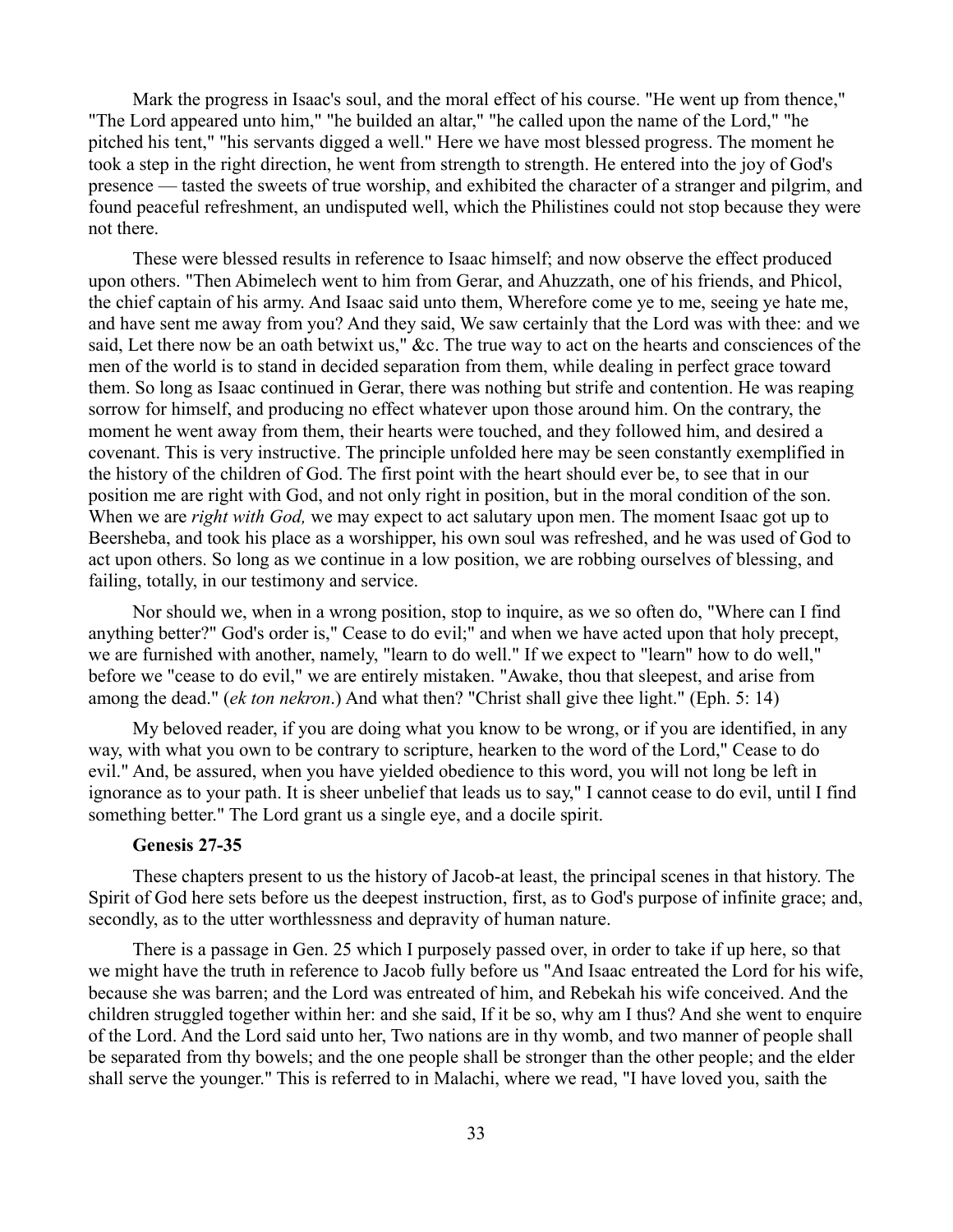Mark the progress in Isaac's soul, and the moral effect of his course. "He went up from thence," "The Lord appeared unto him," "he builded an altar," "he called upon the name of the Lord," "he pitched his tent," "his servants digged a well." Here we have most blessed progress. The moment he took a step in the right direction, he went from strength to strength. He entered into the joy of God's presence — tasted the sweets of true worship, and exhibited the character of a stranger and pilgrim, and found peaceful refreshment, an undisputed well, which the Philistines could not stop because they were not there.

These were blessed results in reference to Isaac himself; and now observe the effect produced upon others. "Then Abimelech went to him from Gerar, and Ahuzzath, one of his friends, and Phicol, the chief captain of his army. And Isaac said unto them, Wherefore come ye to me, seeing ye hate me, and have sent me away from you? And they said, We saw certainly that the Lord was with thee: and we said, Let there now be an oath betwixt us," &c. The true way to act on the hearts and consciences of the men of the world is to stand in decided separation from them, while dealing in perfect grace toward them. So long as Isaac continued in Gerar, there was nothing but strife and contention. He was reaping sorrow for himself, and producing no effect whatever upon those around him. On the contrary, the moment he went away from them, their hearts were touched, and they followed him, and desired a covenant. This is very instructive. The principle unfolded here may be seen constantly exemplified in the history of the children of God. The first point with the heart should ever be, to see that in our position me are right with God, and not only right in position, but in the moral condition of the son. When we are *right with God,* we may expect to act salutary upon men. The moment Isaac got up to Beersheba, and took his place as a worshipper, his own soul was refreshed, and he was used of God to act upon others. So long as we continue in a low position, we are robbing ourselves of blessing, and failing, totally, in our testimony and service.

Nor should we, when in a wrong position, stop to inquire, as we so often do, "Where can I find anything better?" God's order is," Cease to do evil;" and when we have acted upon that holy precept, we are furnished with another, namely, "learn to do well." If we expect to "learn" how to do well," before we "cease to do evil," we are entirely mistaken. "Awake, thou that sleepest, and arise from among the dead." (*ek ton nekron*.) And what then? "Christ shall give thee light." (Eph. 5: 14)

My beloved reader, if you are doing what you know to be wrong, or if you are identified, in any way, with what you own to be contrary to scripture, hearken to the word of the Lord," Cease to do evil." And, be assured, when you have yielded obedience to this word, you will not long be left in ignorance as to your path. It is sheer unbelief that leads us to say," I cannot cease to do evil, until I find something better." The Lord grant us a single eye, and a docile spirit.

#### **Genesis 27-35**

These chapters present to us the history of Jacob-at least, the principal scenes in that history. The Spirit of God here sets before us the deepest instruction, first, as to God's purpose of infinite grace; and, secondly, as to the utter worthlessness and depravity of human nature.

There is a passage in Gen. 25 which I purposely passed over, in order to take if up here, so that we might have the truth in reference to Jacob fully before us "And Isaac entreated the Lord for his wife, because she was barren; and the Lord was entreated of him, and Rebekah his wife conceived. And the children struggled together within her: and she said, If it be so, why am I thus? And she went to enquire of the Lord. And the Lord said unto her, Two nations are in thy womb, and two manner of people shall be separated from thy bowels; and the one people shall be stronger than the other people; and the elder shall serve the younger." This is referred to in Malachi, where we read, "I have loved you, saith the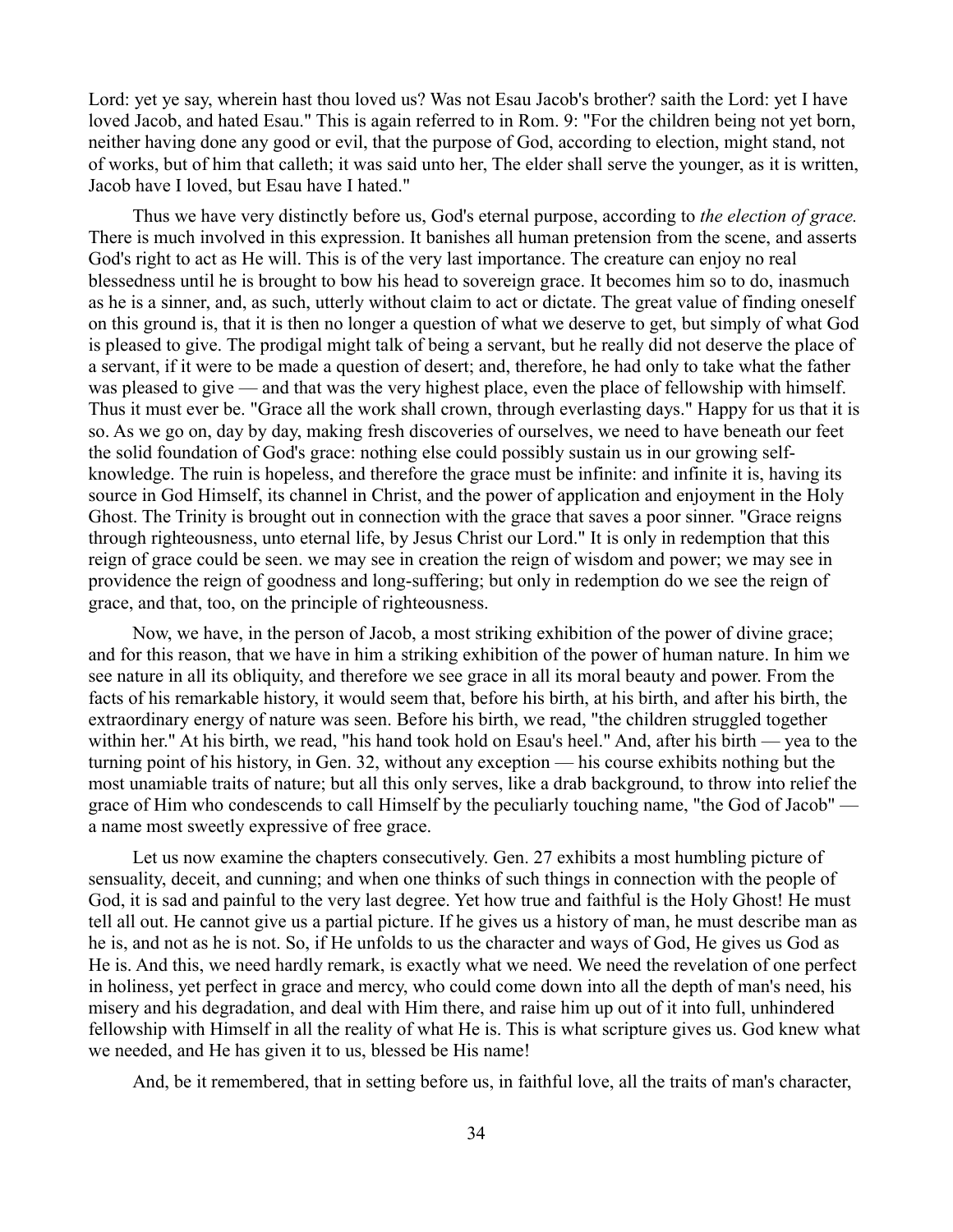Lord: yet ye say, wherein hast thou loved us? Was not Esau Jacob's brother? saith the Lord: yet I have loved Jacob, and hated Esau." This is again referred to in Rom. 9: "For the children being not yet born, neither having done any good or evil, that the purpose of God, according to election, might stand, not of works, but of him that calleth; it was said unto her, The elder shall serve the younger, as it is written, Jacob have I loved, but Esau have I hated."

Thus we have very distinctly before us, God's eternal purpose, according to *the election of grace.* There is much involved in this expression. It banishes all human pretension from the scene, and asserts God's right to act as He will. This is of the very last importance. The creature can enjoy no real blessedness until he is brought to bow his head to sovereign grace. It becomes him so to do, inasmuch as he is a sinner, and, as such, utterly without claim to act or dictate. The great value of finding oneself on this ground is, that it is then no longer a question of what we deserve to get, but simply of what God is pleased to give. The prodigal might talk of being a servant, but he really did not deserve the place of a servant, if it were to be made a question of desert; and, therefore, he had only to take what the father was pleased to give — and that was the very highest place, even the place of fellowship with himself. Thus it must ever be. "Grace all the work shall crown, through everlasting days." Happy for us that it is so. As we go on, day by day, making fresh discoveries of ourselves, we need to have beneath our feet the solid foundation of God's grace: nothing else could possibly sustain us in our growing selfknowledge. The ruin is hopeless, and therefore the grace must be infinite: and infinite it is, having its source in God Himself, its channel in Christ, and the power of application and enjoyment in the Holy Ghost. The Trinity is brought out in connection with the grace that saves a poor sinner. "Grace reigns through righteousness, unto eternal life, by Jesus Christ our Lord." It is only in redemption that this reign of grace could be seen. we may see in creation the reign of wisdom and power; we may see in providence the reign of goodness and long-suffering; but only in redemption do we see the reign of grace, and that, too, on the principle of righteousness.

Now, we have, in the person of Jacob, a most striking exhibition of the power of divine grace; and for this reason, that we have in him a striking exhibition of the power of human nature. In him we see nature in all its obliquity, and therefore we see grace in all its moral beauty and power. From the facts of his remarkable history, it would seem that, before his birth, at his birth, and after his birth, the extraordinary energy of nature was seen. Before his birth, we read, "the children struggled together within her." At his birth, we read, "his hand took hold on Esau's heel." And, after his birth — yea to the turning point of his history, in Gen. 32, without any exception — his course exhibits nothing but the most unamiable traits of nature; but all this only serves, like a drab background, to throw into relief the grace of Him who condescends to call Himself by the peculiarly touching name, "the God of Jacob" a name most sweetly expressive of free grace.

Let us now examine the chapters consecutively. Gen. 27 exhibits a most humbling picture of sensuality, deceit, and cunning; and when one thinks of such things in connection with the people of God, it is sad and painful to the very last degree. Yet how true and faithful is the Holy Ghost! He must tell all out. He cannot give us a partial picture. If he gives us a history of man, he must describe man as he is, and not as he is not. So, if He unfolds to us the character and ways of God, He gives us God as He is. And this, we need hardly remark, is exactly what we need. We need the revelation of one perfect in holiness, yet perfect in grace and mercy, who could come down into all the depth of man's need, his misery and his degradation, and deal with Him there, and raise him up out of it into full, unhindered fellowship with Himself in all the reality of what He is. This is what scripture gives us. God knew what we needed, and He has given it to us, blessed be His name!

And, be it remembered, that in setting before us, in faithful love, all the traits of man's character,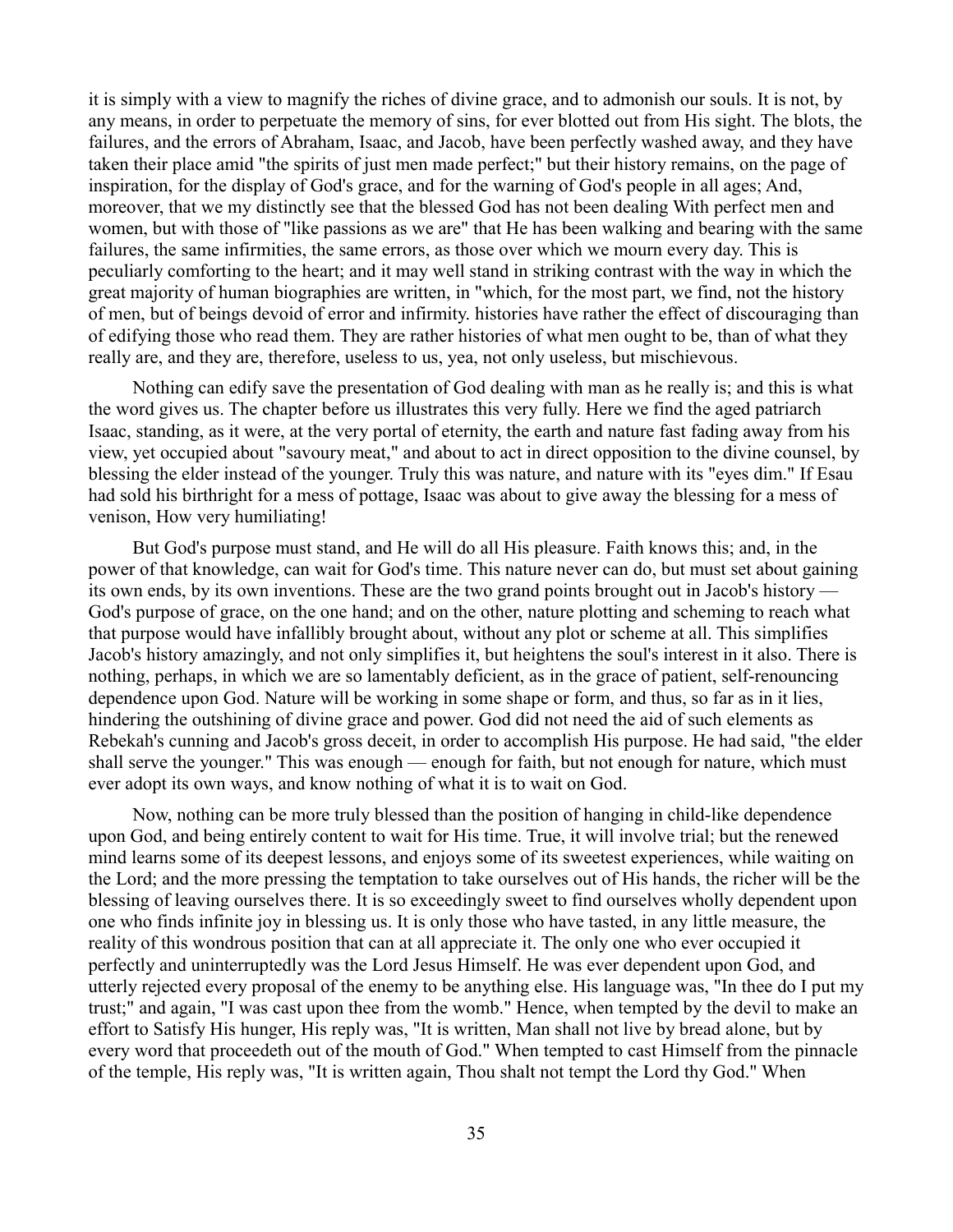it is simply with a view to magnify the riches of divine grace, and to admonish our souls. It is not, by any means, in order to perpetuate the memory of sins, for ever blotted out from His sight. The blots, the failures, and the errors of Abraham, Isaac, and Jacob, have been perfectly washed away, and they have taken their place amid "the spirits of just men made perfect;" but their history remains, on the page of inspiration, for the display of God's grace, and for the warning of God's people in all ages; And, moreover, that we my distinctly see that the blessed God has not been dealing With perfect men and women, but with those of "like passions as we are" that He has been walking and bearing with the same failures, the same infirmities, the same errors, as those over which we mourn every day. This is peculiarly comforting to the heart; and it may well stand in striking contrast with the way in which the great majority of human biographies are written, in "which, for the most part, we find, not the history of men, but of beings devoid of error and infirmity. histories have rather the effect of discouraging than of edifying those who read them. They are rather histories of what men ought to be, than of what they really are, and they are, therefore, useless to us, yea, not only useless, but mischievous.

Nothing can edify save the presentation of God dealing with man as he really is; and this is what the word gives us. The chapter before us illustrates this very fully. Here we find the aged patriarch Isaac, standing, as it were, at the very portal of eternity, the earth and nature fast fading away from his view, yet occupied about "savoury meat," and about to act in direct opposition to the divine counsel, by blessing the elder instead of the younger. Truly this was nature, and nature with its "eyes dim." If Esau had sold his birthright for a mess of pottage, Isaac was about to give away the blessing for a mess of venison, How very humiliating!

But God's purpose must stand, and He will do all His pleasure. Faith knows this; and, in the power of that knowledge, can wait for God's time. This nature never can do, but must set about gaining its own ends, by its own inventions. These are the two grand points brought out in Jacob's history — God's purpose of grace, on the one hand; and on the other, nature plotting and scheming to reach what that purpose would have infallibly brought about, without any plot or scheme at all. This simplifies Jacob's history amazingly, and not only simplifies it, but heightens the soul's interest in it also. There is nothing, perhaps, in which we are so lamentably deficient, as in the grace of patient, self-renouncing dependence upon God. Nature will be working in some shape or form, and thus, so far as in it lies, hindering the outshining of divine grace and power. God did not need the aid of such elements as Rebekah's cunning and Jacob's gross deceit, in order to accomplish His purpose. He had said, "the elder shall serve the younger." This was enough — enough for faith, but not enough for nature, which must ever adopt its own ways, and know nothing of what it is to wait on God.

Now, nothing can be more truly blessed than the position of hanging in child-like dependence upon God, and being entirely content to wait for His time. True, it will involve trial; but the renewed mind learns some of its deepest lessons, and enjoys some of its sweetest experiences, while waiting on the Lord; and the more pressing the temptation to take ourselves out of His hands, the richer will be the blessing of leaving ourselves there. It is so exceedingly sweet to find ourselves wholly dependent upon one who finds infinite joy in blessing us. It is only those who have tasted, in any little measure, the reality of this wondrous position that can at all appreciate it. The only one who ever occupied it perfectly and uninterruptedly was the Lord Jesus Himself. He was ever dependent upon God, and utterly rejected every proposal of the enemy to be anything else. His language was, "In thee do I put my trust;" and again, "I was cast upon thee from the womb." Hence, when tempted by the devil to make an effort to Satisfy His hunger, His reply was, "It is written, Man shall not live by bread alone, but by every word that proceedeth out of the mouth of God." When tempted to cast Himself from the pinnacle of the temple, His reply was, "It is written again, Thou shalt not tempt the Lord thy God." When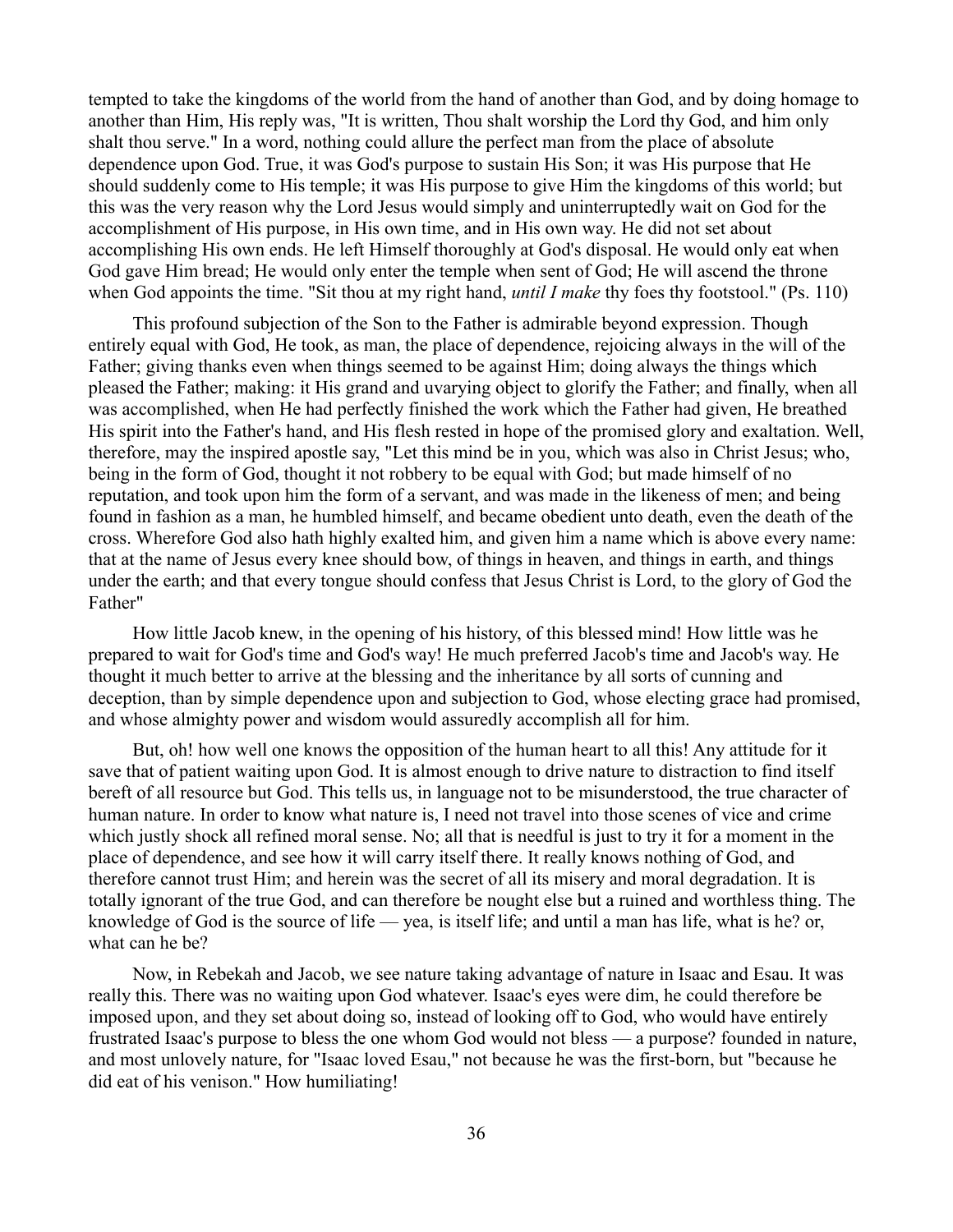tempted to take the kingdoms of the world from the hand of another than God, and by doing homage to another than Him, His reply was, "It is written, Thou shalt worship the Lord thy God, and him only shalt thou serve." In a word, nothing could allure the perfect man from the place of absolute dependence upon God. True, it was God's purpose to sustain His Son; it was His purpose that He should suddenly come to His temple; it was His purpose to give Him the kingdoms of this world; but this was the very reason why the Lord Jesus would simply and uninterruptedly wait on God for the accomplishment of His purpose, in His own time, and in His own way. He did not set about accomplishing His own ends. He left Himself thoroughly at God's disposal. He would only eat when God gave Him bread; He would only enter the temple when sent of God; He will ascend the throne when God appoints the time. "Sit thou at my right hand, *until I make* thy foes thy footstool." (Ps. 110)

This profound subjection of the Son to the Father is admirable beyond expression. Though entirely equal with God, He took, as man, the place of dependence, rejoicing always in the will of the Father; giving thanks even when things seemed to be against Him; doing always the things which pleased the Father; making: it His grand and uvarying object to glorify the Father; and finally, when all was accomplished, when He had perfectly finished the work which the Father had given, He breathed His spirit into the Father's hand, and His flesh rested in hope of the promised glory and exaltation. Well, therefore, may the inspired apostle say, "Let this mind be in you, which was also in Christ Jesus; who, being in the form of God, thought it not robbery to be equal with God; but made himself of no reputation, and took upon him the form of a servant, and was made in the likeness of men; and being found in fashion as a man, he humbled himself, and became obedient unto death, even the death of the cross. Wherefore God also hath highly exalted him, and given him a name which is above every name: that at the name of Jesus every knee should bow, of things in heaven, and things in earth, and things under the earth; and that every tongue should confess that Jesus Christ is Lord, to the glory of God the Father"

How little Jacob knew, in the opening of his history, of this blessed mind! How little was he prepared to wait for God's time and God's way! He much preferred Jacob's time and Jacob's way. He thought it much better to arrive at the blessing and the inheritance by all sorts of cunning and deception, than by simple dependence upon and subjection to God, whose electing grace had promised, and whose almighty power and wisdom would assuredly accomplish all for him.

But, oh! how well one knows the opposition of the human heart to all this! Any attitude for it save that of patient waiting upon God. It is almost enough to drive nature to distraction to find itself bereft of all resource but God. This tells us, in language not to be misunderstood, the true character of human nature. In order to know what nature is, I need not travel into those scenes of vice and crime which justly shock all refined moral sense. No; all that is needful is just to try it for a moment in the place of dependence, and see how it will carry itself there. It really knows nothing of God, and therefore cannot trust Him; and herein was the secret of all its misery and moral degradation. It is totally ignorant of the true God, and can therefore be nought else but a ruined and worthless thing. The knowledge of God is the source of life — yea, is itself life; and until a man has life, what is he? or, what can he be?

Now, in Rebekah and Jacob, we see nature taking advantage of nature in Isaac and Esau. It was really this. There was no waiting upon God whatever. Isaac's eyes were dim, he could therefore be imposed upon, and they set about doing so, instead of looking off to God, who would have entirely frustrated Isaac's purpose to bless the one whom God would not bless — a purpose? founded in nature, and most unlovely nature, for "Isaac loved Esau," not because he was the first-born, but "because he did eat of his venison." How humiliating!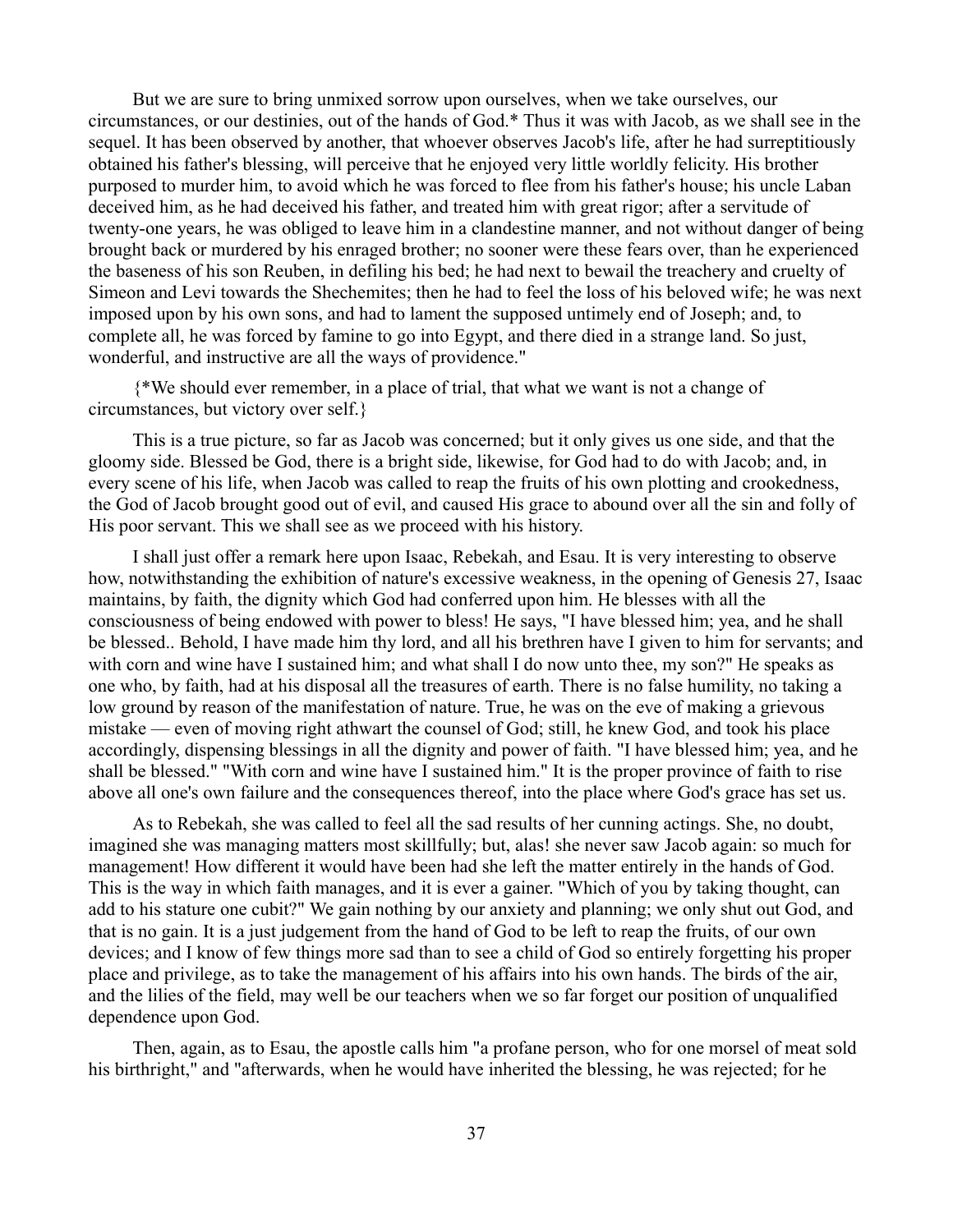But we are sure to bring unmixed sorrow upon ourselves, when we take ourselves, our circumstances, or our destinies, out of the hands of God.\* Thus it was with Jacob, as we shall see in the sequel. It has been observed by another, that whoever observes Jacob's life, after he had surreptitiously obtained his father's blessing, will perceive that he enjoyed very little worldly felicity. His brother purposed to murder him, to avoid which he was forced to flee from his father's house; his uncle Laban deceived him, as he had deceived his father, and treated him with great rigor; after a servitude of twenty-one years, he was obliged to leave him in a clandestine manner, and not without danger of being brought back or murdered by his enraged brother; no sooner were these fears over, than he experienced the baseness of his son Reuben, in defiling his bed; he had next to bewail the treachery and cruelty of Simeon and Levi towards the Shechemites; then he had to feel the loss of his beloved wife; he was next imposed upon by his own sons, and had to lament the supposed untimely end of Joseph; and, to complete all, he was forced by famine to go into Egypt, and there died in a strange land. So just, wonderful, and instructive are all the ways of providence."

{\*We should ever remember, in a place of trial, that what we want is not a change of circumstances, but victory over self.}

This is a true picture, so far as Jacob was concerned; but it only gives us one side, and that the gloomy side. Blessed be God, there is a bright side, likewise, for God had to do with Jacob; and, in every scene of his life, when Jacob was called to reap the fruits of his own plotting and crookedness, the God of Jacob brought good out of evil, and caused His grace to abound over all the sin and folly of His poor servant. This we shall see as we proceed with his history.

I shall just offer a remark here upon Isaac, Rebekah, and Esau. It is very interesting to observe how, notwithstanding the exhibition of nature's excessive weakness, in the opening of Genesis 27, Isaac maintains, by faith, the dignity which God had conferred upon him. He blesses with all the consciousness of being endowed with power to bless! He says, "I have blessed him; yea, and he shall be blessed.. Behold, I have made him thy lord, and all his brethren have I given to him for servants; and with corn and wine have I sustained him; and what shall I do now unto thee, my son?" He speaks as one who, by faith, had at his disposal all the treasures of earth. There is no false humility, no taking a low ground by reason of the manifestation of nature. True, he was on the eve of making a grievous mistake — even of moving right athwart the counsel of God; still, he knew God, and took his place accordingly, dispensing blessings in all the dignity and power of faith. "I have blessed him; yea, and he shall be blessed." "With corn and wine have I sustained him." It is the proper province of faith to rise above all one's own failure and the consequences thereof, into the place where God's grace has set us.

As to Rebekah, she was called to feel all the sad results of her cunning actings. She, no doubt, imagined she was managing matters most skillfully; but, alas! she never saw Jacob again: so much for management! How different it would have been had she left the matter entirely in the hands of God. This is the way in which faith manages, and it is ever a gainer. "Which of you by taking thought, can add to his stature one cubit?" We gain nothing by our anxiety and planning; we only shut out God, and that is no gain. It is a just judgement from the hand of God to be left to reap the fruits, of our own devices; and I know of few things more sad than to see a child of God so entirely forgetting his proper place and privilege, as to take the management of his affairs into his own hands. The birds of the air, and the lilies of the field, may well be our teachers when we so far forget our position of unqualified dependence upon God.

Then, again, as to Esau, the apostle calls him "a profane person, who for one morsel of meat sold his birthright," and "afterwards, when he would have inherited the blessing, he was rejected; for he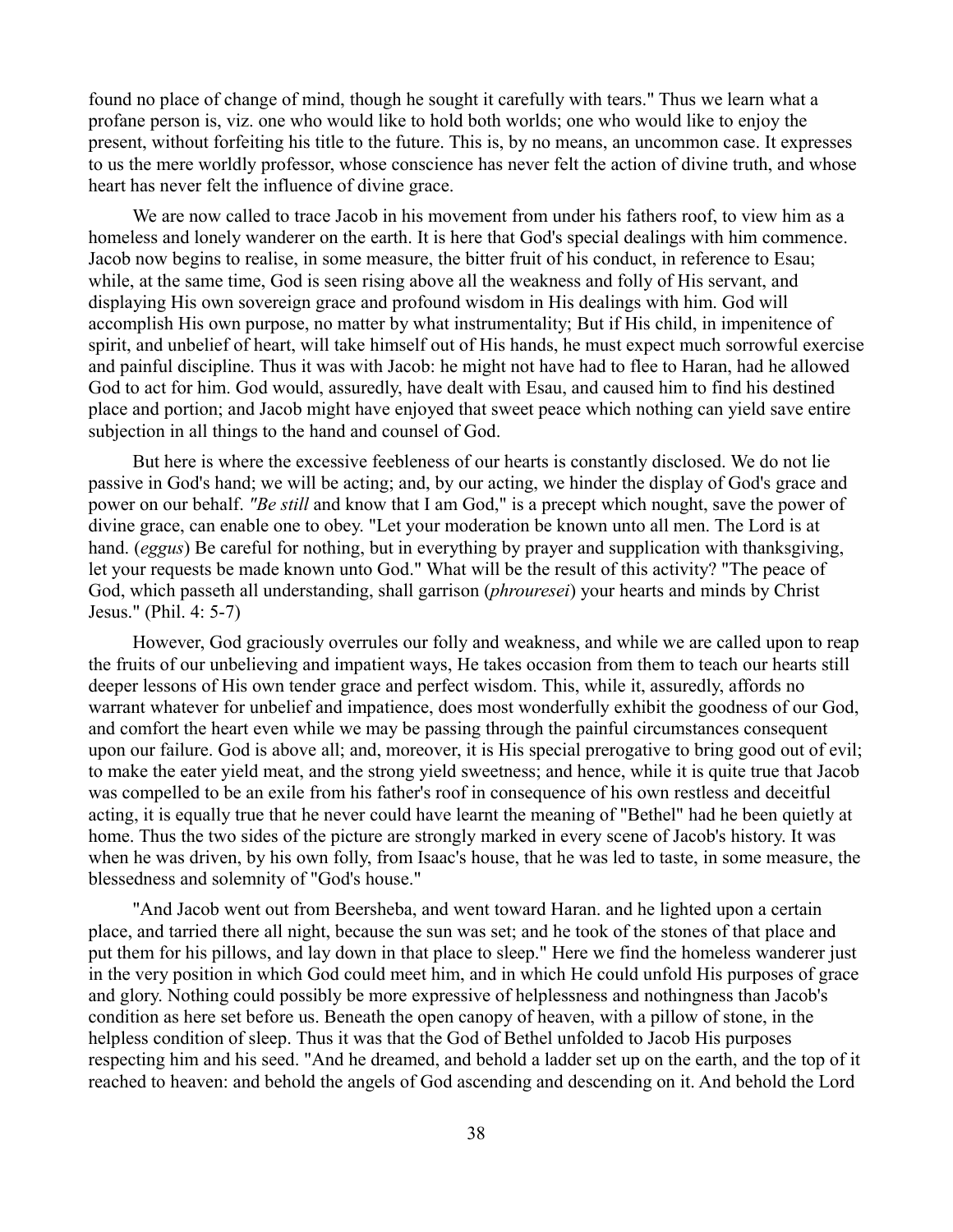found no place of change of mind, though he sought it carefully with tears." Thus we learn what a profane person is, viz. one who would like to hold both worlds; one who would like to enjoy the present, without forfeiting his title to the future. This is, by no means, an uncommon case. It expresses to us the mere worldly professor, whose conscience has never felt the action of divine truth, and whose heart has never felt the influence of divine grace.

We are now called to trace Jacob in his movement from under his fathers roof, to view him as a homeless and lonely wanderer on the earth. It is here that God's special dealings with him commence. Jacob now begins to realise, in some measure, the bitter fruit of his conduct, in reference to Esau; while, at the same time, God is seen rising above all the weakness and folly of His servant, and displaying His own sovereign grace and profound wisdom in His dealings with him. God will accomplish His own purpose, no matter by what instrumentality; But if His child, in impenitence of spirit, and unbelief of heart, will take himself out of His hands, he must expect much sorrowful exercise and painful discipline. Thus it was with Jacob: he might not have had to flee to Haran, had he allowed God to act for him. God would, assuredly, have dealt with Esau, and caused him to find his destined place and portion; and Jacob might have enjoyed that sweet peace which nothing can yield save entire subjection in all things to the hand and counsel of God.

But here is where the excessive feebleness of our hearts is constantly disclosed. We do not lie passive in God's hand; we will be acting; and, by our acting, we hinder the display of God's grace and power on our behalf. *"Be still* and know that I am God," is a precept which nought, save the power of divine grace, can enable one to obey. "Let your moderation be known unto all men. The Lord is at hand. (*eggus*) Be careful for nothing, but in everything by prayer and supplication with thanksgiving, let your requests be made known unto God." What will be the result of this activity? "The peace of God, which passeth all understanding, shall garrison (*phrouresei*) your hearts and minds by Christ Jesus." (Phil. 4: 5-7)

However, God graciously overrules our folly and weakness, and while we are called upon to reap the fruits of our unbelieving and impatient ways, He takes occasion from them to teach our hearts still deeper lessons of His own tender grace and perfect wisdom. This, while it, assuredly, affords no warrant whatever for unbelief and impatience, does most wonderfully exhibit the goodness of our God, and comfort the heart even while we may be passing through the painful circumstances consequent upon our failure. God is above all; and, moreover, it is His special prerogative to bring good out of evil; to make the eater yield meat, and the strong yield sweetness; and hence, while it is quite true that Jacob was compelled to be an exile from his father's roof in consequence of his own restless and deceitful acting, it is equally true that he never could have learnt the meaning of "Bethel" had he been quietly at home. Thus the two sides of the picture are strongly marked in every scene of Jacob's history. It was when he was driven, by his own folly, from Isaac's house, that he was led to taste, in some measure, the blessedness and solemnity of "God's house."

"And Jacob went out from Beersheba, and went toward Haran. and he lighted upon a certain place, and tarried there all night, because the sun was set; and he took of the stones of that place and put them for his pillows, and lay down in that place to sleep." Here we find the homeless wanderer just in the very position in which God could meet him, and in which He could unfold His purposes of grace and glory. Nothing could possibly be more expressive of helplessness and nothingness than Jacob's condition as here set before us. Beneath the open canopy of heaven, with a pillow of stone, in the helpless condition of sleep. Thus it was that the God of Bethel unfolded to Jacob His purposes respecting him and his seed. "And he dreamed, and behold a ladder set up on the earth, and the top of it reached to heaven: and behold the angels of God ascending and descending on it. And behold the Lord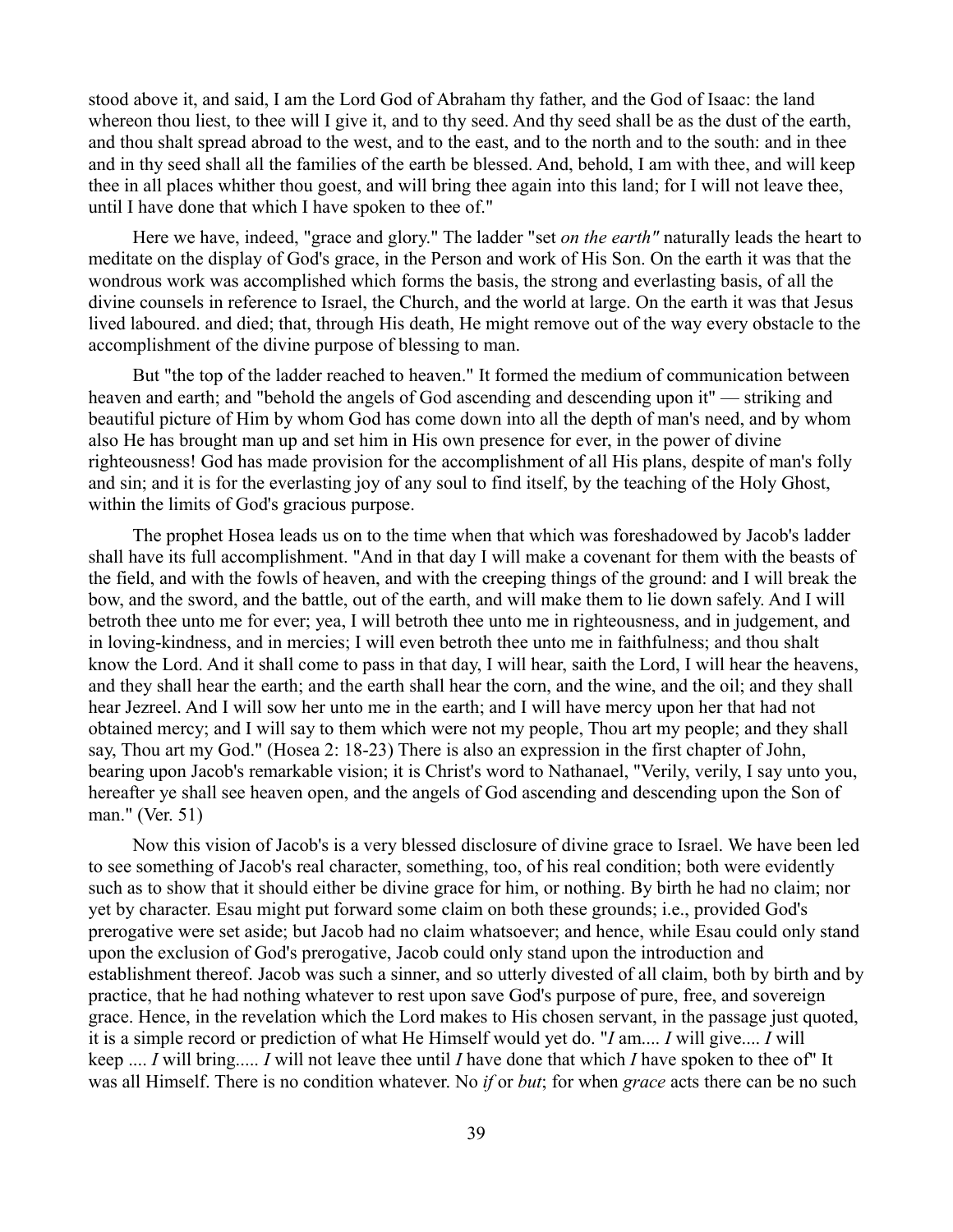stood above it, and said, I am the Lord God of Abraham thy father, and the God of Isaac: the land whereon thou liest, to thee will I give it, and to thy seed. And thy seed shall be as the dust of the earth, and thou shalt spread abroad to the west, and to the east, and to the north and to the south: and in thee and in thy seed shall all the families of the earth be blessed. And, behold, I am with thee, and will keep thee in all places whither thou goest, and will bring thee again into this land; for I will not leave thee, until I have done that which I have spoken to thee of."

Here we have, indeed, "grace and glory." The ladder "set *on the earth"* naturally leads the heart to meditate on the display of God's grace, in the Person and work of His Son. On the earth it was that the wondrous work was accomplished which forms the basis, the strong and everlasting basis, of all the divine counsels in reference to Israel, the Church, and the world at large. On the earth it was that Jesus lived laboured. and died; that, through His death, He might remove out of the way every obstacle to the accomplishment of the divine purpose of blessing to man.

But "the top of the ladder reached to heaven." It formed the medium of communication between heaven and earth; and "behold the angels of God ascending and descending upon it" — striking and beautiful picture of Him by whom God has come down into all the depth of man's need, and by whom also He has brought man up and set him in His own presence for ever, in the power of divine righteousness! God has made provision for the accomplishment of all His plans, despite of man's folly and sin; and it is for the everlasting joy of any soul to find itself, by the teaching of the Holy Ghost, within the limits of God's gracious purpose.

The prophet Hosea leads us on to the time when that which was foreshadowed by Jacob's ladder shall have its full accomplishment. "And in that day I will make a covenant for them with the beasts of the field, and with the fowls of heaven, and with the creeping things of the ground: and I will break the bow, and the sword, and the battle, out of the earth, and will make them to lie down safely. And I will betroth thee unto me for ever; yea, I will betroth thee unto me in righteousness, and in judgement, and in loving-kindness, and in mercies; I will even betroth thee unto me in faithfulness; and thou shalt know the Lord. And it shall come to pass in that day, I will hear, saith the Lord, I will hear the heavens, and they shall hear the earth; and the earth shall hear the corn, and the wine, and the oil; and they shall hear Jezreel. And I will sow her unto me in the earth; and I will have mercy upon her that had not obtained mercy; and I will say to them which were not my people, Thou art my people; and they shall say, Thou art my God." (Hosea 2: 18-23) There is also an expression in the first chapter of John, bearing upon Jacob's remarkable vision; it is Christ's word to Nathanael, "Verily, verily, I say unto you, hereafter ye shall see heaven open, and the angels of God ascending and descending upon the Son of man." (Ver. 51)

Now this vision of Jacob's is a very blessed disclosure of divine grace to Israel. We have been led to see something of Jacob's real character, something, too, of his real condition; both were evidently such as to show that it should either be divine grace for him, or nothing. By birth he had no claim; nor yet by character. Esau might put forward some claim on both these grounds; i.e., provided God's prerogative were set aside; but Jacob had no claim whatsoever; and hence, while Esau could only stand upon the exclusion of God's prerogative, Jacob could only stand upon the introduction and establishment thereof. Jacob was such a sinner, and so utterly divested of all claim, both by birth and by practice, that he had nothing whatever to rest upon save God's purpose of pure, free, and sovereign grace. Hence, in the revelation which the Lord makes to His chosen servant, in the passage just quoted, it is a simple record or prediction of what He Himself would yet do. "*I* am.... *I* will give.... *I* will keep .... *I* will bring..... *I* will not leave thee until *I* have done that which *I* have spoken to thee of" It was all Himself. There is no condition whatever. No *if* or *but*; for when *grace* acts there can be no such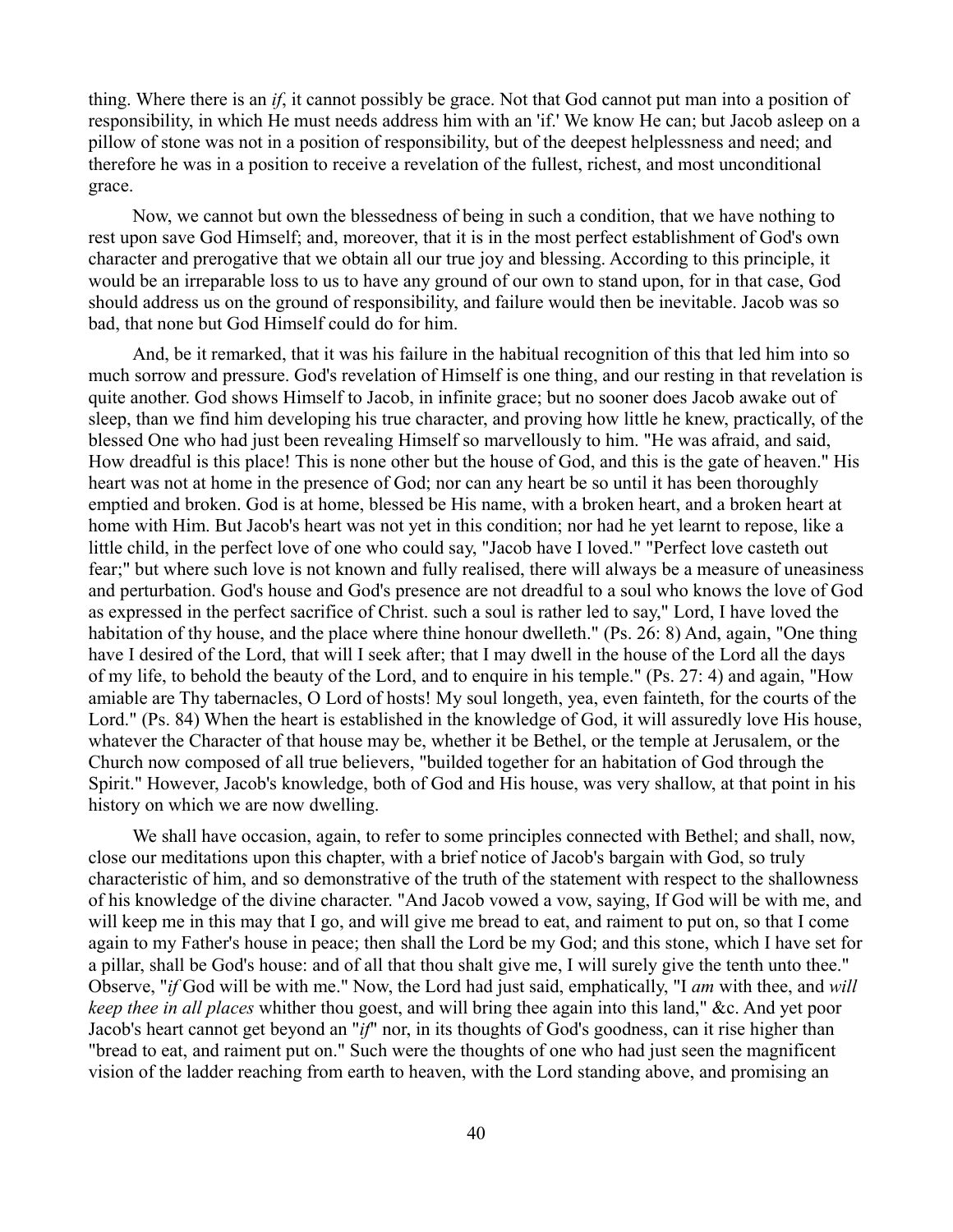thing. Where there is an *if*, it cannot possibly be grace. Not that God cannot put man into a position of responsibility, in which He must needs address him with an 'if.' We know He can; but Jacob asleep on a pillow of stone was not in a position of responsibility, but of the deepest helplessness and need; and therefore he was in a position to receive a revelation of the fullest, richest, and most unconditional grace.

Now, we cannot but own the blessedness of being in such a condition, that we have nothing to rest upon save God Himself; and, moreover, that it is in the most perfect establishment of God's own character and prerogative that we obtain all our true joy and blessing. According to this principle, it would be an irreparable loss to us to have any ground of our own to stand upon, for in that case, God should address us on the ground of responsibility, and failure would then be inevitable. Jacob was so bad, that none but God Himself could do for him.

And, be it remarked, that it was his failure in the habitual recognition of this that led him into so much sorrow and pressure. God's revelation of Himself is one thing, and our resting in that revelation is quite another. God shows Himself to Jacob, in infinite grace; but no sooner does Jacob awake out of sleep, than we find him developing his true character, and proving how little he knew, practically, of the blessed One who had just been revealing Himself so marvellously to him. "He was afraid, and said, How dreadful is this place! This is none other but the house of God, and this is the gate of heaven." His heart was not at home in the presence of God; nor can any heart be so until it has been thoroughly emptied and broken. God is at home, blessed be His name, with a broken heart, and a broken heart at home with Him. But Jacob's heart was not yet in this condition; nor had he yet learnt to repose, like a little child, in the perfect love of one who could say, "Jacob have I loved." "Perfect love casteth out fear;" but where such love is not known and fully realised, there will always be a measure of uneasiness and perturbation. God's house and God's presence are not dreadful to a soul who knows the love of God as expressed in the perfect sacrifice of Christ. such a soul is rather led to say," Lord, I have loved the habitation of thy house, and the place where thine honour dwelleth." (Ps. 26: 8) And, again, "One thing have I desired of the Lord, that will I seek after; that I may dwell in the house of the Lord all the days of my life, to behold the beauty of the Lord, and to enquire in his temple." (Ps. 27: 4) and again, "How amiable are Thy tabernacles, O Lord of hosts! My soul longeth, yea, even fainteth, for the courts of the Lord." (Ps. 84) When the heart is established in the knowledge of God, it will assuredly love His house, whatever the Character of that house may be, whether it be Bethel, or the temple at Jerusalem, or the Church now composed of all true believers, "builded together for an habitation of God through the Spirit." However, Jacob's knowledge, both of God and His house, was very shallow, at that point in his history on which we are now dwelling.

We shall have occasion, again, to refer to some principles connected with Bethel; and shall, now, close our meditations upon this chapter, with a brief notice of Jacob's bargain with God, so truly characteristic of him, and so demonstrative of the truth of the statement with respect to the shallowness of his knowledge of the divine character. "And Jacob vowed a vow, saying, If God will be with me, and will keep me in this may that I go, and will give me bread to eat, and raiment to put on, so that I come again to my Father's house in peace; then shall the Lord be my God; and this stone, which I have set for a pillar, shall be God's house: and of all that thou shalt give me, I will surely give the tenth unto thee." Observe, "*if* God will be with me." Now, the Lord had just said, emphatically, "I *am* with thee, and *will keep thee in all places* whither thou goest, and will bring thee again into this land," &c. And yet poor Jacob's heart cannot get beyond an "*if*" nor, in its thoughts of God's goodness, can it rise higher than "bread to eat, and raiment put on." Such were the thoughts of one who had just seen the magnificent vision of the ladder reaching from earth to heaven, with the Lord standing above, and promising an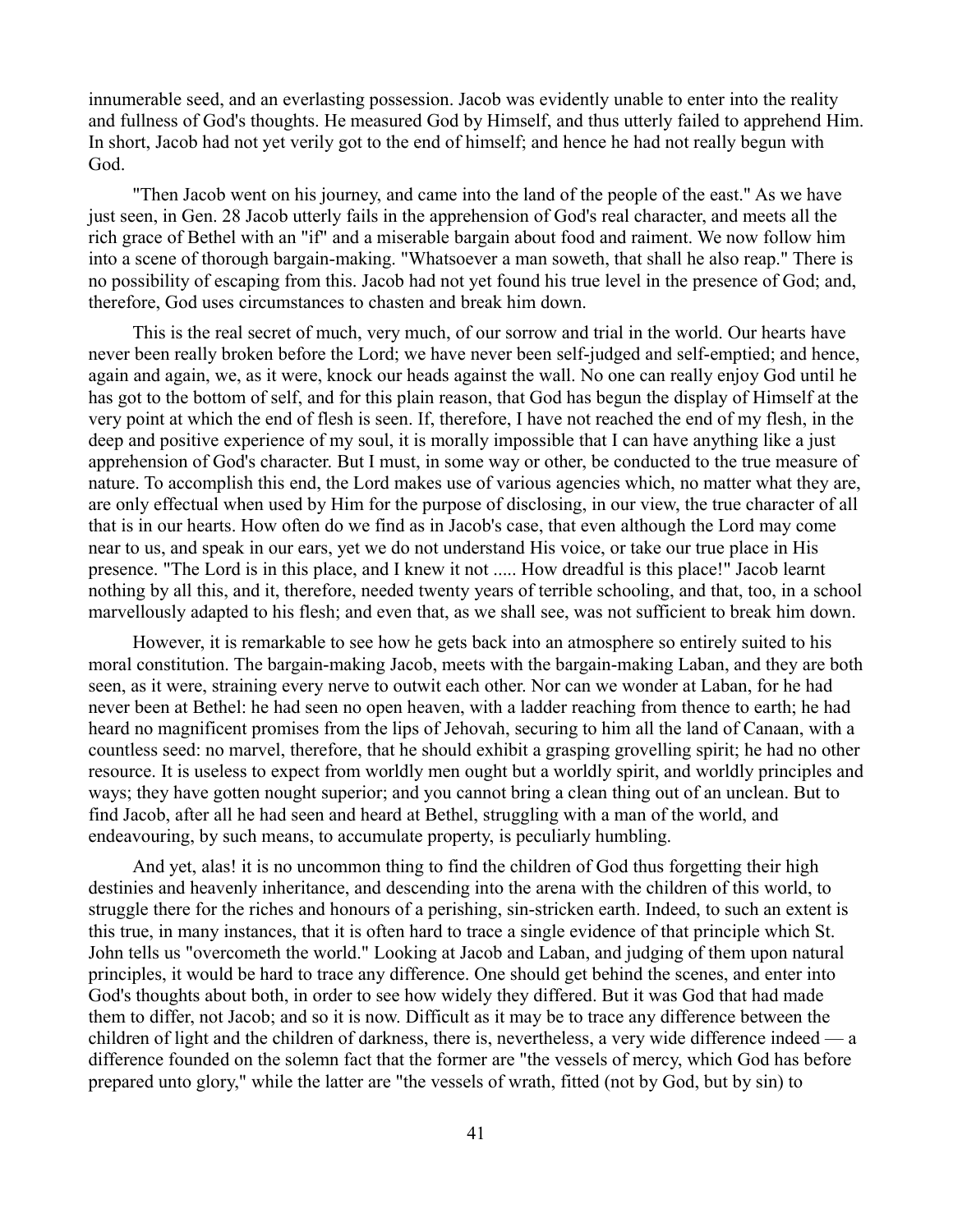innumerable seed, and an everlasting possession. Jacob was evidently unable to enter into the reality and fullness of God's thoughts. He measured God by Himself, and thus utterly failed to apprehend Him. In short, Jacob had not yet verily got to the end of himself; and hence he had not really begun with God.

"Then Jacob went on his journey, and came into the land of the people of the east." As we have just seen, in Gen. 28 Jacob utterly fails in the apprehension of God's real character, and meets all the rich grace of Bethel with an "if" and a miserable bargain about food and raiment. We now follow him into a scene of thorough bargain-making. "Whatsoever a man soweth, that shall he also reap." There is no possibility of escaping from this. Jacob had not yet found his true level in the presence of God; and, therefore, God uses circumstances to chasten and break him down.

This is the real secret of much, very much, of our sorrow and trial in the world. Our hearts have never been really broken before the Lord; we have never been self-judged and self-emptied; and hence, again and again, we, as it were, knock our heads against the wall. No one can really enjoy God until he has got to the bottom of self, and for this plain reason, that God has begun the display of Himself at the very point at which the end of flesh is seen. If, therefore, I have not reached the end of my flesh, in the deep and positive experience of my soul, it is morally impossible that I can have anything like a just apprehension of God's character. But I must, in some way or other, be conducted to the true measure of nature. To accomplish this end, the Lord makes use of various agencies which, no matter what they are, are only effectual when used by Him for the purpose of disclosing, in our view, the true character of all that is in our hearts. How often do we find as in Jacob's case, that even although the Lord may come near to us, and speak in our ears, yet we do not understand His voice, or take our true place in His presence. "The Lord is in this place, and I knew it not ..... How dreadful is this place!" Jacob learnt nothing by all this, and it, therefore, needed twenty years of terrible schooling, and that, too, in a school marvellously adapted to his flesh; and even that, as we shall see, was not sufficient to break him down.

However, it is remarkable to see how he gets back into an atmosphere so entirely suited to his moral constitution. The bargain-making Jacob, meets with the bargain-making Laban, and they are both seen, as it were, straining every nerve to outwit each other. Nor can we wonder at Laban, for he had never been at Bethel: he had seen no open heaven, with a ladder reaching from thence to earth; he had heard no magnificent promises from the lips of Jehovah, securing to him all the land of Canaan, with a countless seed: no marvel, therefore, that he should exhibit a grasping grovelling spirit; he had no other resource. It is useless to expect from worldly men ought but a worldly spirit, and worldly principles and ways; they have gotten nought superior; and you cannot bring a clean thing out of an unclean. But to find Jacob, after all he had seen and heard at Bethel, struggling with a man of the world, and endeavouring, by such means, to accumulate property, is peculiarly humbling.

And yet, alas! it is no uncommon thing to find the children of God thus forgetting their high destinies and heavenly inheritance, and descending into the arena with the children of this world, to struggle there for the riches and honours of a perishing, sin-stricken earth. Indeed, to such an extent is this true, in many instances, that it is often hard to trace a single evidence of that principle which St. John tells us "overcometh the world." Looking at Jacob and Laban, and judging of them upon natural principles, it would be hard to trace any difference. One should get behind the scenes, and enter into God's thoughts about both, in order to see how widely they differed. But it was God that had made them to differ, not Jacob; and so it is now. Difficult as it may be to trace any difference between the children of light and the children of darkness, there is, nevertheless, a very wide difference indeed — a difference founded on the solemn fact that the former are "the vessels of mercy, which God has before prepared unto glory," while the latter are "the vessels of wrath, fitted (not by God, but by sin) to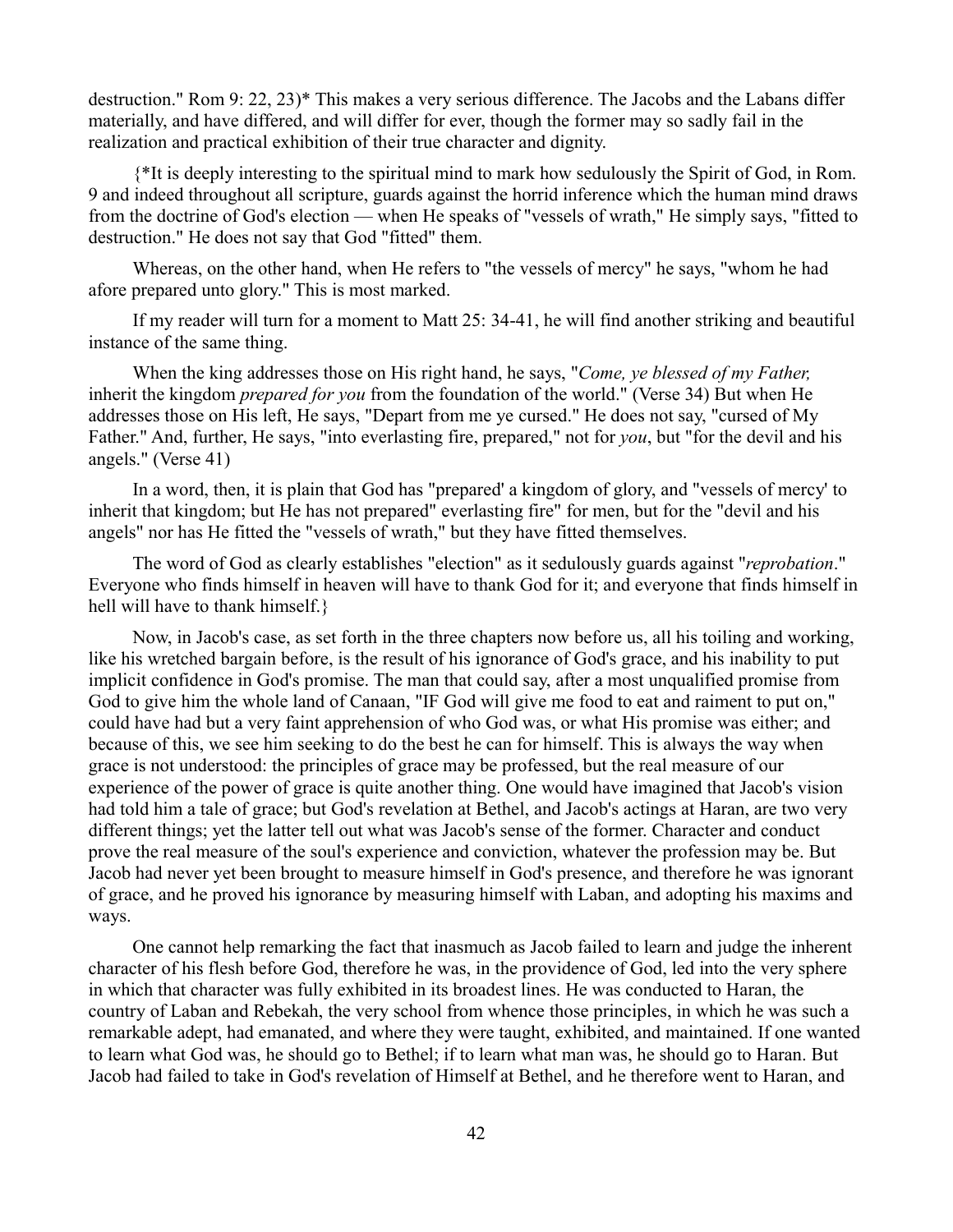destruction." Rom 9: 22, 23)\* This makes a very serious difference. The Jacobs and the Labans differ materially, and have differed, and will differ for ever, though the former may so sadly fail in the realization and practical exhibition of their true character and dignity.

{\*It is deeply interesting to the spiritual mind to mark how sedulously the Spirit of God, in Rom. 9 and indeed throughout all scripture, guards against the horrid inference which the human mind draws from the doctrine of God's election — when He speaks of "vessels of wrath," He simply says, "fitted to destruction." He does not say that God "fitted" them.

Whereas, on the other hand, when He refers to "the vessels of mercy" he says, "whom he had afore prepared unto glory." This is most marked.

If my reader will turn for a moment to Matt 25: 34-41, he will find another striking and beautiful instance of the same thing.

When the king addresses those on His right hand, he says, "*Come, ye blessed of my Father,* inherit the kingdom *prepared for you* from the foundation of the world." (Verse 34) But when He addresses those on His left, He says, "Depart from me ye cursed." He does not say, "cursed of My Father." And, further, He says, "into everlasting fire, prepared," not for *you*, but "for the devil and his angels." (Verse 41)

In a word, then, it is plain that God has "prepared' a kingdom of glory, and "vessels of mercy' to inherit that kingdom; but He has not prepared" everlasting fire" for men, but for the "devil and his angels" nor has He fitted the "vessels of wrath," but they have fitted themselves.

The word of God as clearly establishes "election" as it sedulously guards against "*reprobation*." Everyone who finds himself in heaven will have to thank God for it; and everyone that finds himself in hell will have to thank himself.}

Now, in Jacob's case, as set forth in the three chapters now before us, all his toiling and working, like his wretched bargain before, is the result of his ignorance of God's grace, and his inability to put implicit confidence in God's promise. The man that could say, after a most unqualified promise from God to give him the whole land of Canaan, "IF God will give me food to eat and raiment to put on," could have had but a very faint apprehension of who God was, or what His promise was either; and because of this, we see him seeking to do the best he can for himself. This is always the way when grace is not understood: the principles of grace may be professed, but the real measure of our experience of the power of grace is quite another thing. One would have imagined that Jacob's vision had told him a tale of grace; but God's revelation at Bethel, and Jacob's actings at Haran, are two very different things; yet the latter tell out what was Jacob's sense of the former. Character and conduct prove the real measure of the soul's experience and conviction, whatever the profession may be. But Jacob had never yet been brought to measure himself in God's presence, and therefore he was ignorant of grace, and he proved his ignorance by measuring himself with Laban, and adopting his maxims and ways.

One cannot help remarking the fact that inasmuch as Jacob failed to learn and judge the inherent character of his flesh before God, therefore he was, in the providence of God, led into the very sphere in which that character was fully exhibited in its broadest lines. He was conducted to Haran, the country of Laban and Rebekah, the very school from whence those principles, in which he was such a remarkable adept, had emanated, and where they were taught, exhibited, and maintained. If one wanted to learn what God was, he should go to Bethel; if to learn what man was, he should go to Haran. But Jacob had failed to take in God's revelation of Himself at Bethel, and he therefore went to Haran, and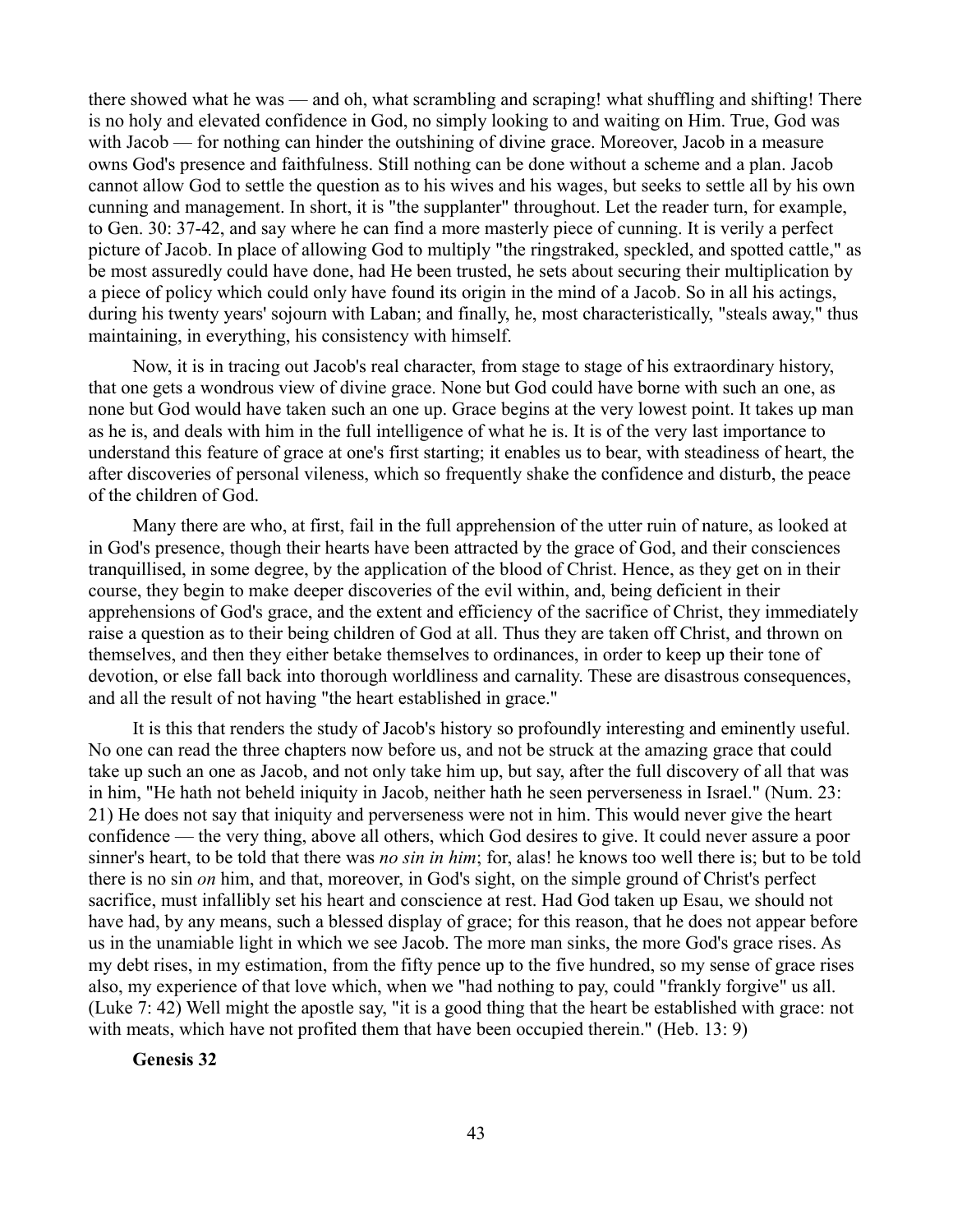there showed what he was — and oh, what scrambling and scraping! what shuffling and shifting! There is no holy and elevated confidence in God, no simply looking to and waiting on Him. True, God was with Jacob — for nothing can hinder the outshining of divine grace. Moreover, Jacob in a measure owns God's presence and faithfulness. Still nothing can be done without a scheme and a plan. Jacob cannot allow God to settle the question as to his wives and his wages, but seeks to settle all by his own cunning and management. In short, it is "the supplanter" throughout. Let the reader turn, for example, to Gen. 30: 37-42, and say where he can find a more masterly piece of cunning. It is verily a perfect picture of Jacob. In place of allowing God to multiply "the ringstraked, speckled, and spotted cattle," as be most assuredly could have done, had He been trusted, he sets about securing their multiplication by a piece of policy which could only have found its origin in the mind of a Jacob. So in all his actings, during his twenty years' sojourn with Laban; and finally, he, most characteristically, "steals away," thus maintaining, in everything, his consistency with himself.

Now, it is in tracing out Jacob's real character, from stage to stage of his extraordinary history, that one gets a wondrous view of divine grace. None but God could have borne with such an one, as none but God would have taken such an one up. Grace begins at the very lowest point. It takes up man as he is, and deals with him in the full intelligence of what he is. It is of the very last importance to understand this feature of grace at one's first starting; it enables us to bear, with steadiness of heart, the after discoveries of personal vileness, which so frequently shake the confidence and disturb, the peace of the children of God.

Many there are who, at first, fail in the full apprehension of the utter ruin of nature, as looked at in God's presence, though their hearts have been attracted by the grace of God, and their consciences tranquillised, in some degree, by the application of the blood of Christ. Hence, as they get on in their course, they begin to make deeper discoveries of the evil within, and, being deficient in their apprehensions of God's grace, and the extent and efficiency of the sacrifice of Christ, they immediately raise a question as to their being children of God at all. Thus they are taken off Christ, and thrown on themselves, and then they either betake themselves to ordinances, in order to keep up their tone of devotion, or else fall back into thorough worldliness and carnality. These are disastrous consequences, and all the result of not having "the heart established in grace."

It is this that renders the study of Jacob's history so profoundly interesting and eminently useful. No one can read the three chapters now before us, and not be struck at the amazing grace that could take up such an one as Jacob, and not only take him up, but say, after the full discovery of all that was in him, "He hath not beheld iniquity in Jacob, neither hath he seen perverseness in Israel." (Num. 23: 21) He does not say that iniquity and perverseness were not in him. This would never give the heart confidence — the very thing, above all others, which God desires to give. It could never assure a poor sinner's heart, to be told that there was *no sin in him*; for, alas! he knows too well there is; but to be told there is no sin *on* him, and that, moreover, in God's sight, on the simple ground of Christ's perfect sacrifice, must infallibly set his heart and conscience at rest. Had God taken up Esau, we should not have had, by any means, such a blessed display of grace; for this reason, that he does not appear before us in the unamiable light in which we see Jacob. The more man sinks, the more God's grace rises. As my debt rises, in my estimation, from the fifty pence up to the five hundred, so my sense of grace rises also, my experience of that love which, when we "had nothing to pay, could "frankly forgive" us all. (Luke 7: 42) Well might the apostle say, "it is a good thing that the heart be established with grace: not with meats, which have not profited them that have been occupied therein." (Heb. 13: 9)

**Genesis 32**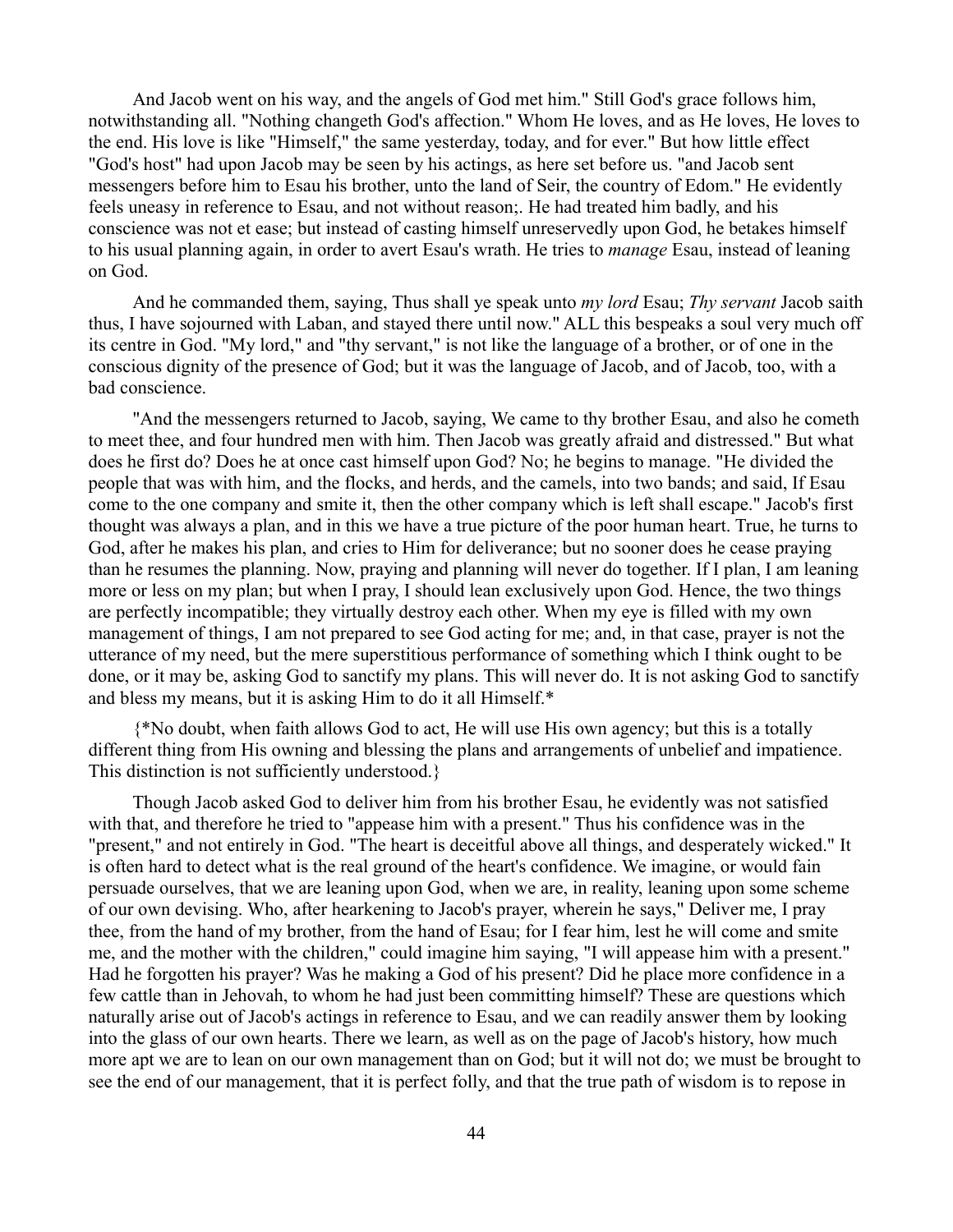And Jacob went on his way, and the angels of God met him." Still God's grace follows him, notwithstanding all. "Nothing changeth God's affection." Whom He loves, and as He loves, He loves to the end. His love is like "Himself," the same yesterday, today, and for ever." But how little effect "God's host" had upon Jacob may be seen by his actings, as here set before us. "and Jacob sent messengers before him to Esau his brother, unto the land of Seir, the country of Edom." He evidently feels uneasy in reference to Esau, and not without reason;. He had treated him badly, and his conscience was not et ease; but instead of casting himself unreservedly upon God, he betakes himself to his usual planning again, in order to avert Esau's wrath. He tries to *manage* Esau, instead of leaning on God.

And he commanded them, saying, Thus shall ye speak unto *my lord* Esau; *Thy servant* Jacob saith thus, I have sojourned with Laban, and stayed there until now." ALL this bespeaks a soul very much off its centre in God. "My lord," and "thy servant," is not like the language of a brother, or of one in the conscious dignity of the presence of God; but it was the language of Jacob, and of Jacob, too, with a bad conscience.

"And the messengers returned to Jacob, saying, We came to thy brother Esau, and also he cometh to meet thee, and four hundred men with him. Then Jacob was greatly afraid and distressed." But what does he first do? Does he at once cast himself upon God? No; he begins to manage. "He divided the people that was with him, and the flocks, and herds, and the camels, into two bands; and said, If Esau come to the one company and smite it, then the other company which is left shall escape." Jacob's first thought was always a plan, and in this we have a true picture of the poor human heart. True, he turns to God, after he makes his plan, and cries to Him for deliverance; but no sooner does he cease praying than he resumes the planning. Now, praying and planning will never do together. If I plan, I am leaning more or less on my plan; but when I pray, I should lean exclusively upon God. Hence, the two things are perfectly incompatible; they virtually destroy each other. When my eye is filled with my own management of things, I am not prepared to see God acting for me; and, in that case, prayer is not the utterance of my need, but the mere superstitious performance of something which I think ought to be done, or it may be, asking God to sanctify my plans. This will never do. It is not asking God to sanctify and bless my means, but it is asking Him to do it all Himself.\*

{\*No doubt, when faith allows God to act, He will use His own agency; but this is a totally different thing from His owning and blessing the plans and arrangements of unbelief and impatience. This distinction is not sufficiently understood.}

Though Jacob asked God to deliver him from his brother Esau, he evidently was not satisfied with that, and therefore he tried to "appease him with a present." Thus his confidence was in the "present," and not entirely in God. "The heart is deceitful above all things, and desperately wicked." It is often hard to detect what is the real ground of the heart's confidence. We imagine, or would fain persuade ourselves, that we are leaning upon God, when we are, in reality, leaning upon some scheme of our own devising. Who, after hearkening to Jacob's prayer, wherein he says," Deliver me, I pray thee, from the hand of my brother, from the hand of Esau; for I fear him, lest he will come and smite me, and the mother with the children," could imagine him saying, "I will appease him with a present." Had he forgotten his prayer? Was he making a God of his present? Did he place more confidence in a few cattle than in Jehovah, to whom he had just been committing himself? These are questions which naturally arise out of Jacob's actings in reference to Esau, and we can readily answer them by looking into the glass of our own hearts. There we learn, as well as on the page of Jacob's history, how much more apt we are to lean on our own management than on God; but it will not do; we must be brought to see the end of our management, that it is perfect folly, and that the true path of wisdom is to repose in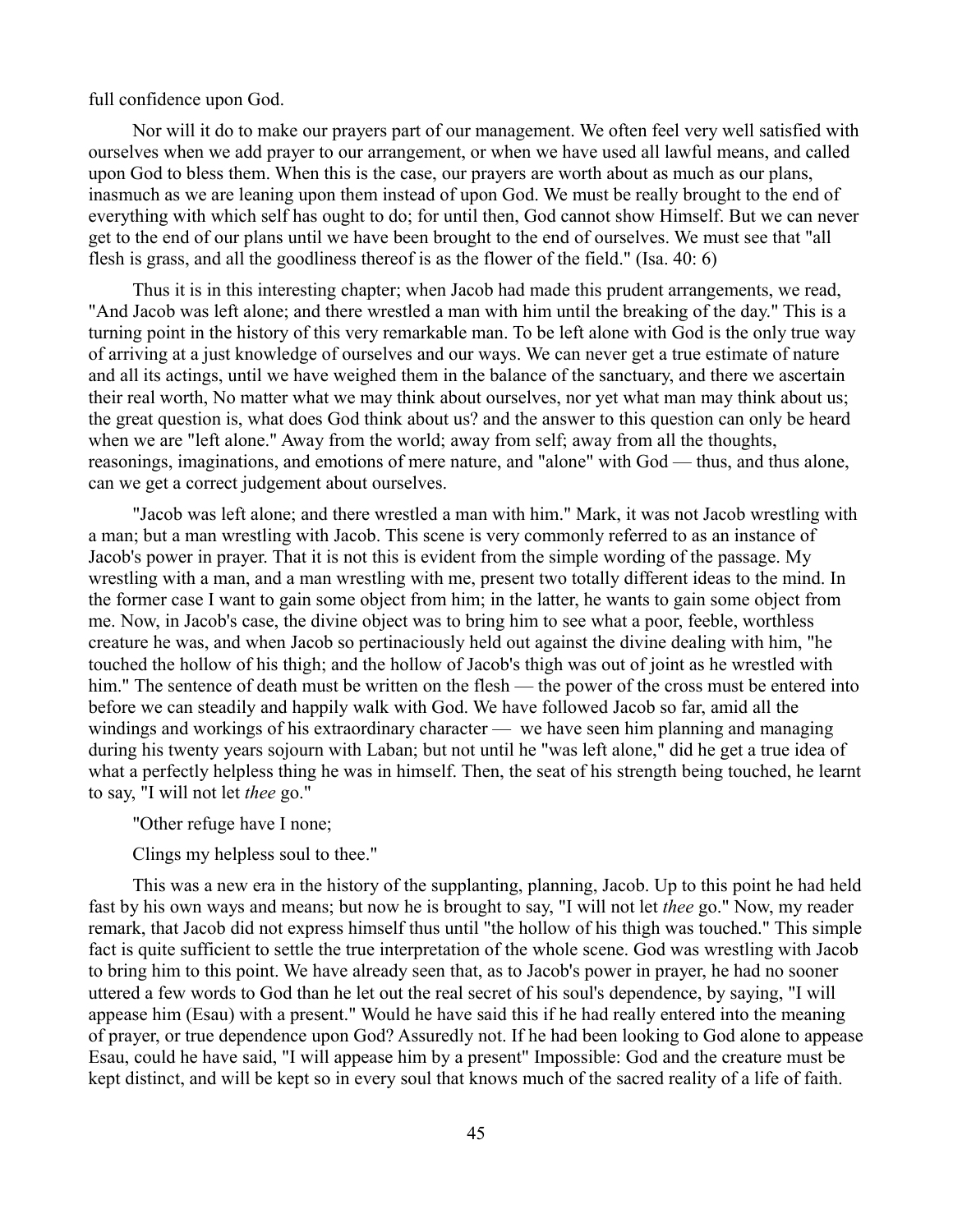full confidence upon God.

Nor will it do to make our prayers part of our management. We often feel very well satisfied with ourselves when we add prayer to our arrangement, or when we have used all lawful means, and called upon God to bless them. When this is the case, our prayers are worth about as much as our plans, inasmuch as we are leaning upon them instead of upon God. We must be really brought to the end of everything with which self has ought to do; for until then, God cannot show Himself. But we can never get to the end of our plans until we have been brought to the end of ourselves. We must see that "all flesh is grass, and all the goodliness thereof is as the flower of the field." (Isa. 40: 6)

Thus it is in this interesting chapter; when Jacob had made this prudent arrangements, we read, "And Jacob was left alone; and there wrestled a man with him until the breaking of the day." This is a turning point in the history of this very remarkable man. To be left alone with God is the only true way of arriving at a just knowledge of ourselves and our ways. We can never get a true estimate of nature and all its actings, until we have weighed them in the balance of the sanctuary, and there we ascertain their real worth, No matter what we may think about ourselves, nor yet what man may think about us; the great question is, what does God think about us? and the answer to this question can only be heard when we are "left alone." Away from the world; away from self; away from all the thoughts, reasonings, imaginations, and emotions of mere nature, and "alone" with God — thus, and thus alone, can we get a correct judgement about ourselves.

"Jacob was left alone; and there wrestled a man with him." Mark, it was not Jacob wrestling with a man; but a man wrestling with Jacob. This scene is very commonly referred to as an instance of Jacob's power in prayer. That it is not this is evident from the simple wording of the passage. My wrestling with a man, and a man wrestling with me, present two totally different ideas to the mind. In the former case I want to gain some object from him; in the latter, he wants to gain some object from me. Now, in Jacob's case, the divine object was to bring him to see what a poor, feeble, worthless creature he was, and when Jacob so pertinaciously held out against the divine dealing with him, "he touched the hollow of his thigh; and the hollow of Jacob's thigh was out of joint as he wrestled with him." The sentence of death must be written on the flesh — the power of the cross must be entered into before we can steadily and happily walk with God. We have followed Jacob so far, amid all the windings and workings of his extraordinary character — we have seen him planning and managing during his twenty years sojourn with Laban; but not until he "was left alone," did he get a true idea of what a perfectly helpless thing he was in himself. Then, the seat of his strength being touched, he learnt to say, "I will not let *thee* go."

"Other refuge have I none;

Clings my helpless soul to thee."

This was a new era in the history of the supplanting, planning, Jacob. Up to this point he had held fast by his own ways and means; but now he is brought to say, "I will not let *thee* go." Now, my reader remark, that Jacob did not express himself thus until "the hollow of his thigh was touched." This simple fact is quite sufficient to settle the true interpretation of the whole scene. God was wrestling with Jacob to bring him to this point. We have already seen that, as to Jacob's power in prayer, he had no sooner uttered a few words to God than he let out the real secret of his soul's dependence, by saying, "I will appease him (Esau) with a present." Would he have said this if he had really entered into the meaning of prayer, or true dependence upon God? Assuredly not. If he had been looking to God alone to appease Esau, could he have said, "I will appease him by a present" Impossible: God and the creature must be kept distinct, and will be kept so in every soul that knows much of the sacred reality of a life of faith.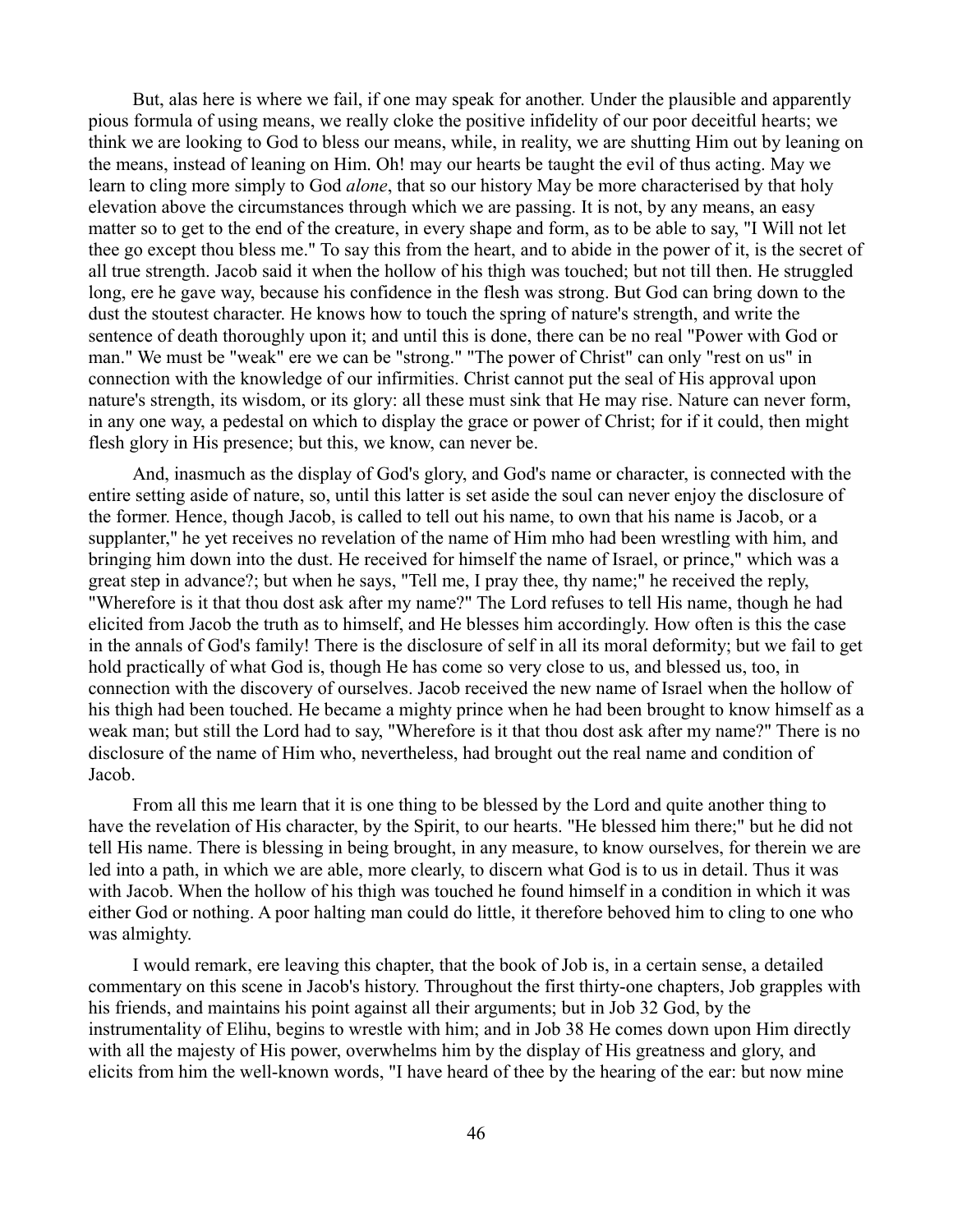But, alas here is where we fail, if one may speak for another. Under the plausible and apparently pious formula of using means, we really cloke the positive infidelity of our poor deceitful hearts; we think we are looking to God to bless our means, while, in reality, we are shutting Him out by leaning on the means, instead of leaning on Him. Oh! may our hearts be taught the evil of thus acting. May we learn to cling more simply to God *alone*, that so our history May be more characterised by that holy elevation above the circumstances through which we are passing. It is not, by any means, an easy matter so to get to the end of the creature, in every shape and form, as to be able to say, "I Will not let thee go except thou bless me." To say this from the heart, and to abide in the power of it, is the secret of all true strength. Jacob said it when the hollow of his thigh was touched; but not till then. He struggled long, ere he gave way, because his confidence in the flesh was strong. But God can bring down to the dust the stoutest character. He knows how to touch the spring of nature's strength, and write the sentence of death thoroughly upon it; and until this is done, there can be no real "Power with God or man." We must be "weak" ere we can be "strong." "The power of Christ" can only "rest on us" in connection with the knowledge of our infirmities. Christ cannot put the seal of His approval upon nature's strength, its wisdom, or its glory: all these must sink that He may rise. Nature can never form, in any one way, a pedestal on which to display the grace or power of Christ; for if it could, then might flesh glory in His presence; but this, we know, can never be.

And, inasmuch as the display of God's glory, and God's name or character, is connected with the entire setting aside of nature, so, until this latter is set aside the soul can never enjoy the disclosure of the former. Hence, though Jacob, is called to tell out his name, to own that his name is Jacob, or a supplanter," he yet receives no revelation of the name of Him mho had been wrestling with him, and bringing him down into the dust. He received for himself the name of Israel, or prince," which was a great step in advance?; but when he says, "Tell me, I pray thee, thy name;" he received the reply, "Wherefore is it that thou dost ask after my name?" The Lord refuses to tell His name, though he had elicited from Jacob the truth as to himself, and He blesses him accordingly. How often is this the case in the annals of God's family! There is the disclosure of self in all its moral deformity; but we fail to get hold practically of what God is, though He has come so very close to us, and blessed us, too, in connection with the discovery of ourselves. Jacob received the new name of Israel when the hollow of his thigh had been touched. He became a mighty prince when he had been brought to know himself as a weak man; but still the Lord had to say, "Wherefore is it that thou dost ask after my name?" There is no disclosure of the name of Him who, nevertheless, had brought out the real name and condition of Jacob.

From all this me learn that it is one thing to be blessed by the Lord and quite another thing to have the revelation of His character, by the Spirit, to our hearts. "He blessed him there;" but he did not tell His name. There is blessing in being brought, in any measure, to know ourselves, for therein we are led into a path, in which we are able, more clearly, to discern what God is to us in detail. Thus it was with Jacob. When the hollow of his thigh was touched he found himself in a condition in which it was either God or nothing. A poor halting man could do little, it therefore behoved him to cling to one who was almighty.

I would remark, ere leaving this chapter, that the book of Job is, in a certain sense, a detailed commentary on this scene in Jacob's history. Throughout the first thirty-one chapters, Job grapples with his friends, and maintains his point against all their arguments; but in Job 32 God, by the instrumentality of Elihu, begins to wrestle with him; and in Job 38 He comes down upon Him directly with all the majesty of His power, overwhelms him by the display of His greatness and glory, and elicits from him the well-known words, "I have heard of thee by the hearing of the ear: but now mine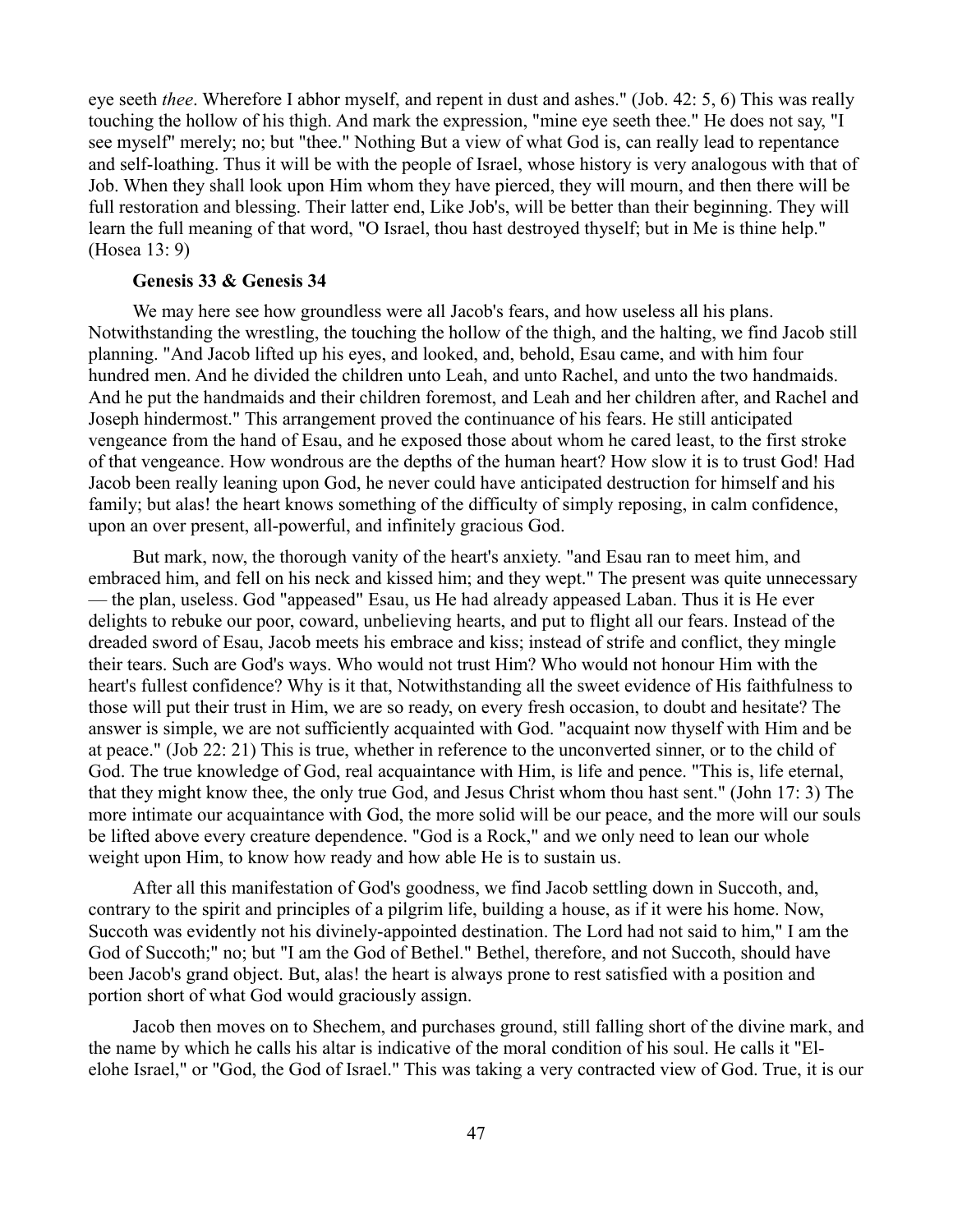eye seeth *thee*. Wherefore I abhor myself, and repent in dust and ashes." (Job. 42: 5, 6) This was really touching the hollow of his thigh. And mark the expression, "mine eye seeth thee." He does not say, "I see myself" merely; no; but "thee." Nothing But a view of what God is, can really lead to repentance and self-loathing. Thus it will be with the people of Israel, whose history is very analogous with that of Job. When they shall look upon Him whom they have pierced, they will mourn, and then there will be full restoration and blessing. Their latter end, Like Job's, will be better than their beginning. They will learn the full meaning of that word, "O Israel, thou hast destroyed thyself; but in Me is thine help." (Hosea 13: 9)

#### **Genesis 33 & Genesis 34**

We may here see how groundless were all Jacob's fears, and how useless all his plans. Notwithstanding the wrestling, the touching the hollow of the thigh, and the halting, we find Jacob still planning. "And Jacob lifted up his eyes, and looked, and, behold, Esau came, and with him four hundred men. And he divided the children unto Leah, and unto Rachel, and unto the two handmaids. And he put the handmaids and their children foremost, and Leah and her children after, and Rachel and Joseph hindermost." This arrangement proved the continuance of his fears. He still anticipated vengeance from the hand of Esau, and he exposed those about whom he cared least, to the first stroke of that vengeance. How wondrous are the depths of the human heart? How slow it is to trust God! Had Jacob been really leaning upon God, he never could have anticipated destruction for himself and his family; but alas! the heart knows something of the difficulty of simply reposing, in calm confidence, upon an over present, all-powerful, and infinitely gracious God.

But mark, now, the thorough vanity of the heart's anxiety. "and Esau ran to meet him, and embraced him, and fell on his neck and kissed him; and they wept." The present was quite unnecessary — the plan, useless. God "appeased" Esau, us He had already appeased Laban. Thus it is He ever delights to rebuke our poor, coward, unbelieving hearts, and put to flight all our fears. Instead of the dreaded sword of Esau, Jacob meets his embrace and kiss; instead of strife and conflict, they mingle their tears. Such are God's ways. Who would not trust Him? Who would not honour Him with the heart's fullest confidence? Why is it that, Notwithstanding all the sweet evidence of His faithfulness to those will put their trust in Him, we are so ready, on every fresh occasion, to doubt and hesitate? The answer is simple, we are not sufficiently acquainted with God. "acquaint now thyself with Him and be at peace." (Job 22: 21) This is true, whether in reference to the unconverted sinner, or to the child of God. The true knowledge of God, real acquaintance with Him, is life and pence. "This is, life eternal, that they might know thee, the only true God, and Jesus Christ whom thou hast sent." (John 17: 3) The more intimate our acquaintance with God, the more solid will be our peace, and the more will our souls be lifted above every creature dependence. "God is a Rock," and we only need to lean our whole weight upon Him, to know how ready and how able He is to sustain us.

After all this manifestation of God's goodness, we find Jacob settling down in Succoth, and, contrary to the spirit and principles of a pilgrim life, building a house, as if it were his home. Now, Succoth was evidently not his divinely-appointed destination. The Lord had not said to him," I am the God of Succoth;" no; but "I am the God of Bethel." Bethel, therefore, and not Succoth, should have been Jacob's grand object. But, alas! the heart is always prone to rest satisfied with a position and portion short of what God would graciously assign.

Jacob then moves on to Shechem, and purchases ground, still falling short of the divine mark, and the name by which he calls his altar is indicative of the moral condition of his soul. He calls it "Elelohe Israel," or "God, the God of Israel." This was taking a very contracted view of God. True, it is our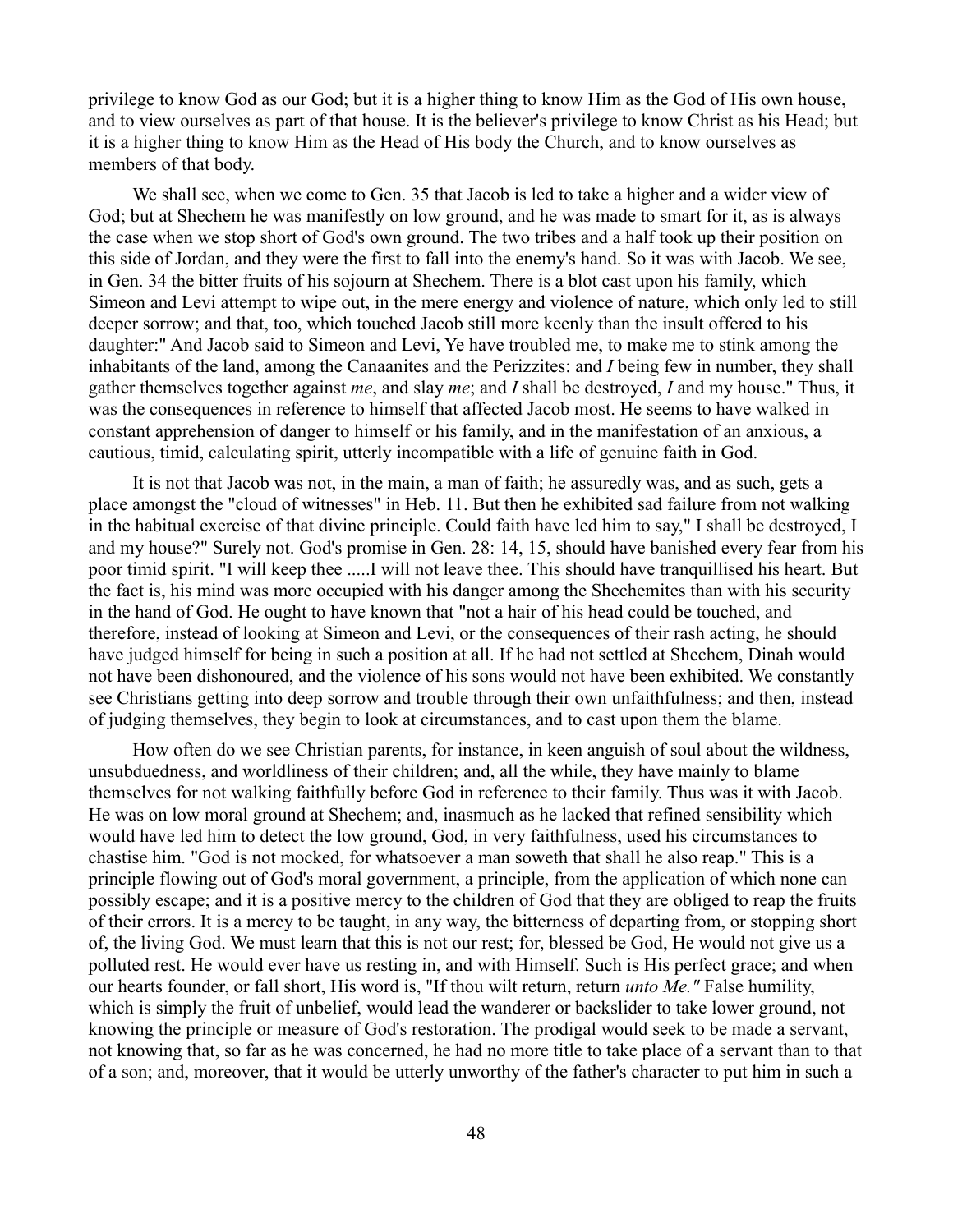privilege to know God as our God; but it is a higher thing to know Him as the God of His own house, and to view ourselves as part of that house. It is the believer's privilege to know Christ as his Head; but it is a higher thing to know Him as the Head of His body the Church, and to know ourselves as members of that body.

We shall see, when we come to Gen. 35 that Jacob is led to take a higher and a wider view of God; but at Shechem he was manifestly on low ground, and he was made to smart for it, as is always the case when we stop short of God's own ground. The two tribes and a half took up their position on this side of Jordan, and they were the first to fall into the enemy's hand. So it was with Jacob. We see, in Gen. 34 the bitter fruits of his sojourn at Shechem. There is a blot cast upon his family, which Simeon and Levi attempt to wipe out, in the mere energy and violence of nature, which only led to still deeper sorrow; and that, too, which touched Jacob still more keenly than the insult offered to his daughter:" And Jacob said to Simeon and Levi, Ye have troubled me, to make me to stink among the inhabitants of the land, among the Canaanites and the Perizzites: and *I* being few in number, they shall gather themselves together against *me*, and slay *me*; and *I* shall be destroyed, *I* and my house." Thus, it was the consequences in reference to himself that affected Jacob most. He seems to have walked in constant apprehension of danger to himself or his family, and in the manifestation of an anxious, a cautious, timid, calculating spirit, utterly incompatible with a life of genuine faith in God.

It is not that Jacob was not, in the main, a man of faith; he assuredly was, and as such, gets a place amongst the "cloud of witnesses" in Heb. 11. But then he exhibited sad failure from not walking in the habitual exercise of that divine principle. Could faith have led him to say," I shall be destroyed, I and my house?" Surely not. God's promise in Gen. 28: 14, 15, should have banished every fear from his poor timid spirit. "I will keep thee .....I will not leave thee. This should have tranquillised his heart. But the fact is, his mind was more occupied with his danger among the Shechemites than with his security in the hand of God. He ought to have known that "not a hair of his head could be touched, and therefore, instead of looking at Simeon and Levi, or the consequences of their rash acting, he should have judged himself for being in such a position at all. If he had not settled at Shechem, Dinah would not have been dishonoured, and the violence of his sons would not have been exhibited. We constantly see Christians getting into deep sorrow and trouble through their own unfaithfulness; and then, instead of judging themselves, they begin to look at circumstances, and to cast upon them the blame.

How often do we see Christian parents, for instance, in keen anguish of soul about the wildness, unsubduedness, and worldliness of their children; and, all the while, they have mainly to blame themselves for not walking faithfully before God in reference to their family. Thus was it with Jacob. He was on low moral ground at Shechem; and, inasmuch as he lacked that refined sensibility which would have led him to detect the low ground, God, in very faithfulness, used his circumstances to chastise him. "God is not mocked, for whatsoever a man soweth that shall he also reap." This is a principle flowing out of God's moral government, a principle, from the application of which none can possibly escape; and it is a positive mercy to the children of God that they are obliged to reap the fruits of their errors. It is a mercy to be taught, in any way, the bitterness of departing from, or stopping short of, the living God. We must learn that this is not our rest; for, blessed be God, He would not give us a polluted rest. He would ever have us resting in, and with Himself. Such is His perfect grace; and when our hearts founder, or fall short, His word is, "If thou wilt return, return *unto Me."* False humility, which is simply the fruit of unbelief, would lead the wanderer or backslider to take lower ground, not knowing the principle or measure of God's restoration. The prodigal would seek to be made a servant, not knowing that, so far as he was concerned, he had no more title to take place of a servant than to that of a son; and, moreover, that it would be utterly unworthy of the father's character to put him in such a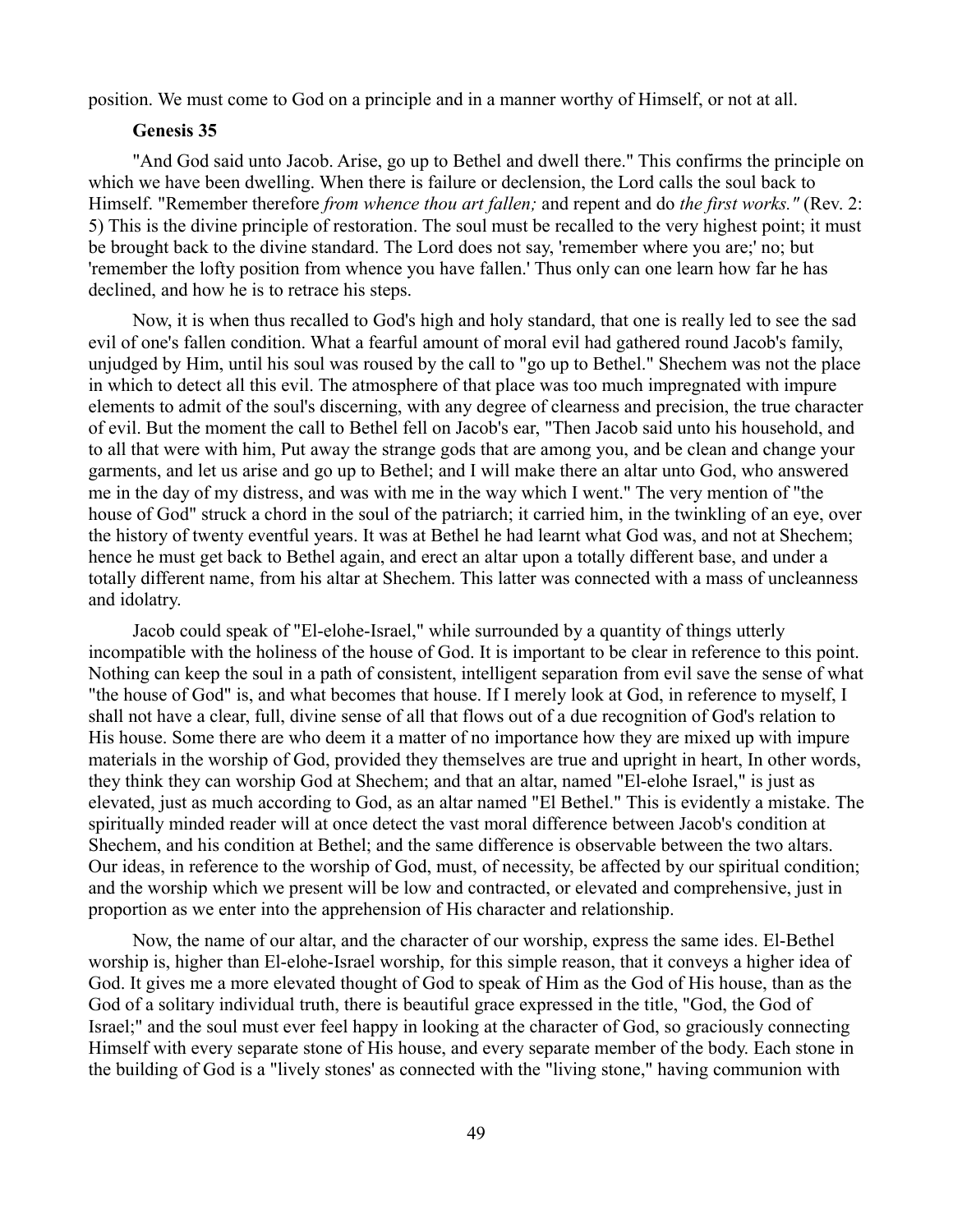position. We must come to God on a principle and in a manner worthy of Himself, or not at all.

## **Genesis 35**

"And God said unto Jacob. Arise, go up to Bethel and dwell there." This confirms the principle on which we have been dwelling. When there is failure or declension, the Lord calls the soul back to Himself. "Remember therefore *from whence thou art fallen;* and repent and do *the first works."* (Rev. 2: 5) This is the divine principle of restoration. The soul must be recalled to the very highest point; it must be brought back to the divine standard. The Lord does not say, 'remember where you are;' no; but 'remember the lofty position from whence you have fallen.' Thus only can one learn how far he has declined, and how he is to retrace his steps.

Now, it is when thus recalled to God's high and holy standard, that one is really led to see the sad evil of one's fallen condition. What a fearful amount of moral evil had gathered round Jacob's family, unjudged by Him, until his soul was roused by the call to "go up to Bethel." Shechem was not the place in which to detect all this evil. The atmosphere of that place was too much impregnated with impure elements to admit of the soul's discerning, with any degree of clearness and precision, the true character of evil. But the moment the call to Bethel fell on Jacob's ear, "Then Jacob said unto his household, and to all that were with him, Put away the strange gods that are among you, and be clean and change your garments, and let us arise and go up to Bethel; and I will make there an altar unto God, who answered me in the day of my distress, and was with me in the way which I went." The very mention of "the house of God" struck a chord in the soul of the patriarch; it carried him, in the twinkling of an eye, over the history of twenty eventful years. It was at Bethel he had learnt what God was, and not at Shechem; hence he must get back to Bethel again, and erect an altar upon a totally different base, and under a totally different name, from his altar at Shechem. This latter was connected with a mass of uncleanness and idolatry.

Jacob could speak of "El-elohe-Israel," while surrounded by a quantity of things utterly incompatible with the holiness of the house of God. It is important to be clear in reference to this point. Nothing can keep the soul in a path of consistent, intelligent separation from evil save the sense of what "the house of God" is, and what becomes that house. If I merely look at God, in reference to myself, I shall not have a clear, full, divine sense of all that flows out of a due recognition of God's relation to His house. Some there are who deem it a matter of no importance how they are mixed up with impure materials in the worship of God, provided they themselves are true and upright in heart, In other words, they think they can worship God at Shechem; and that an altar, named "El-elohe Israel," is just as elevated, just as much according to God, as an altar named "El Bethel." This is evidently a mistake. The spiritually minded reader will at once detect the vast moral difference between Jacob's condition at Shechem, and his condition at Bethel; and the same difference is observable between the two altars. Our ideas, in reference to the worship of God, must, of necessity, be affected by our spiritual condition; and the worship which we present will be low and contracted, or elevated and comprehensive, just in proportion as we enter into the apprehension of His character and relationship.

Now, the name of our altar, and the character of our worship, express the same ides. El-Bethel worship is, higher than El-elohe-Israel worship, for this simple reason, that it conveys a higher idea of God. It gives me a more elevated thought of God to speak of Him as the God of His house, than as the God of a solitary individual truth, there is beautiful grace expressed in the title, "God, the God of Israel;" and the soul must ever feel happy in looking at the character of God, so graciously connecting Himself with every separate stone of His house, and every separate member of the body. Each stone in the building of God is a "lively stones' as connected with the "living stone," having communion with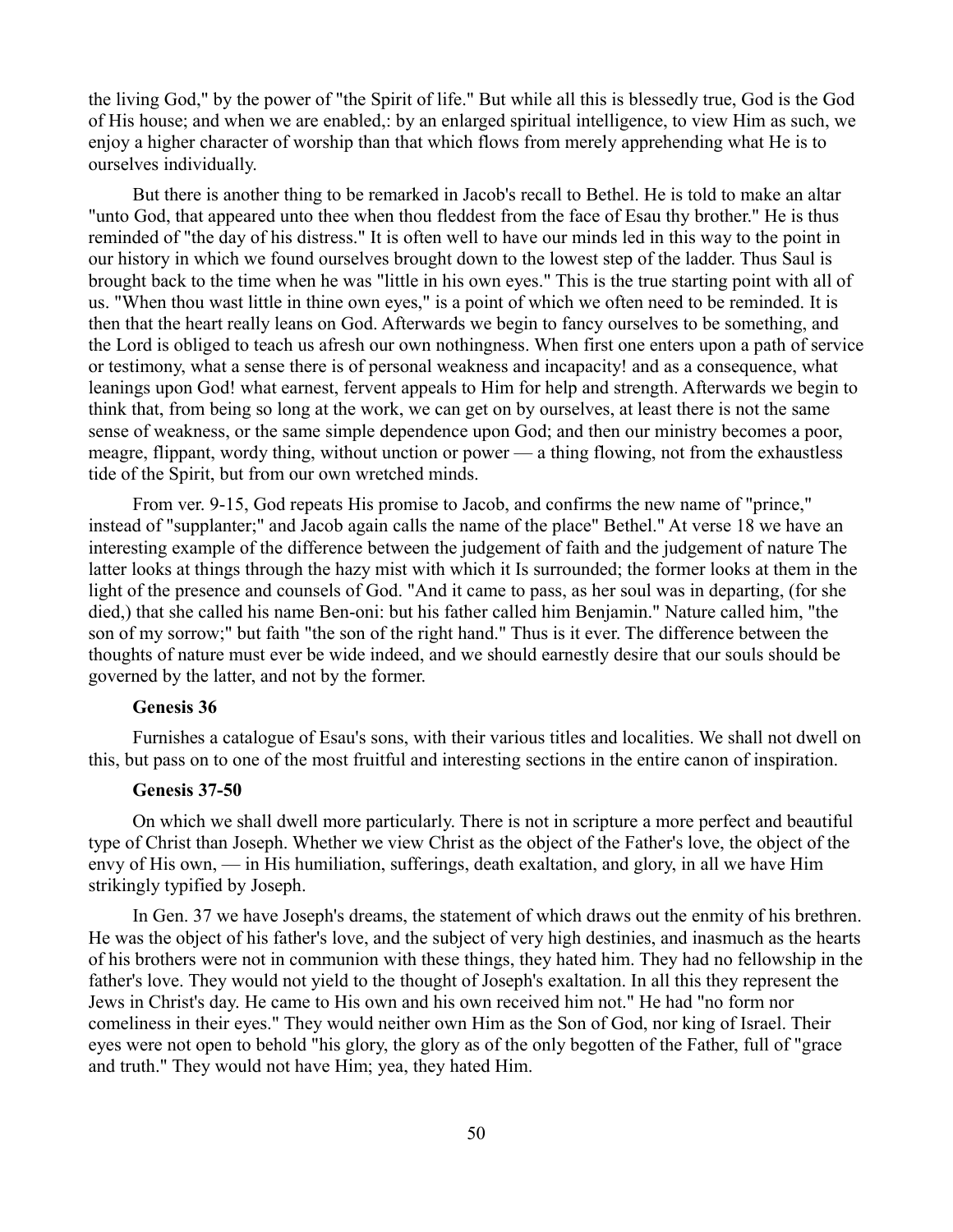the living God," by the power of "the Spirit of life." But while all this is blessedly true, God is the God of His house; and when we are enabled,: by an enlarged spiritual intelligence, to view Him as such, we enjoy a higher character of worship than that which flows from merely apprehending what He is to ourselves individually.

But there is another thing to be remarked in Jacob's recall to Bethel. He is told to make an altar "unto God, that appeared unto thee when thou fleddest from the face of Esau thy brother." He is thus reminded of "the day of his distress." It is often well to have our minds led in this way to the point in our history in which we found ourselves brought down to the lowest step of the ladder. Thus Saul is brought back to the time when he was "little in his own eyes." This is the true starting point with all of us. "When thou wast little in thine own eyes," is a point of which we often need to be reminded. It is then that the heart really leans on God. Afterwards we begin to fancy ourselves to be something, and the Lord is obliged to teach us afresh our own nothingness. When first one enters upon a path of service or testimony, what a sense there is of personal weakness and incapacity! and as a consequence, what leanings upon God! what earnest, fervent appeals to Him for help and strength. Afterwards we begin to think that, from being so long at the work, we can get on by ourselves, at least there is not the same sense of weakness, or the same simple dependence upon God; and then our ministry becomes a poor, meagre, flippant, wordy thing, without unction or power — a thing flowing, not from the exhaustless tide of the Spirit, but from our own wretched minds.

From ver. 9-15, God repeats His promise to Jacob, and confirms the new name of "prince," instead of "supplanter;" and Jacob again calls the name of the place" Bethel." At verse 18 we have an interesting example of the difference between the judgement of faith and the judgement of nature The latter looks at things through the hazy mist with which it Is surrounded; the former looks at them in the light of the presence and counsels of God. "And it came to pass, as her soul was in departing, (for she died,) that she called his name Ben-oni: but his father called him Benjamin." Nature called him, "the son of my sorrow;" but faith "the son of the right hand." Thus is it ever. The difference between the thoughts of nature must ever be wide indeed, and we should earnestly desire that our souls should be governed by the latter, and not by the former.

# **Genesis 36**

Furnishes a catalogue of Esau's sons, with their various titles and localities. We shall not dwell on this, but pass on to one of the most fruitful and interesting sections in the entire canon of inspiration.

## **Genesis 37-50**

On which we shall dwell more particularly. There is not in scripture a more perfect and beautiful type of Christ than Joseph. Whether we view Christ as the object of the Father's love, the object of the envy of His own, — in His humiliation, sufferings, death exaltation, and glory, in all we have Him strikingly typified by Joseph.

In Gen. 37 we have Joseph's dreams, the statement of which draws out the enmity of his brethren. He was the object of his father's love, and the subject of very high destinies, and inasmuch as the hearts of his brothers were not in communion with these things, they hated him. They had no fellowship in the father's love. They would not yield to the thought of Joseph's exaltation. In all this they represent the Jews in Christ's day. He came to His own and his own received him not." He had "no form nor comeliness in their eyes." They would neither own Him as the Son of God, nor king of Israel. Their eyes were not open to behold "his glory, the glory as of the only begotten of the Father, full of "grace and truth." They would not have Him; yea, they hated Him.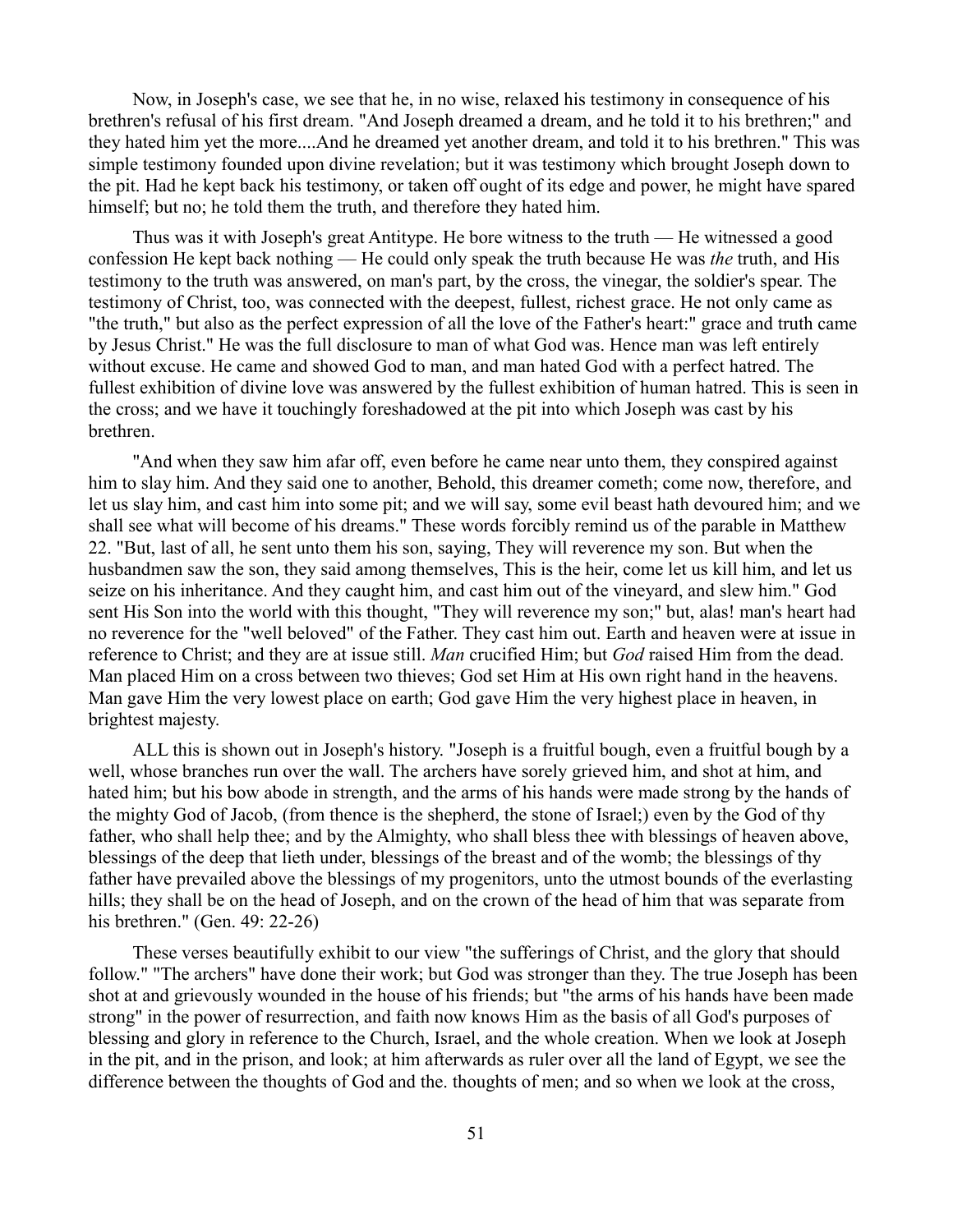Now, in Joseph's case, we see that he, in no wise, relaxed his testimony in consequence of his brethren's refusal of his first dream. "And Joseph dreamed a dream, and he told it to his brethren;" and they hated him yet the more....And he dreamed yet another dream, and told it to his brethren." This was simple testimony founded upon divine revelation; but it was testimony which brought Joseph down to the pit. Had he kept back his testimony, or taken off ought of its edge and power, he might have spared himself; but no; he told them the truth, and therefore they hated him.

Thus was it with Joseph's great Antitype. He bore witness to the truth — He witnessed a good confession He kept back nothing — He could only speak the truth because He was *the* truth, and His testimony to the truth was answered, on man's part, by the cross, the vinegar, the soldier's spear. The testimony of Christ, too, was connected with the deepest, fullest, richest grace. He not only came as "the truth," but also as the perfect expression of all the love of the Father's heart:" grace and truth came by Jesus Christ." He was the full disclosure to man of what God was. Hence man was left entirely without excuse. He came and showed God to man, and man hated God with a perfect hatred. The fullest exhibition of divine love was answered by the fullest exhibition of human hatred. This is seen in the cross; and we have it touchingly foreshadowed at the pit into which Joseph was cast by his brethren.

"And when they saw him afar off, even before he came near unto them, they conspired against him to slay him. And they said one to another, Behold, this dreamer cometh; come now, therefore, and let us slay him, and cast him into some pit; and we will say, some evil beast hath devoured him; and we shall see what will become of his dreams." These words forcibly remind us of the parable in Matthew 22. "But, last of all, he sent unto them his son, saying, They will reverence my son. But when the husbandmen saw the son, they said among themselves, This is the heir, come let us kill him, and let us seize on his inheritance. And they caught him, and cast him out of the vineyard, and slew him." God sent His Son into the world with this thought, "They will reverence my son;" but, alas! man's heart had no reverence for the "well beloved" of the Father. They cast him out. Earth and heaven were at issue in reference to Christ; and they are at issue still. *Man* crucified Him; but *God* raised Him from the dead. Man placed Him on a cross between two thieves; God set Him at His own right hand in the heavens. Man gave Him the very lowest place on earth; God gave Him the very highest place in heaven, in brightest majesty.

ALL this is shown out in Joseph's history. "Joseph is a fruitful bough, even a fruitful bough by a well, whose branches run over the wall. The archers have sorely grieved him, and shot at him, and hated him; but his bow abode in strength, and the arms of his hands were made strong by the hands of the mighty God of Jacob, (from thence is the shepherd, the stone of Israel;) even by the God of thy father, who shall help thee; and by the Almighty, who shall bless thee with blessings of heaven above, blessings of the deep that lieth under, blessings of the breast and of the womb; the blessings of thy father have prevailed above the blessings of my progenitors, unto the utmost bounds of the everlasting hills; they shall be on the head of Joseph, and on the crown of the head of him that was separate from his brethren." (Gen. 49: 22-26)

These verses beautifully exhibit to our view "the sufferings of Christ, and the glory that should follow." "The archers" have done their work; but God was stronger than they. The true Joseph has been shot at and grievously wounded in the house of his friends; but "the arms of his hands have been made strong" in the power of resurrection, and faith now knows Him as the basis of all God's purposes of blessing and glory in reference to the Church, Israel, and the whole creation. When we look at Joseph in the pit, and in the prison, and look; at him afterwards as ruler over all the land of Egypt, we see the difference between the thoughts of God and the. thoughts of men; and so when we look at the cross,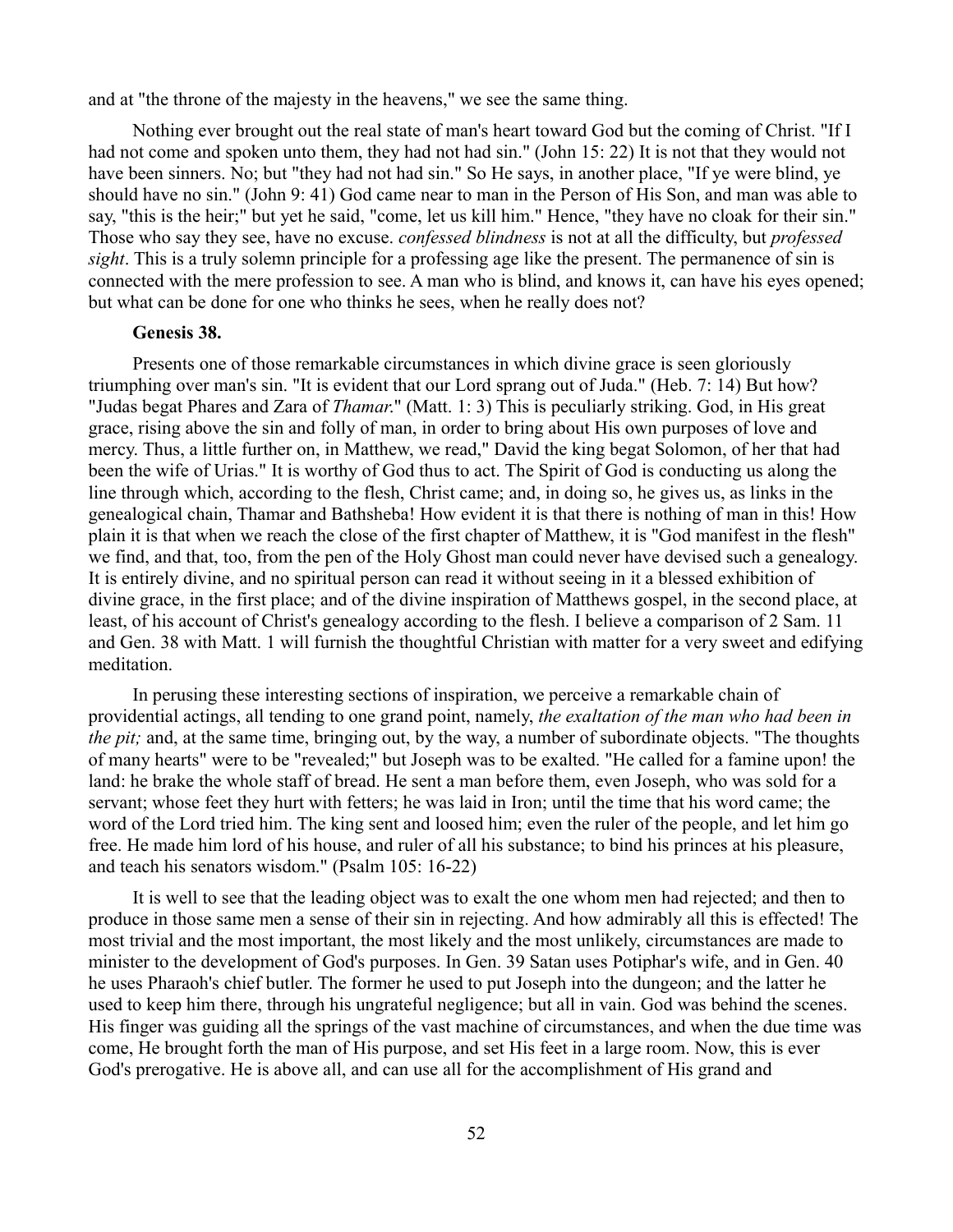and at "the throne of the majesty in the heavens," we see the same thing.

Nothing ever brought out the real state of man's heart toward God but the coming of Christ. "If I had not come and spoken unto them, they had not had sin." (John 15: 22) It is not that they would not have been sinners. No; but "they had not had sin." So He says, in another place, "If ye were blind, ye should have no sin." (John 9: 41) God came near to man in the Person of His Son, and man was able to say, "this is the heir;" but yet he said, "come, let us kill him." Hence, "they have no cloak for their sin." Those who say they see, have no excuse. *confessed blindness* is not at all the difficulty, but *professed sight*. This is a truly solemn principle for a professing age like the present. The permanence of sin is connected with the mere profession to see. A man who is blind, and knows it, can have his eyes opened; but what can be done for one who thinks he sees, when he really does not?

#### **Genesis 38.**

Presents one of those remarkable circumstances in which divine grace is seen gloriously triumphing over man's sin. "It is evident that our Lord sprang out of Juda." (Heb. 7: 14) But how? "Judas begat Phares and Zara of *Thamar*." (Matt. 1: 3) This is peculiarly striking. God, in His great grace, rising above the sin and folly of man, in order to bring about His own purposes of love and mercy. Thus, a little further on, in Matthew, we read," David the king begat Solomon, of her that had been the wife of Urias." It is worthy of God thus to act. The Spirit of God is conducting us along the line through which, according to the flesh, Christ came; and, in doing so, he gives us, as links in the genealogical chain, Thamar and Bathsheba! How evident it is that there is nothing of man in this! How plain it is that when we reach the close of the first chapter of Matthew, it is "God manifest in the flesh" we find, and that, too, from the pen of the Holy Ghost man could never have devised such a genealogy. It is entirely divine, and no spiritual person can read it without seeing in it a blessed exhibition of divine grace, in the first place; and of the divine inspiration of Matthews gospel, in the second place, at least, of his account of Christ's genealogy according to the flesh. I believe a comparison of 2 Sam. 11 and Gen. 38 with Matt. 1 will furnish the thoughtful Christian with matter for a very sweet and edifying meditation.

In perusing these interesting sections of inspiration, we perceive a remarkable chain of providential actings, all tending to one grand point, namely, *the exaltation of the man who had been in the pit;* and, at the same time, bringing out, by the way, a number of subordinate objects. "The thoughts of many hearts" were to be "revealed;" but Joseph was to be exalted. "He called for a famine upon! the land: he brake the whole staff of bread. He sent a man before them, even Joseph, who was sold for a servant; whose feet they hurt with fetters; he was laid in Iron; until the time that his word came; the word of the Lord tried him. The king sent and loosed him; even the ruler of the people, and let him go free. He made him lord of his house, and ruler of all his substance; to bind his princes at his pleasure, and teach his senators wisdom." (Psalm 105: 16-22)

It is well to see that the leading object was to exalt the one whom men had rejected; and then to produce in those same men a sense of their sin in rejecting. And how admirably all this is effected! The most trivial and the most important, the most likely and the most unlikely, circumstances are made to minister to the development of God's purposes. In Gen. 39 Satan uses Potiphar's wife, and in Gen. 40 he uses Pharaoh's chief butler. The former he used to put Joseph into the dungeon; and the latter he used to keep him there, through his ungrateful negligence; but all in vain. God was behind the scenes. His finger was guiding all the springs of the vast machine of circumstances, and when the due time was come, He brought forth the man of His purpose, and set His feet in a large room. Now, this is ever God's prerogative. He is above all, and can use all for the accomplishment of His grand and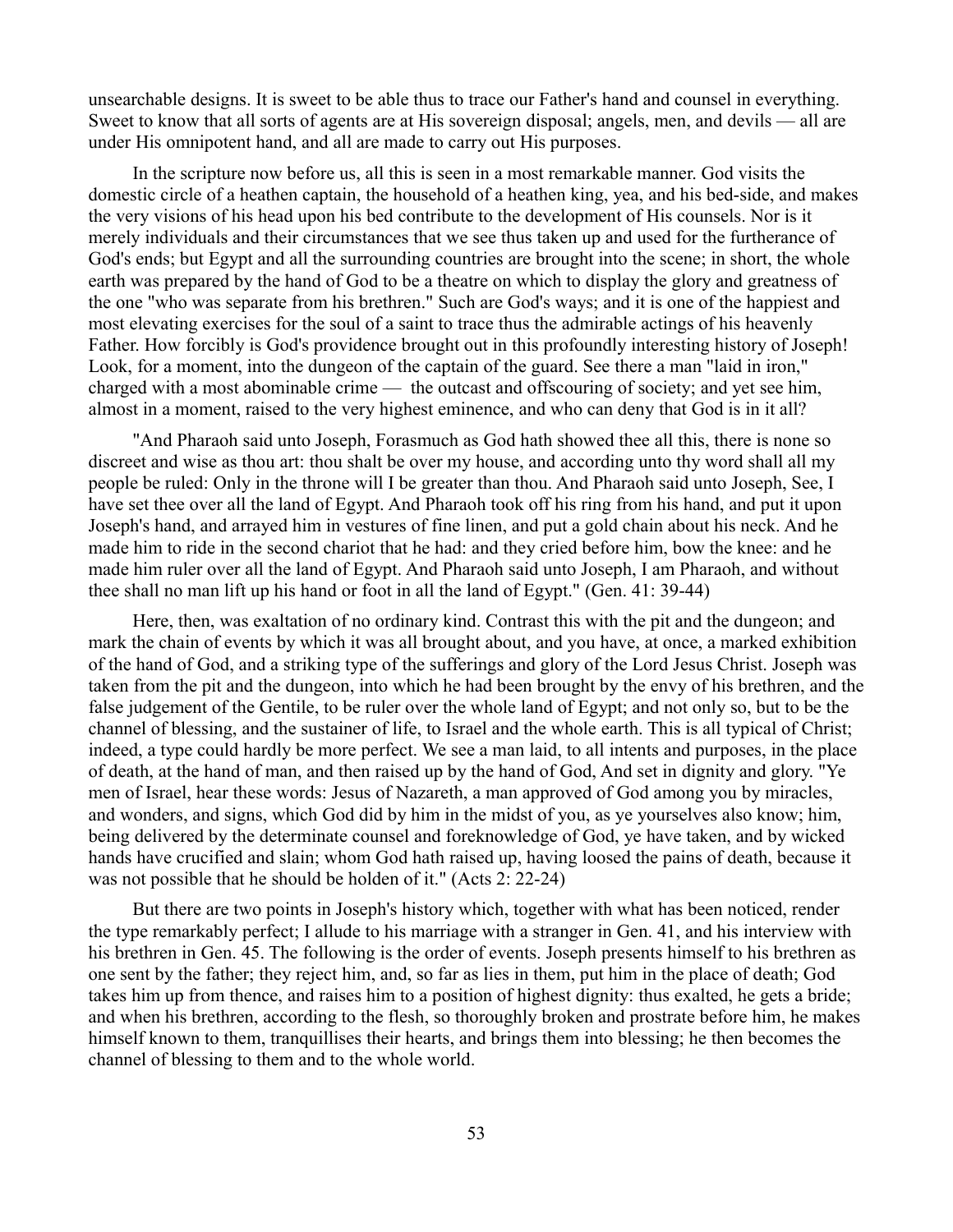unsearchable designs. It is sweet to be able thus to trace our Father's hand and counsel in everything. Sweet to know that all sorts of agents are at His sovereign disposal; angels, men, and devils — all are under His omnipotent hand, and all are made to carry out His purposes.

In the scripture now before us, all this is seen in a most remarkable manner. God visits the domestic circle of a heathen captain, the household of a heathen king, yea, and his bed-side, and makes the very visions of his head upon his bed contribute to the development of His counsels. Nor is it merely individuals and their circumstances that we see thus taken up and used for the furtherance of God's ends; but Egypt and all the surrounding countries are brought into the scene; in short, the whole earth was prepared by the hand of God to be a theatre on which to display the glory and greatness of the one "who was separate from his brethren." Such are God's ways; and it is one of the happiest and most elevating exercises for the soul of a saint to trace thus the admirable actings of his heavenly Father. How forcibly is God's providence brought out in this profoundly interesting history of Joseph! Look, for a moment, into the dungeon of the captain of the guard. See there a man "laid in iron," charged with a most abominable crime — the outcast and offscouring of society; and yet see him, almost in a moment, raised to the very highest eminence, and who can deny that God is in it all?

"And Pharaoh said unto Joseph, Forasmuch as God hath showed thee all this, there is none so discreet and wise as thou art: thou shalt be over my house, and according unto thy word shall all my people be ruled: Only in the throne will I be greater than thou. And Pharaoh said unto Joseph, See, I have set thee over all the land of Egypt. And Pharaoh took off his ring from his hand, and put it upon Joseph's hand, and arrayed him in vestures of fine linen, and put a gold chain about his neck. And he made him to ride in the second chariot that he had: and they cried before him, bow the knee: and he made him ruler over all the land of Egypt. And Pharaoh said unto Joseph, I am Pharaoh, and without thee shall no man lift up his hand or foot in all the land of Egypt." (Gen. 41: 39-44)

Here, then, was exaltation of no ordinary kind. Contrast this with the pit and the dungeon; and mark the chain of events by which it was all brought about, and you have, at once, a marked exhibition of the hand of God, and a striking type of the sufferings and glory of the Lord Jesus Christ. Joseph was taken from the pit and the dungeon, into which he had been brought by the envy of his brethren, and the false judgement of the Gentile, to be ruler over the whole land of Egypt; and not only so, but to be the channel of blessing, and the sustainer of life, to Israel and the whole earth. This is all typical of Christ; indeed, a type could hardly be more perfect. We see a man laid, to all intents and purposes, in the place of death, at the hand of man, and then raised up by the hand of God, And set in dignity and glory. "Ye men of Israel, hear these words: Jesus of Nazareth, a man approved of God among you by miracles, and wonders, and signs, which God did by him in the midst of you, as ye yourselves also know; him, being delivered by the determinate counsel and foreknowledge of God, ye have taken, and by wicked hands have crucified and slain; whom God hath raised up, having loosed the pains of death, because it was not possible that he should be holden of it." (Acts 2: 22-24)

But there are two points in Joseph's history which, together with what has been noticed, render the type remarkably perfect; I allude to his marriage with a stranger in Gen. 41, and his interview with his brethren in Gen. 45. The following is the order of events. Joseph presents himself to his brethren as one sent by the father; they reject him, and, so far as lies in them, put him in the place of death; God takes him up from thence, and raises him to a position of highest dignity: thus exalted, he gets a bride; and when his brethren, according to the flesh, so thoroughly broken and prostrate before him, he makes himself known to them, tranquillises their hearts, and brings them into blessing; he then becomes the channel of blessing to them and to the whole world.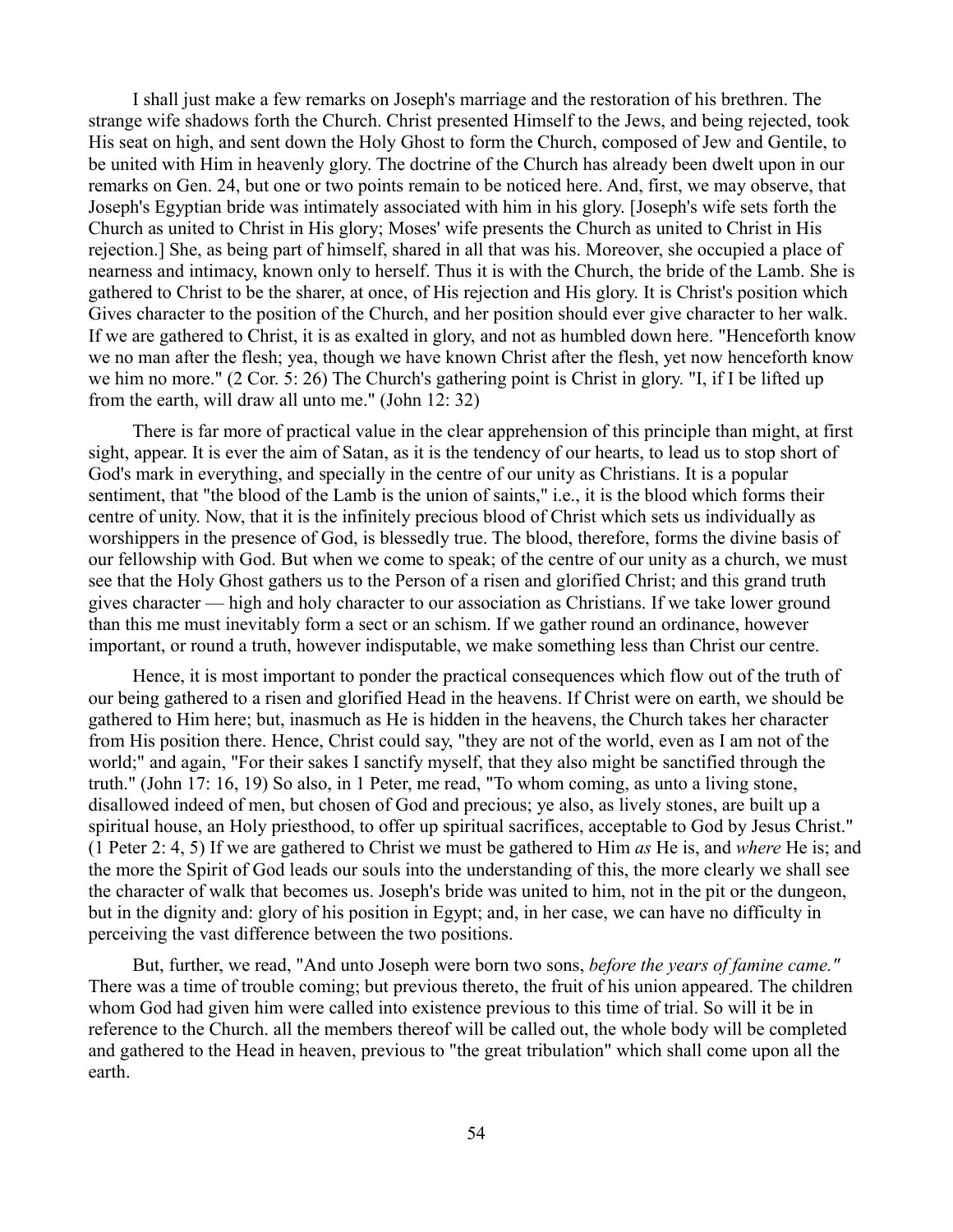I shall just make a few remarks on Joseph's marriage and the restoration of his brethren. The strange wife shadows forth the Church. Christ presented Himself to the Jews, and being rejected, took His seat on high, and sent down the Holy Ghost to form the Church, composed of Jew and Gentile, to be united with Him in heavenly glory. The doctrine of the Church has already been dwelt upon in our remarks on Gen. 24, but one or two points remain to be noticed here. And, first, we may observe, that Joseph's Egyptian bride was intimately associated with him in his glory. [Joseph's wife sets forth the Church as united to Christ in His glory; Moses' wife presents the Church as united to Christ in His rejection.] She, as being part of himself, shared in all that was his. Moreover, she occupied a place of nearness and intimacy, known only to herself. Thus it is with the Church, the bride of the Lamb. She is gathered to Christ to be the sharer, at once, of His rejection and His glory. It is Christ's position which Gives character to the position of the Church, and her position should ever give character to her walk. If we are gathered to Christ, it is as exalted in glory, and not as humbled down here. "Henceforth know we no man after the flesh; yea, though we have known Christ after the flesh, yet now henceforth know we him no more." (2 Cor. 5: 26) The Church's gathering point is Christ in glory. "I, if I be lifted up from the earth, will draw all unto me." (John 12: 32)

There is far more of practical value in the clear apprehension of this principle than might, at first sight, appear. It is ever the aim of Satan, as it is the tendency of our hearts, to lead us to stop short of God's mark in everything, and specially in the centre of our unity as Christians. It is a popular sentiment, that "the blood of the Lamb is the union of saints," i.e., it is the blood which forms their centre of unity. Now, that it is the infinitely precious blood of Christ which sets us individually as worshippers in the presence of God, is blessedly true. The blood, therefore, forms the divine basis of our fellowship with God. But when we come to speak; of the centre of our unity as a church, we must see that the Holy Ghost gathers us to the Person of a risen and glorified Christ; and this grand truth gives character — high and holy character to our association as Christians. If we take lower ground than this me must inevitably form a sect or an schism. If we gather round an ordinance, however important, or round a truth, however indisputable, we make something less than Christ our centre.

Hence, it is most important to ponder the practical consequences which flow out of the truth of our being gathered to a risen and glorified Head in the heavens. If Christ were on earth, we should be gathered to Him here; but, inasmuch as He is hidden in the heavens, the Church takes her character from His position there. Hence, Christ could say, "they are not of the world, even as I am not of the world;" and again, "For their sakes I sanctify myself, that they also might be sanctified through the truth." (John 17: 16, 19) So also, in 1 Peter, me read, "To whom coming, as unto a living stone, disallowed indeed of men, but chosen of God and precious; ye also, as lively stones, are built up a spiritual house, an Holy priesthood, to offer up spiritual sacrifices, acceptable to God by Jesus Christ." (1 Peter 2: 4, 5) If we are gathered to Christ we must be gathered to Him *as* He is, and *where* He is; and the more the Spirit of God leads our souls into the understanding of this, the more clearly we shall see the character of walk that becomes us. Joseph's bride was united to him, not in the pit or the dungeon, but in the dignity and: glory of his position in Egypt; and, in her case, we can have no difficulty in perceiving the vast difference between the two positions.

But, further, we read, "And unto Joseph were born two sons, *before the years of famine came."* There was a time of trouble coming; but previous thereto, the fruit of his union appeared. The children whom God had given him were called into existence previous to this time of trial. So will it be in reference to the Church. all the members thereof will be called out, the whole body will be completed and gathered to the Head in heaven, previous to "the great tribulation" which shall come upon all the earth.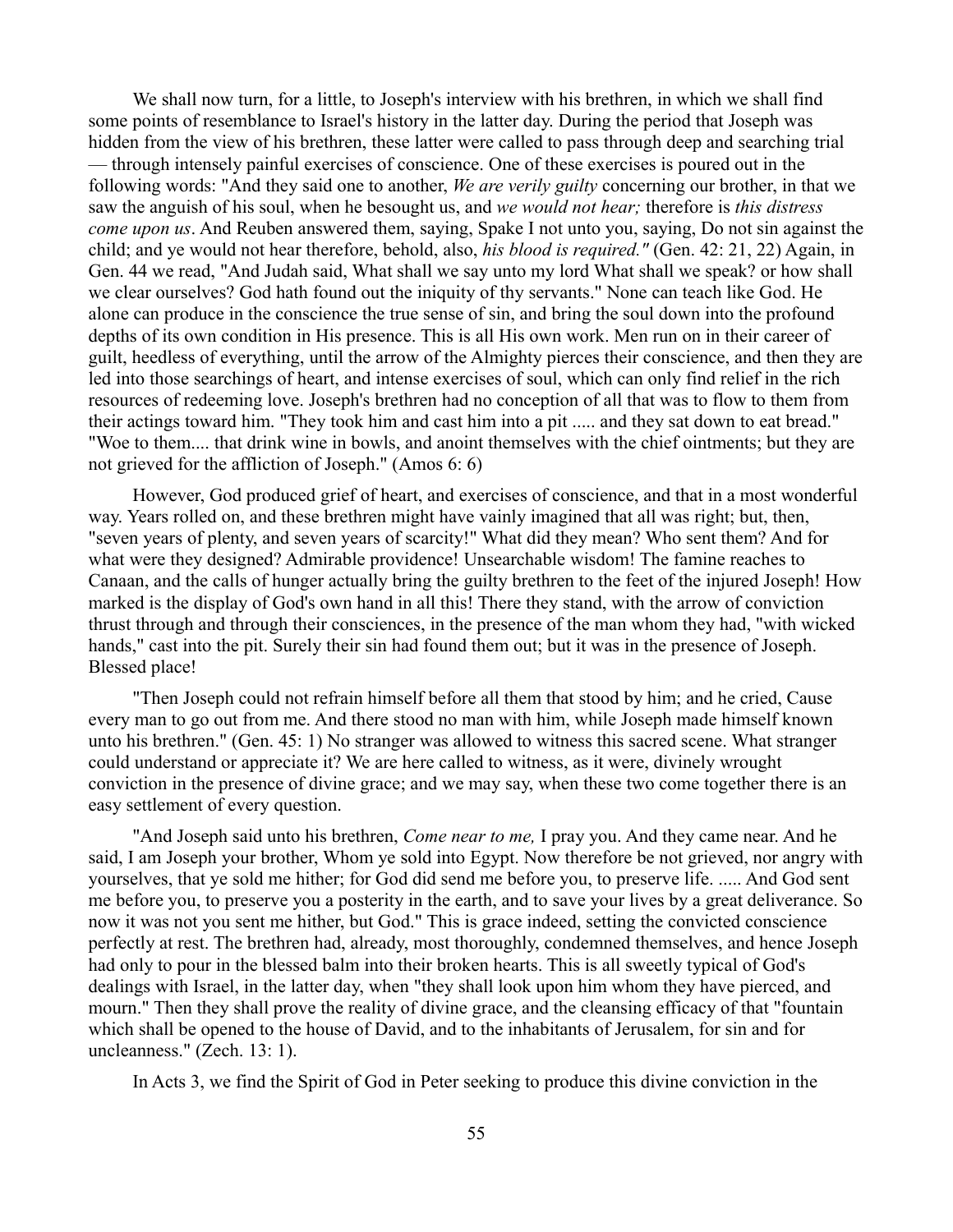We shall now turn, for a little, to Joseph's interview with his brethren, in which we shall find some points of resemblance to Israel's history in the latter day. During the period that Joseph was hidden from the view of his brethren, these latter were called to pass through deep and searching trial — through intensely painful exercises of conscience. One of these exercises is poured out in the following words: "And they said one to another, *We are verily guilty* concerning our brother, in that we saw the anguish of his soul, when he besought us, and *we would not hear;* therefore is *this distress come upon us*. And Reuben answered them, saying, Spake I not unto you, saying, Do not sin against the child; and ye would not hear therefore, behold, also, *his blood is required."* (Gen. 42: 21, 22) Again, in Gen. 44 we read, "And Judah said, What shall we say unto my lord What shall we speak? or how shall we clear ourselves? God hath found out the iniquity of thy servants." None can teach like God. He alone can produce in the conscience the true sense of sin, and bring the soul down into the profound depths of its own condition in His presence. This is all His own work. Men run on in their career of guilt, heedless of everything, until the arrow of the Almighty pierces their conscience, and then they are led into those searchings of heart, and intense exercises of soul, which can only find relief in the rich resources of redeeming love. Joseph's brethren had no conception of all that was to flow to them from their actings toward him. "They took him and cast him into a pit ..... and they sat down to eat bread." "Woe to them.... that drink wine in bowls, and anoint themselves with the chief ointments; but they are not grieved for the affliction of Joseph." (Amos 6: 6)

However, God produced grief of heart, and exercises of conscience, and that in a most wonderful way. Years rolled on, and these brethren might have vainly imagined that all was right; but, then, "seven years of plenty, and seven years of scarcity!" What did they mean? Who sent them? And for what were they designed? Admirable providence! Unsearchable wisdom! The famine reaches to Canaan, and the calls of hunger actually bring the guilty brethren to the feet of the injured Joseph! How marked is the display of God's own hand in all this! There they stand, with the arrow of conviction thrust through and through their consciences, in the presence of the man whom they had, "with wicked hands," cast into the pit. Surely their sin had found them out; but it was in the presence of Joseph. Blessed place!

"Then Joseph could not refrain himself before all them that stood by him; and he cried, Cause every man to go out from me. And there stood no man with him, while Joseph made himself known unto his brethren." (Gen. 45: 1) No stranger was allowed to witness this sacred scene. What stranger could understand or appreciate it? We are here called to witness, as it were, divinely wrought conviction in the presence of divine grace; and we may say, when these two come together there is an easy settlement of every question.

"And Joseph said unto his brethren, *Come near to me,* I pray you. And they came near. And he said, I am Joseph your brother, Whom ye sold into Egypt. Now therefore be not grieved, nor angry with yourselves, that ye sold me hither; for God did send me before you, to preserve life. ..... And God sent me before you, to preserve you a posterity in the earth, and to save your lives by a great deliverance. So now it was not you sent me hither, but God." This is grace indeed, setting the convicted conscience perfectly at rest. The brethren had, already, most thoroughly, condemned themselves, and hence Joseph had only to pour in the blessed balm into their broken hearts. This is all sweetly typical of God's dealings with Israel, in the latter day, when "they shall look upon him whom they have pierced, and mourn." Then they shall prove the reality of divine grace, and the cleansing efficacy of that "fountain which shall be opened to the house of David, and to the inhabitants of Jerusalem, for sin and for uncleanness." (Zech. 13: 1).

In Acts 3, we find the Spirit of God in Peter seeking to produce this divine conviction in the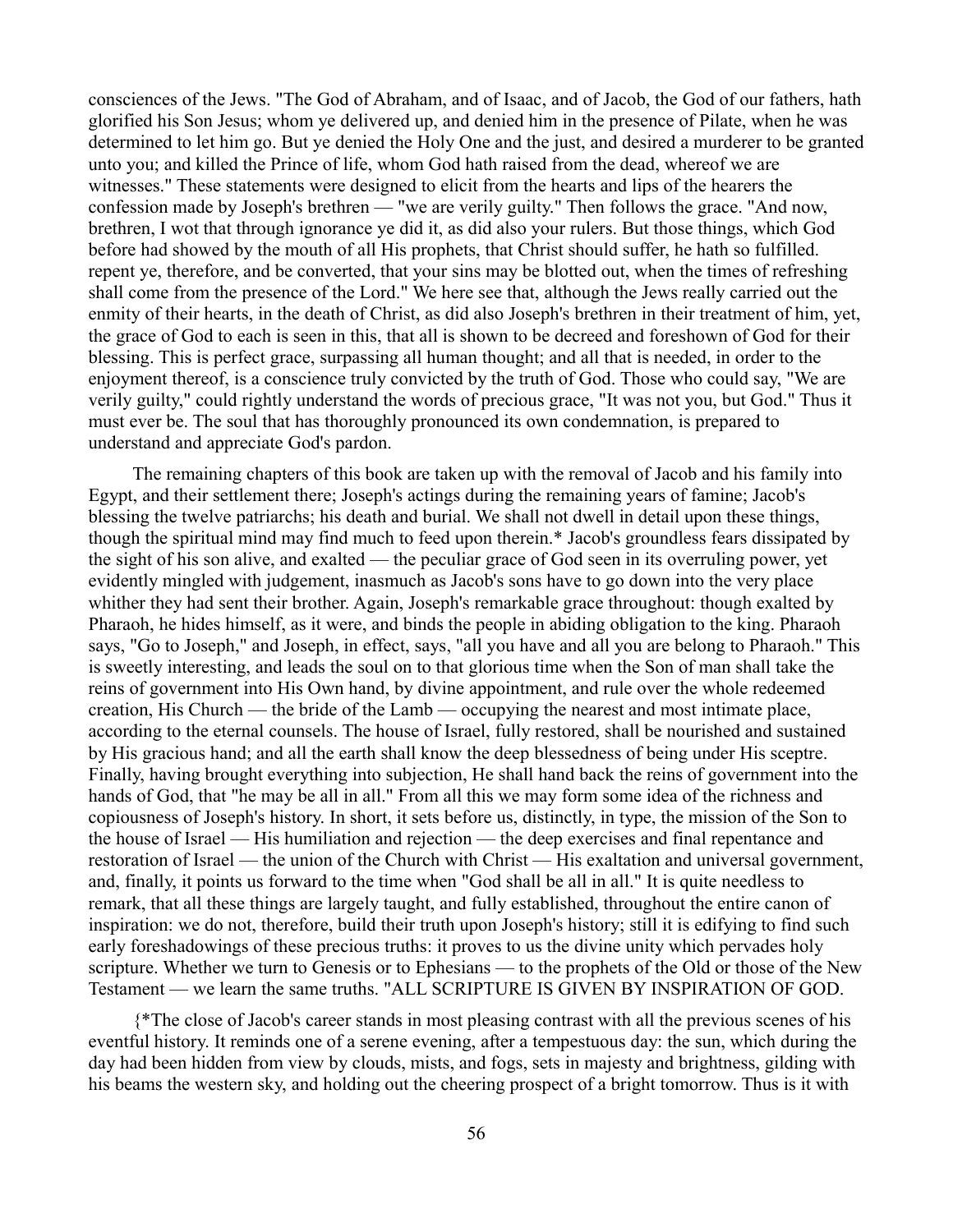consciences of the Jews. "The God of Abraham, and of Isaac, and of Jacob, the God of our fathers, hath glorified his Son Jesus; whom ye delivered up, and denied him in the presence of Pilate, when he was determined to let him go. But ye denied the Holy One and the just, and desired a murderer to be granted unto you; and killed the Prince of life, whom God hath raised from the dead, whereof we are witnesses." These statements were designed to elicit from the hearts and lips of the hearers the confession made by Joseph's brethren — "we are verily guilty." Then follows the grace. "And now, brethren, I wot that through ignorance ye did it, as did also your rulers. But those things, which God before had showed by the mouth of all His prophets, that Christ should suffer, he hath so fulfilled. repent ye, therefore, and be converted, that your sins may be blotted out, when the times of refreshing shall come from the presence of the Lord." We here see that, although the Jews really carried out the enmity of their hearts, in the death of Christ, as did also Joseph's brethren in their treatment of him, yet, the grace of God to each is seen in this, that all is shown to be decreed and foreshown of God for their blessing. This is perfect grace, surpassing all human thought; and all that is needed, in order to the enjoyment thereof, is a conscience truly convicted by the truth of God. Those who could say, "We are verily guilty," could rightly understand the words of precious grace, "It was not you, but God." Thus it must ever be. The soul that has thoroughly pronounced its own condemnation, is prepared to understand and appreciate God's pardon.

The remaining chapters of this book are taken up with the removal of Jacob and his family into Egypt, and their settlement there; Joseph's actings during the remaining years of famine; Jacob's blessing the twelve patriarchs; his death and burial. We shall not dwell in detail upon these things, though the spiritual mind may find much to feed upon therein.\* Jacob's groundless fears dissipated by the sight of his son alive, and exalted — the peculiar grace of God seen in its overruling power, yet evidently mingled with judgement, inasmuch as Jacob's sons have to go down into the very place whither they had sent their brother. Again, Joseph's remarkable grace throughout: though exalted by Pharaoh, he hides himself, as it were, and binds the people in abiding obligation to the king. Pharaoh says, "Go to Joseph," and Joseph, in effect, says, "all you have and all you are belong to Pharaoh." This is sweetly interesting, and leads the soul on to that glorious time when the Son of man shall take the reins of government into His Own hand, by divine appointment, and rule over the whole redeemed creation, His Church — the bride of the Lamb — occupying the nearest and most intimate place, according to the eternal counsels. The house of Israel, fully restored, shall be nourished and sustained by His gracious hand; and all the earth shall know the deep blessedness of being under His sceptre. Finally, having brought everything into subjection, He shall hand back the reins of government into the hands of God, that "he may be all in all." From all this we may form some idea of the richness and copiousness of Joseph's history. In short, it sets before us, distinctly, in type, the mission of the Son to the house of Israel — His humiliation and rejection — the deep exercises and final repentance and restoration of Israel — the union of the Church with Christ — His exaltation and universal government, and, finally, it points us forward to the time when "God shall be all in all." It is quite needless to remark, that all these things are largely taught, and fully established, throughout the entire canon of inspiration: we do not, therefore, build their truth upon Joseph's history; still it is edifying to find such early foreshadowings of these precious truths: it proves to us the divine unity which pervades holy scripture. Whether we turn to Genesis or to Ephesians — to the prophets of the Old or those of the New Testament — we learn the same truths. "ALL SCRIPTURE IS GIVEN BY INSPIRATION OF GOD.

{\*The close of Jacob's career stands in most pleasing contrast with all the previous scenes of his eventful history. It reminds one of a serene evening, after a tempestuous day: the sun, which during the day had been hidden from view by clouds, mists, and fogs, sets in majesty and brightness, gilding with his beams the western sky, and holding out the cheering prospect of a bright tomorrow. Thus is it with